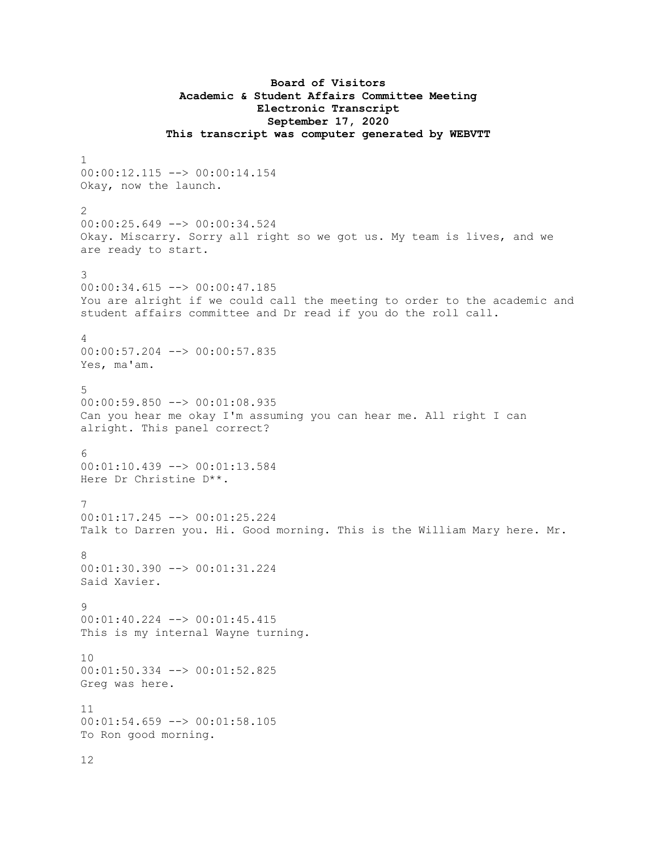## **Board of Visitors Academic & Student Affairs Committee Meeting Electronic Transcript September 17, 2020 This transcript was computer generated by WEBVTT**

1 00:00:12.115 --> 00:00:14.154 Okay, now the launch. 2 00:00:25.649 --> 00:00:34.524 Okay. Miscarry. Sorry all right so we got us. My team is lives, and we are ready to start. 3 00:00:34.615 --> 00:00:47.185 You are alright if we could call the meeting to order to the academic and student affairs committee and Dr read if you do the roll call. 4 00:00:57.204 --> 00:00:57.835 Yes, ma'am. 5 00:00:59.850 --> 00:01:08.935 Can you hear me okay I'm assuming you can hear me. All right I can alright. This panel correct? 6 00:01:10.439 --> 00:01:13.584 Here Dr Christine D\*\*. 7 00:01:17.245 --> 00:01:25.224 Talk to Darren you. Hi. Good morning. This is the William Mary here. Mr. 8 00:01:30.390 --> 00:01:31.224 Said Xavier. 9 00:01:40.224 --> 00:01:45.415 This is my internal Wayne turning. 10 00:01:50.334 --> 00:01:52.825 Greg was here. 11 00:01:54.659 --> 00:01:58.105 To Ron good morning.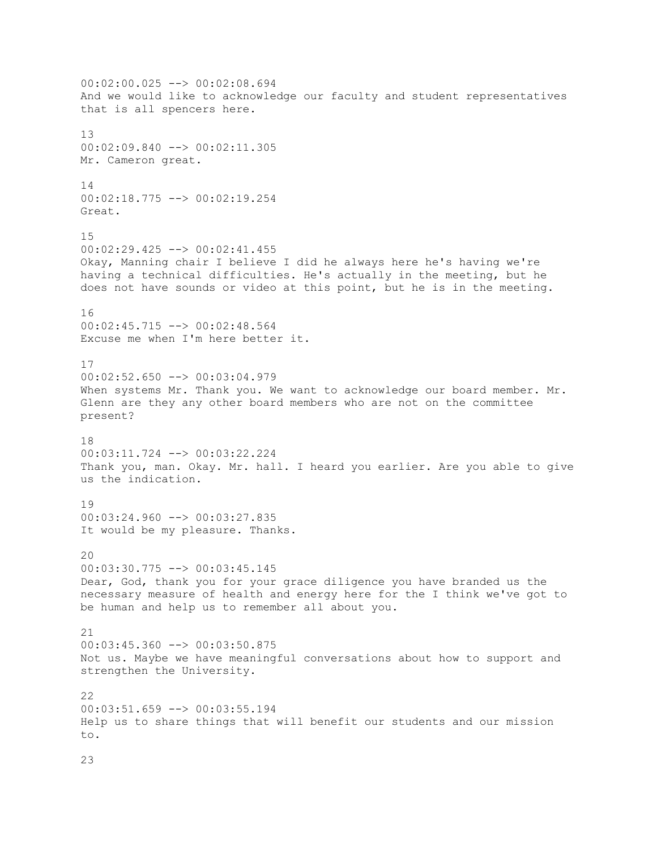00:02:00.025 --> 00:02:08.694 And we would like to acknowledge our faculty and student representatives that is all spencers here. 13 00:02:09.840 --> 00:02:11.305 Mr. Cameron great. 14 00:02:18.775 --> 00:02:19.254 Great. 15 00:02:29.425 --> 00:02:41.455 Okay, Manning chair I believe I did he always here he's having we're having a technical difficulties. He's actually in the meeting, but he does not have sounds or video at this point, but he is in the meeting. 16 00:02:45.715 --> 00:02:48.564 Excuse me when I'm here better it. 17 00:02:52.650 --> 00:03:04.979 When systems Mr. Thank you. We want to acknowledge our board member. Mr. Glenn are they any other board members who are not on the committee present? 18 00:03:11.724 --> 00:03:22.224 Thank you, man. Okay. Mr. hall. I heard you earlier. Are you able to give us the indication. 19 00:03:24.960 --> 00:03:27.835 It would be my pleasure. Thanks. 20 00:03:30.775 --> 00:03:45.145 Dear, God, thank you for your grace diligence you have branded us the necessary measure of health and energy here for the I think we've got to be human and help us to remember all about you. 21 00:03:45.360 --> 00:03:50.875 Not us. Maybe we have meaningful conversations about how to support and strengthen the University.  $22$  $00:03:51.659$  -->  $00:03:55.194$ Help us to share things that will benefit our students and our mission to.

23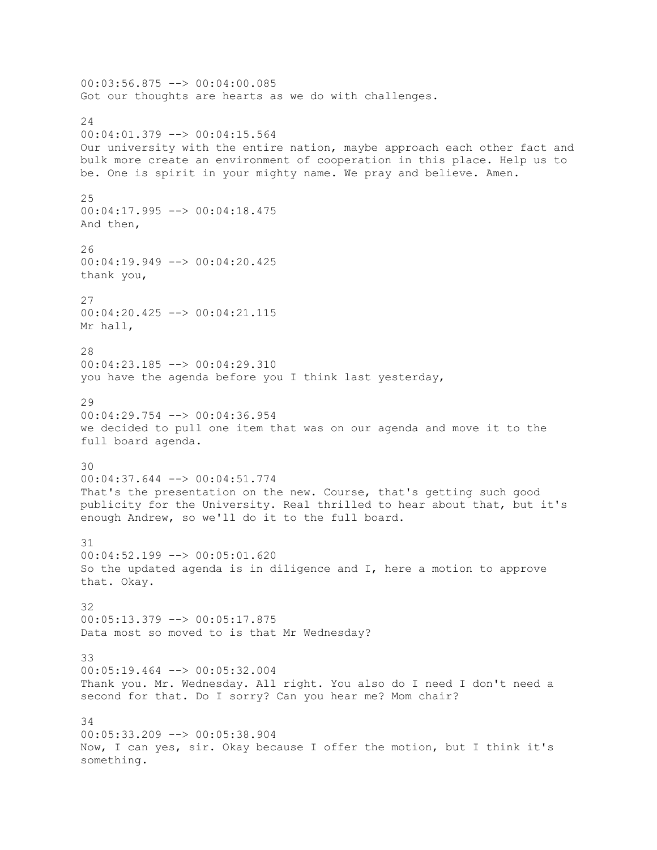00:03:56.875 --> 00:04:00.085 Got our thoughts are hearts as we do with challenges. 24 00:04:01.379 --> 00:04:15.564 Our university with the entire nation, maybe approach each other fact and bulk more create an environment of cooperation in this place. Help us to be. One is spirit in your mighty name. We pray and believe. Amen. 25 00:04:17.995 --> 00:04:18.475 And then, 26 00:04:19.949 --> 00:04:20.425 thank you, 27 00:04:20.425 --> 00:04:21.115 Mr hall, 28 00:04:23.185 --> 00:04:29.310 you have the agenda before you I think last yesterday, 29  $00:04:29.754$  -->  $00:04:36.954$ we decided to pull one item that was on our agenda and move it to the full board agenda. 30 00:04:37.644 --> 00:04:51.774 That's the presentation on the new. Course, that's getting such good publicity for the University. Real thrilled to hear about that, but it's enough Andrew, so we'll do it to the full board. 31  $00:04:52.199$  -->  $00:05:01.620$ So the updated agenda is in diligence and I, here a motion to approve that. Okay. 32 00:05:13.379 --> 00:05:17.875 Data most so moved to is that Mr Wednesday? 33 00:05:19.464 --> 00:05:32.004 Thank you. Mr. Wednesday. All right. You also do I need I don't need a second for that. Do I sorry? Can you hear me? Mom chair? 34 00:05:33.209 --> 00:05:38.904 Now, I can yes, sir. Okay because I offer the motion, but I think it's something.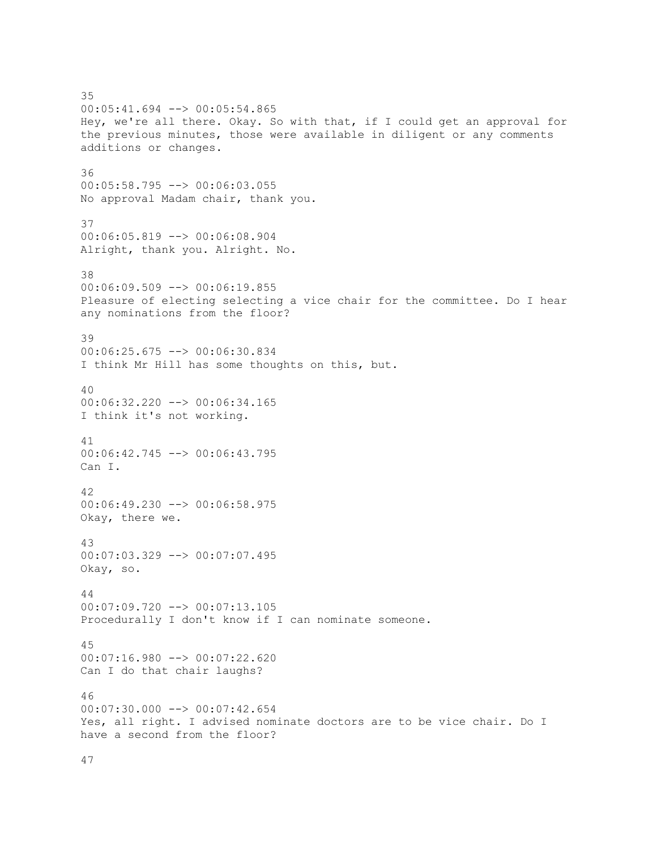35 00:05:41.694 --> 00:05:54.865 Hey, we're all there. Okay. So with that, if I could get an approval for the previous minutes, those were available in diligent or any comments additions or changes. 36 00:05:58.795 --> 00:06:03.055 No approval Madam chair, thank you. 37 00:06:05.819 --> 00:06:08.904 Alright, thank you. Alright. No. 38 00:06:09.509 --> 00:06:19.855 Pleasure of electing selecting a vice chair for the committee. Do I hear any nominations from the floor? 39 00:06:25.675 --> 00:06:30.834 I think Mr Hill has some thoughts on this, but. 40 00:06:32.220 --> 00:06:34.165 I think it's not working. 41 00:06:42.745 --> 00:06:43.795 Can I. 42  $00:06:49.230$  -->  $00:06:58.975$ Okay, there we. 43 00:07:03.329 --> 00:07:07.495 Okay, so. 44 00:07:09.720 --> 00:07:13.105 Procedurally I don't know if I can nominate someone. 45 00:07:16.980 --> 00:07:22.620 Can I do that chair laughs? 46  $00:07:30.000$  -->  $00:07:42.654$ Yes, all right. I advised nominate doctors are to be vice chair. Do I have a second from the floor?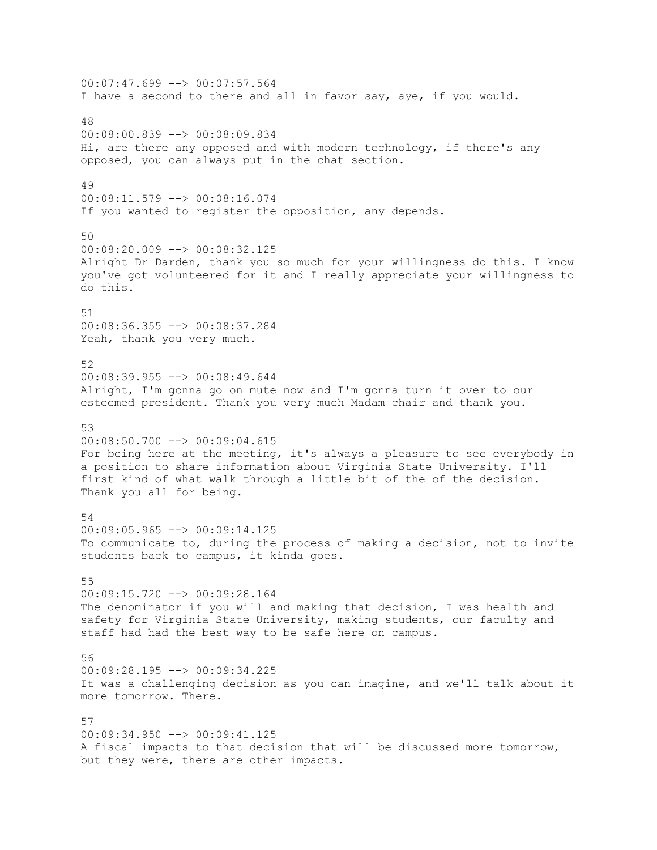00:07:47.699 --> 00:07:57.564 I have a second to there and all in favor say, aye, if you would. 48 00:08:00.839 --> 00:08:09.834 Hi, are there any opposed and with modern technology, if there's any opposed, you can always put in the chat section. 49 00:08:11.579 --> 00:08:16.074 If you wanted to register the opposition, any depends. 50 00:08:20.009 --> 00:08:32.125 Alright Dr Darden, thank you so much for your willingness do this. I know you've got volunteered for it and I really appreciate your willingness to do this. 51 00:08:36.355 --> 00:08:37.284 Yeah, thank you very much. 52 00:08:39.955 --> 00:08:49.644 Alright, I'm gonna go on mute now and I'm gonna turn it over to our esteemed president. Thank you very much Madam chair and thank you. 53 00:08:50.700 --> 00:09:04.615 For being here at the meeting, it's always a pleasure to see everybody in a position to share information about Virginia State University. I'll first kind of what walk through a little bit of the of the decision. Thank you all for being. 54  $00:09:05.965$  -->  $00:09:14.125$ To communicate to, during the process of making a decision, not to invite students back to campus, it kinda goes. 55 00:09:15.720 --> 00:09:28.164 The denominator if you will and making that decision, I was health and safety for Virginia State University, making students, our faculty and staff had had the best way to be safe here on campus. 56 00:09:28.195 --> 00:09:34.225 It was a challenging decision as you can imagine, and we'll talk about it more tomorrow. There. 57 00:09:34.950 --> 00:09:41.125 A fiscal impacts to that decision that will be discussed more tomorrow, but they were, there are other impacts.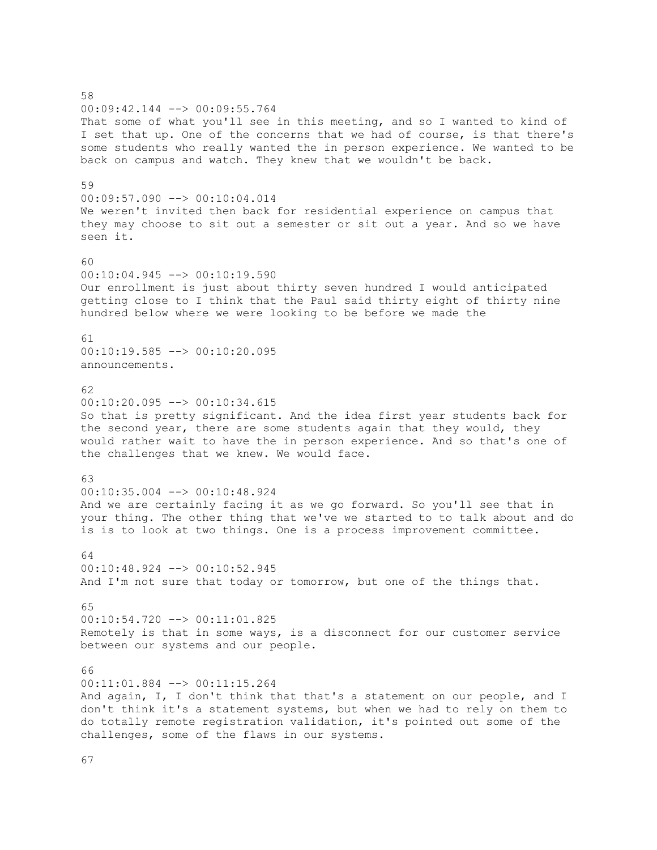58 00:09:42.144 --> 00:09:55.764 That some of what you'll see in this meeting, and so I wanted to kind of I set that up. One of the concerns that we had of course, is that there's some students who really wanted the in person experience. We wanted to be back on campus and watch. They knew that we wouldn't be back. 59 00:09:57.090 --> 00:10:04.014 We weren't invited then back for residential experience on campus that they may choose to sit out a semester or sit out a year. And so we have seen it. 60  $00:10:04.945$   $\longrightarrow 00:10:19.590$ Our enrollment is just about thirty seven hundred I would anticipated getting close to I think that the Paul said thirty eight of thirty nine hundred below where we were looking to be before we made the 61 00:10:19.585 --> 00:10:20.095 announcements. 62 00:10:20.095 --> 00:10:34.615 So that is pretty significant. And the idea first year students back for the second year, there are some students again that they would, they would rather wait to have the in person experience. And so that's one of the challenges that we knew. We would face. 63 00:10:35.004 --> 00:10:48.924 And we are certainly facing it as we go forward. So you'll see that in your thing. The other thing that we've we started to to talk about and do is is to look at two things. One is a process improvement committee. 64 00:10:48.924 --> 00:10:52.945 And I'm not sure that today or tomorrow, but one of the things that. 65 00:10:54.720 --> 00:11:01.825 Remotely is that in some ways, is a disconnect for our customer service between our systems and our people. 66 00:11:01.884 --> 00:11:15.264 And again, I, I don't think that that's a statement on our people, and I don't think it's a statement systems, but when we had to rely on them to do totally remote registration validation, it's pointed out some of the challenges, some of the flaws in our systems.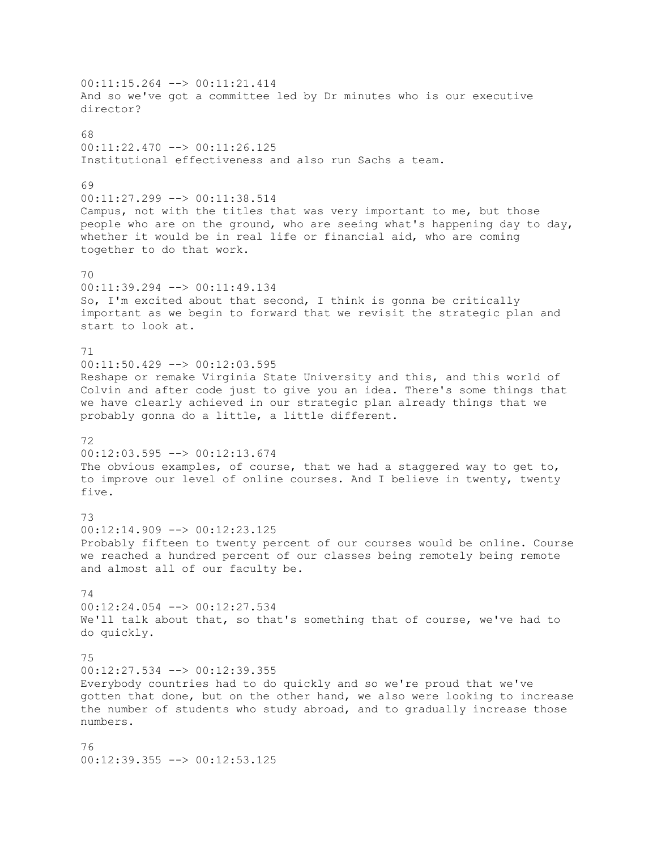00:11:15.264 --> 00:11:21.414 And so we've got a committee led by Dr minutes who is our executive director?  $69$ 00:11:22.470 --> 00:11:26.125 Institutional effectiveness and also run Sachs a team. 69 00:11:27.299 --> 00:11:38.514 Campus, not with the titles that was very important to me, but those people who are on the ground, who are seeing what's happening day to day, whether it would be in real life or financial aid, who are coming together to do that work. 70 00:11:39.294 --> 00:11:49.134 So, I'm excited about that second, I think is gonna be critically important as we begin to forward that we revisit the strategic plan and start to look at. 71 00:11:50.429 --> 00:12:03.595 Reshape or remake Virginia State University and this, and this world of Colvin and after code just to give you an idea. There's some things that we have clearly achieved in our strategic plan already things that we probably gonna do a little, a little different. 72 00:12:03.595 --> 00:12:13.674 The obvious examples, of course, that we had a staggered way to get to, to improve our level of online courses. And I believe in twenty, twenty five. 73 00:12:14.909 --> 00:12:23.125 Probably fifteen to twenty percent of our courses would be online. Course we reached a hundred percent of our classes being remotely being remote and almost all of our faculty be. 74 00:12:24.054 --> 00:12:27.534 We'll talk about that, so that's something that of course, we've had to do quickly. 75 00:12:27.534 --> 00:12:39.355 Everybody countries had to do quickly and so we're proud that we've gotten that done, but on the other hand, we also were looking to increase the number of students who study abroad, and to gradually increase those numbers. 76 00:12:39.355 --> 00:12:53.125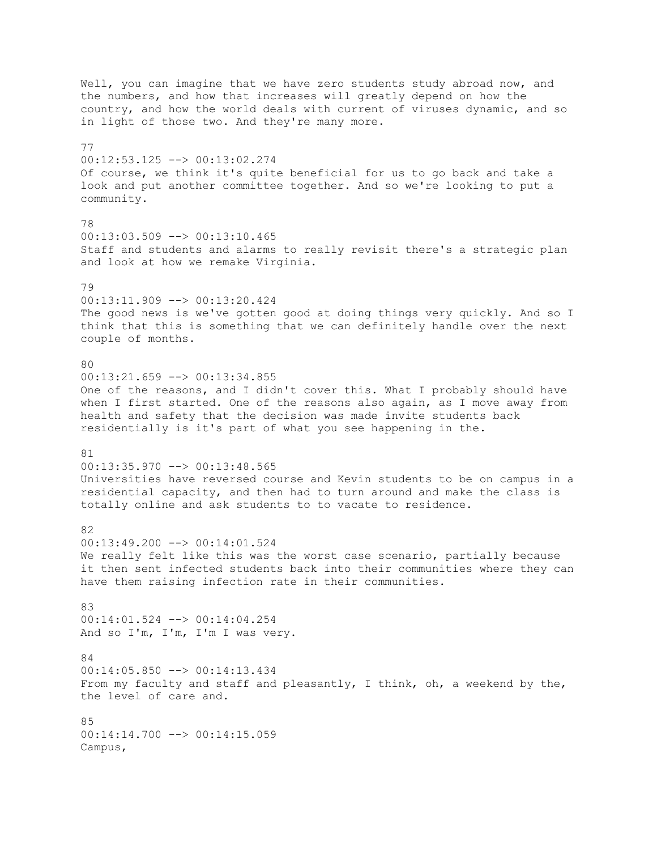Well, you can imagine that we have zero students study abroad now, and the numbers, and how that increases will greatly depend on how the country, and how the world deals with current of viruses dynamic, and so in light of those two. And they're many more. 77 00:12:53.125 --> 00:13:02.274 Of course, we think it's quite beneficial for us to go back and take a look and put another committee together. And so we're looking to put a community. 78 00:13:03.509 --> 00:13:10.465 Staff and students and alarms to really revisit there's a strategic plan and look at how we remake Virginia. 79 00:13:11.909 --> 00:13:20.424 The good news is we've gotten good at doing things very quickly. And so I think that this is something that we can definitely handle over the next couple of months. 80 00:13:21.659 --> 00:13:34.855 One of the reasons, and I didn't cover this. What I probably should have when I first started. One of the reasons also again, as I move away from health and safety that the decision was made invite students back residentially is it's part of what you see happening in the. 81 00:13:35.970 --> 00:13:48.565 Universities have reversed course and Kevin students to be on campus in a residential capacity, and then had to turn around and make the class is totally online and ask students to to vacate to residence. 82 00:13:49.200 --> 00:14:01.524 We really felt like this was the worst case scenario, partially because it then sent infected students back into their communities where they can have them raising infection rate in their communities. 83 00:14:01.524 --> 00:14:04.254 And so I'm, I'm, I'm I was very. 84 00:14:05.850 --> 00:14:13.434 From my faculty and staff and pleasantly, I think, oh, a weekend by the, the level of care and. 85  $00:14:14.700$  -->  $00:14:15.059$ Campus,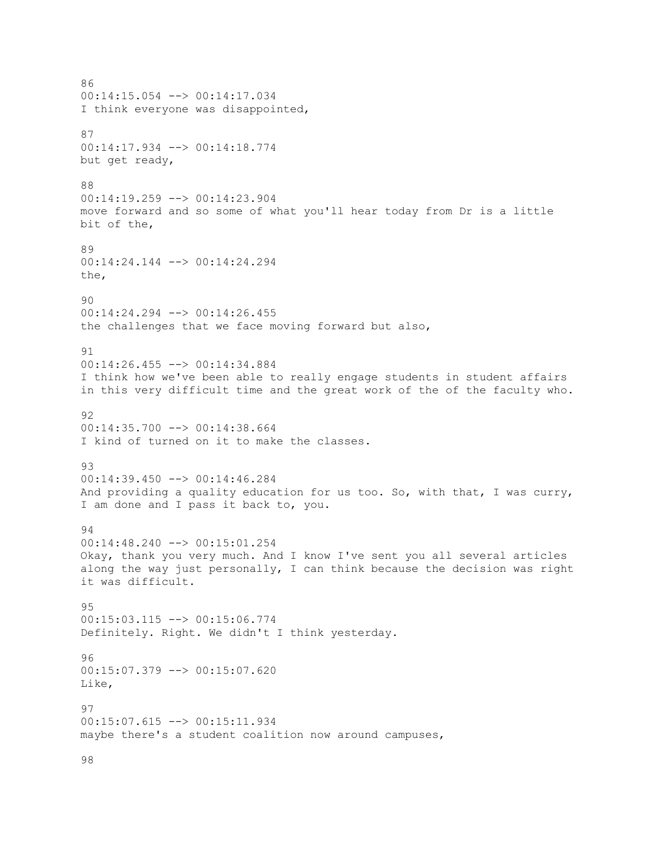86 00:14:15.054 --> 00:14:17.034 I think everyone was disappointed, 87 00:14:17.934 --> 00:14:18.774 but get ready, 88 00:14:19.259 --> 00:14:23.904 move forward and so some of what you'll hear today from Dr is a little bit of the, 89 00:14:24.144 --> 00:14:24.294 the, 90 00:14:24.294 --> 00:14:26.455 the challenges that we face moving forward but also, 91 00:14:26.455 --> 00:14:34.884 I think how we've been able to really engage students in student affairs in this very difficult time and the great work of the of the faculty who. 92  $00:14:35.700$  -->  $00:14:38.664$ I kind of turned on it to make the classes. 93 00:14:39.450 --> 00:14:46.284 And providing a quality education for us too. So, with that, I was curry, I am done and I pass it back to, you. 94 00:14:48.240 --> 00:15:01.254 Okay, thank you very much. And I know I've sent you all several articles along the way just personally, I can think because the decision was right it was difficult. 95 00:15:03.115 --> 00:15:06.774 Definitely. Right. We didn't I think yesterday. 96 00:15:07.379 --> 00:15:07.620 Like, 97 00:15:07.615 --> 00:15:11.934 maybe there's a student coalition now around campuses,

98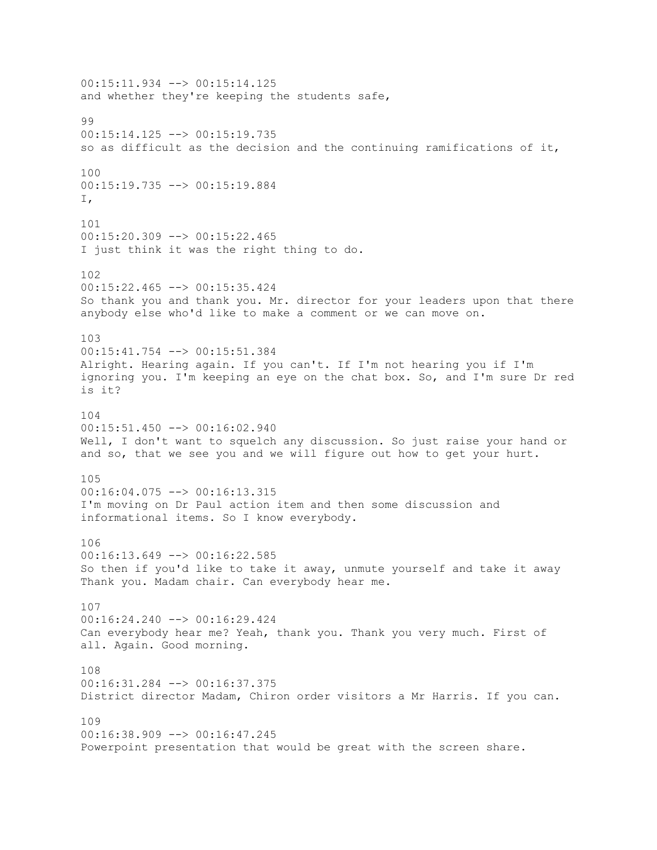00:15:11.934 --> 00:15:14.125 and whether they're keeping the students safe, 99 00:15:14.125 --> 00:15:19.735 so as difficult as the decision and the continuing ramifications of it, 100 00:15:19.735 --> 00:15:19.884 I, 101  $00:15:20.309$  -->  $00:15:22.465$ I just think it was the right thing to do. 102 00:15:22.465 --> 00:15:35.424 So thank you and thank you. Mr. director for your leaders upon that there anybody else who'd like to make a comment or we can move on. 103 00:15:41.754 --> 00:15:51.384 Alright. Hearing again. If you can't. If I'm not hearing you if I'm ignoring you. I'm keeping an eye on the chat box. So, and I'm sure Dr red is it? 104 00:15:51.450 --> 00:16:02.940 Well, I don't want to squelch any discussion. So just raise your hand or and so, that we see you and we will figure out how to get your hurt. 105 00:16:04.075 --> 00:16:13.315 I'm moving on Dr Paul action item and then some discussion and informational items. So I know everybody.  $106$ 00:16:13.649 --> 00:16:22.585 So then if you'd like to take it away, unmute yourself and take it away Thank you. Madam chair. Can everybody hear me. 107 00:16:24.240 --> 00:16:29.424 Can everybody hear me? Yeah, thank you. Thank you very much. First of all. Again. Good morning. 108 00:16:31.284 --> 00:16:37.375 District director Madam, Chiron order visitors a Mr Harris. If you can. 109 00:16:38.909 --> 00:16:47.245 Powerpoint presentation that would be great with the screen share.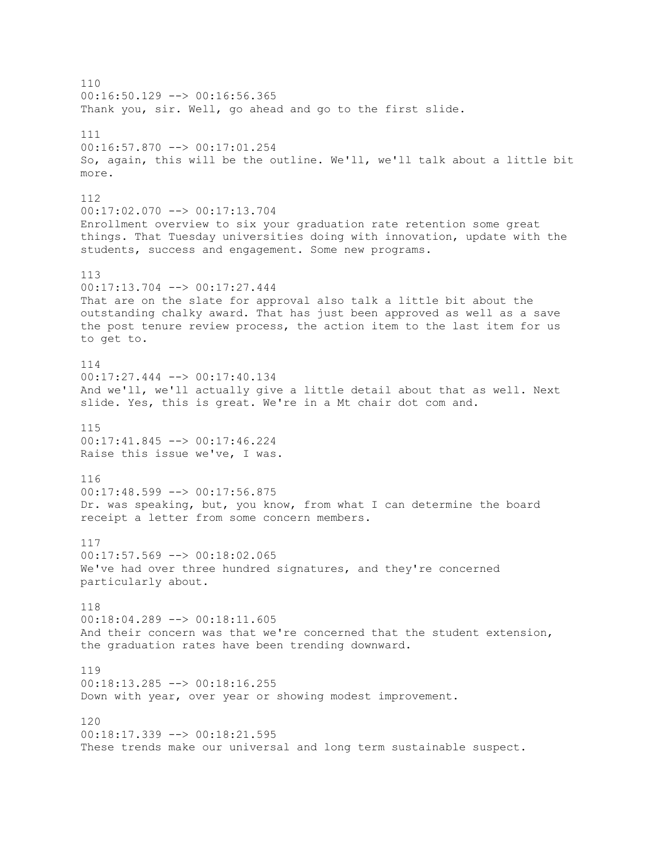110 00:16:50.129 --> 00:16:56.365 Thank you, sir. Well, go ahead and go to the first slide. 111 00:16:57.870 --> 00:17:01.254 So, again, this will be the outline. We'll, we'll talk about a little bit more. 112 00:17:02.070 --> 00:17:13.704 Enrollment overview to six your graduation rate retention some great things. That Tuesday universities doing with innovation, update with the students, success and engagement. Some new programs. 113 00:17:13.704 --> 00:17:27.444 That are on the slate for approval also talk a little bit about the outstanding chalky award. That has just been approved as well as a save the post tenure review process, the action item to the last item for us to get to. 114 00:17:27.444 --> 00:17:40.134 And we'll, we'll actually give a little detail about that as well. Next slide. Yes, this is great. We're in a Mt chair dot com and. 115 00:17:41.845 --> 00:17:46.224 Raise this issue we've, I was. 116 00:17:48.599 --> 00:17:56.875 Dr. was speaking, but, you know, from what I can determine the board receipt a letter from some concern members. 117 00:17:57.569 --> 00:18:02.065 We've had over three hundred signatures, and they're concerned particularly about. 118 00:18:04.289 --> 00:18:11.605 And their concern was that we're concerned that the student extension, the graduation rates have been trending downward. 119 00:18:13.285 --> 00:18:16.255 Down with year, over year or showing modest improvement. 120  $00:18:17.339$  -->  $00:18:21.595$ These trends make our universal and long term sustainable suspect.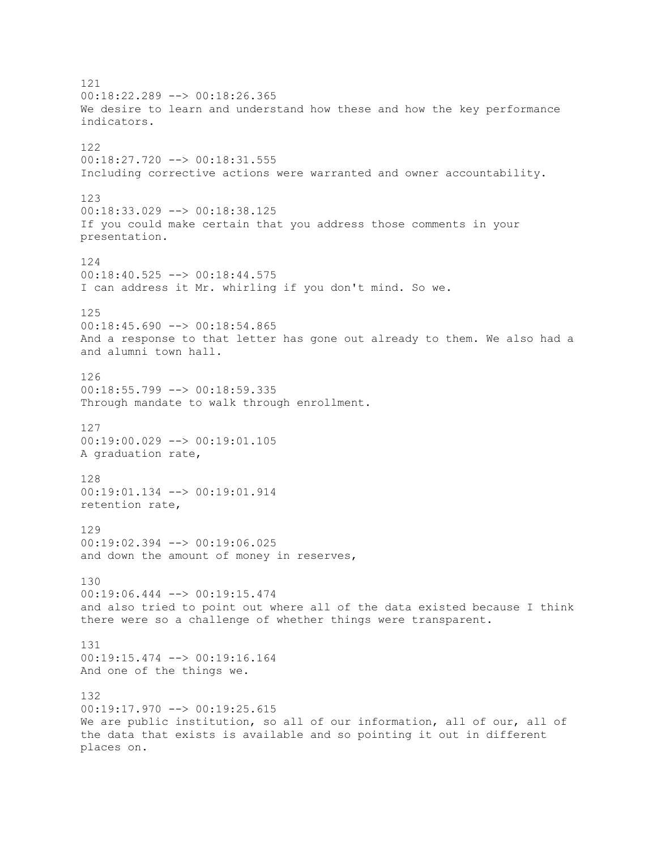121 00:18:22.289 --> 00:18:26.365 We desire to learn and understand how these and how the key performance indicators. 122 00:18:27.720 --> 00:18:31.555 Including corrective actions were warranted and owner accountability. 123 00:18:33.029 --> 00:18:38.125 If you could make certain that you address those comments in your presentation. 124 00:18:40.525 --> 00:18:44.575 I can address it Mr. whirling if you don't mind. So we. 125  $00:18:45.690$  -->  $00:18:54.865$ And a response to that letter has gone out already to them. We also had a and alumni town hall. 126 00:18:55.799 --> 00:18:59.335 Through mandate to walk through enrollment. 127 00:19:00.029 --> 00:19:01.105 A graduation rate, 128 00:19:01.134 --> 00:19:01.914 retention rate, 129 00:19:02.394 --> 00:19:06.025 and down the amount of money in reserves, 130 00:19:06.444 --> 00:19:15.474 and also tried to point out where all of the data existed because I think there were so a challenge of whether things were transparent. 131 00:19:15.474 --> 00:19:16.164 And one of the things we. 132 00:19:17.970 --> 00:19:25.615 We are public institution, so all of our information, all of our, all of the data that exists is available and so pointing it out in different places on.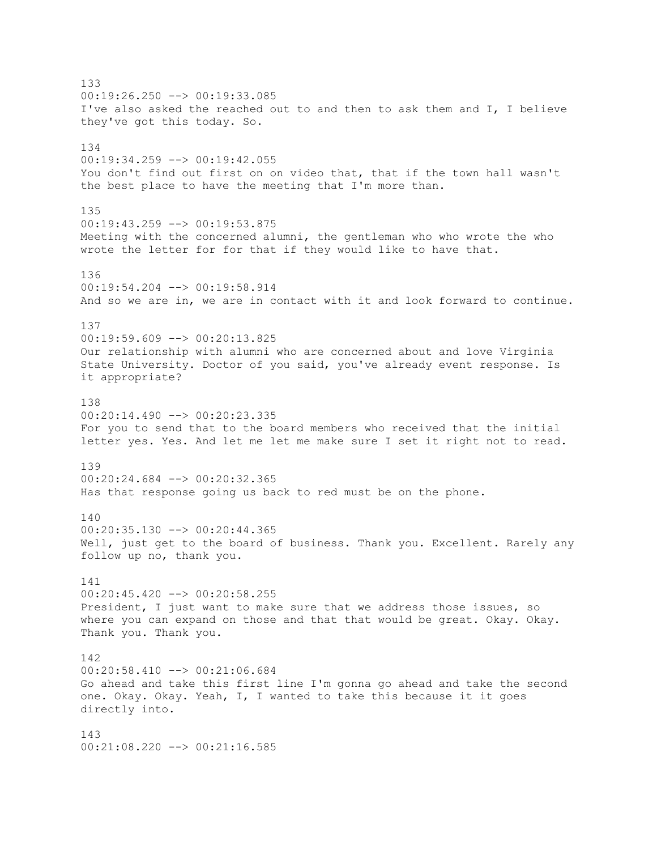133  $00:19:26.250$  -->  $00:19:33.085$ I've also asked the reached out to and then to ask them and I, I believe they've got this today. So. 134 00:19:34.259 --> 00:19:42.055 You don't find out first on on video that, that if the town hall wasn't the best place to have the meeting that I'm more than. 135 00:19:43.259 --> 00:19:53.875 Meeting with the concerned alumni, the gentleman who who wrote the who wrote the letter for for that if they would like to have that. 136 00:19:54.204 --> 00:19:58.914 And so we are in, we are in contact with it and look forward to continue. 137  $00:19:59.609$  -->  $00:20:13.825$ Our relationship with alumni who are concerned about and love Virginia State University. Doctor of you said, you've already event response. Is it appropriate? 138  $00:20:14.490$  -->  $00:20:23.335$ For you to send that to the board members who received that the initial letter yes. Yes. And let me let me make sure I set it right not to read. 139 00:20:24.684 --> 00:20:32.365 Has that response going us back to red must be on the phone. 140  $00:20:35.130$  -->  $00:20:44.365$ Well, just get to the board of business. Thank you. Excellent. Rarely any follow up no, thank you. 141 00:20:45.420 --> 00:20:58.255 President, I just want to make sure that we address those issues, so where you can expand on those and that that would be great. Okay. Okay. Thank you. Thank you. 142 00:20:58.410 --> 00:21:06.684 Go ahead and take this first line I'm gonna go ahead and take the second one. Okay. Okay. Yeah, I, I wanted to take this because it it goes directly into. 143 00:21:08.220 --> 00:21:16.585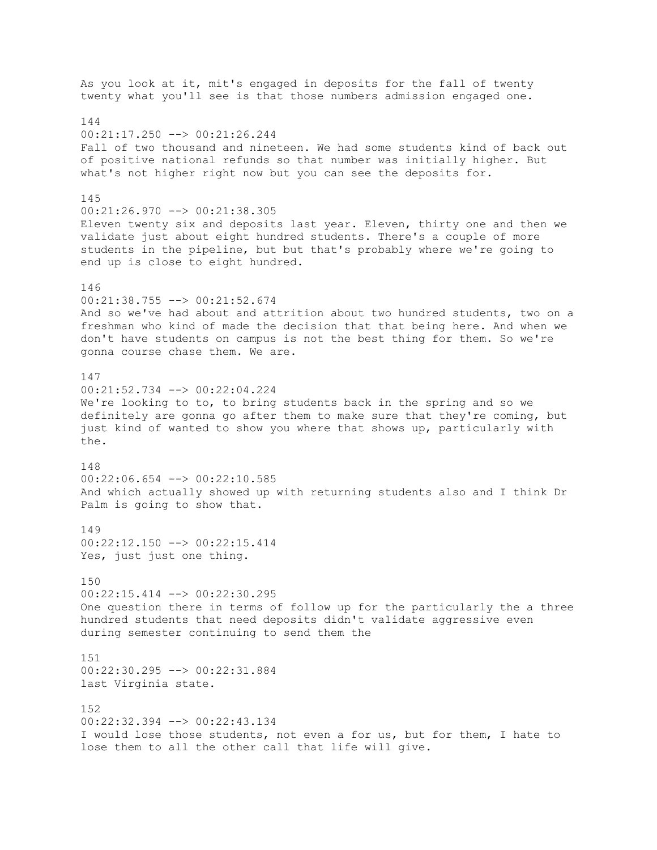As you look at it, mit's engaged in deposits for the fall of twenty twenty what you'll see is that those numbers admission engaged one. 144  $00:21:17.250$   $\rightarrow$   $00:21:26.244$ Fall of two thousand and nineteen. We had some students kind of back out of positive national refunds so that number was initially higher. But what's not higher right now but you can see the deposits for. 145 00:21:26.970 --> 00:21:38.305 Eleven twenty six and deposits last year. Eleven, thirty one and then we validate just about eight hundred students. There's a couple of more students in the pipeline, but but that's probably where we're going to end up is close to eight hundred. 146 00:21:38.755 --> 00:21:52.674 And so we've had about and attrition about two hundred students, two on a freshman who kind of made the decision that that being here. And when we don't have students on campus is not the best thing for them. So we're gonna course chase them. We are. 147 00:21:52.734 --> 00:22:04.224 We're looking to to, to bring students back in the spring and so we definitely are gonna go after them to make sure that they're coming, but just kind of wanted to show you where that shows up, particularly with the. 148 00:22:06.654 --> 00:22:10.585 And which actually showed up with returning students also and I think Dr Palm is going to show that. 149 00:22:12.150 --> 00:22:15.414 Yes, just just one thing. 150 00:22:15.414 --> 00:22:30.295 One question there in terms of follow up for the particularly the a three hundred students that need deposits didn't validate aggressive even during semester continuing to send them the 151 00:22:30.295 --> 00:22:31.884 last Virginia state. 152 00:22:32.394 --> 00:22:43.134 I would lose those students, not even a for us, but for them, I hate to lose them to all the other call that life will give.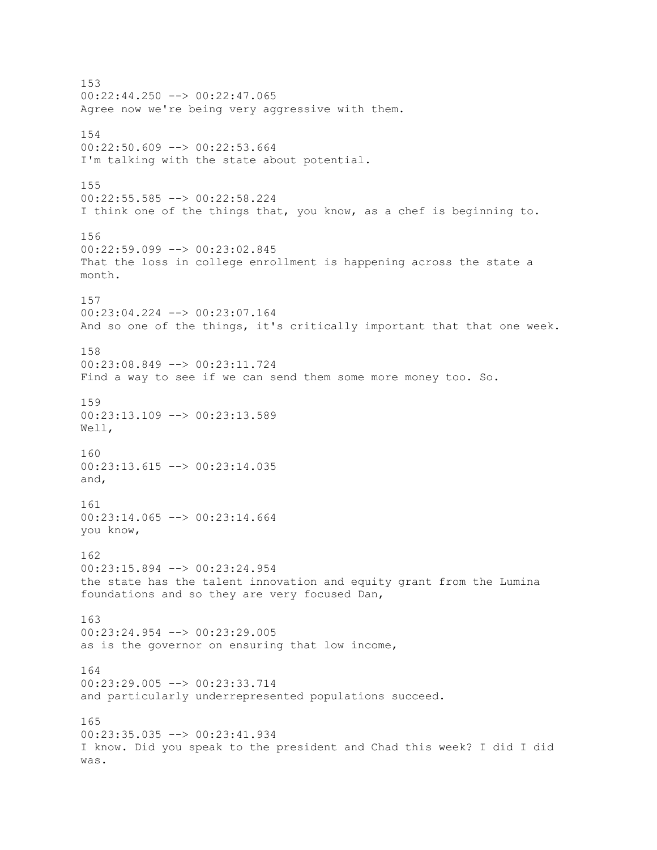153  $00:22:44.250$  -->  $00:22:47.065$ Agree now we're being very aggressive with them. 154  $00:22:50.609$  -->  $00:22:53.664$ I'm talking with the state about potential. 155 00:22:55.585 --> 00:22:58.224 I think one of the things that, you know, as a chef is beginning to. 156 00:22:59.099 --> 00:23:02.845 That the loss in college enrollment is happening across the state a month. 157 00:23:04.224 --> 00:23:07.164 And so one of the things, it's critically important that that one week. 158 00:23:08.849 --> 00:23:11.724 Find a way to see if we can send them some more money too. So. 159 00:23:13.109 --> 00:23:13.589 Well, 160 00:23:13.615 --> 00:23:14.035 and, 161 00:23:14.065 --> 00:23:14.664 you know, 162 00:23:15.894 --> 00:23:24.954 the state has the talent innovation and equity grant from the Lumina foundations and so they are very focused Dan, 163 00:23:24.954 --> 00:23:29.005 as is the governor on ensuring that low income, 164 00:23:29.005 --> 00:23:33.714 and particularly underrepresented populations succeed. 165 00:23:35.035 --> 00:23:41.934 I know. Did you speak to the president and Chad this week? I did I did was.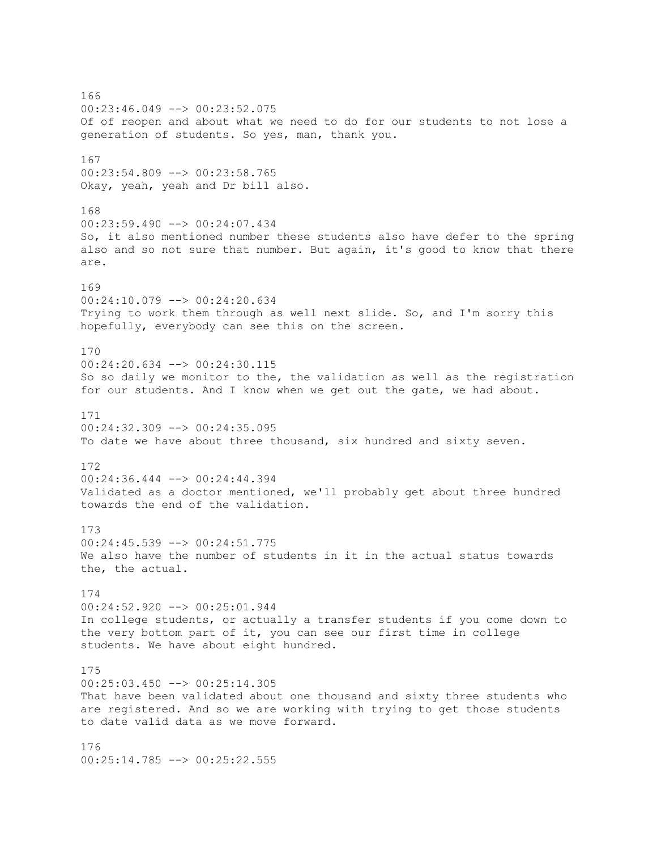166 00:23:46.049 --> 00:23:52.075 Of of reopen and about what we need to do for our students to not lose a generation of students. So yes, man, thank you. 167 00:23:54.809 --> 00:23:58.765 Okay, yeah, yeah and Dr bill also. 168 00:23:59.490 --> 00:24:07.434 So, it also mentioned number these students also have defer to the spring also and so not sure that number. But again, it's good to know that there are. 169 00:24:10.079 --> 00:24:20.634 Trying to work them through as well next slide. So, and I'm sorry this hopefully, everybody can see this on the screen. 170 00:24:20.634 --> 00:24:30.115 So so daily we monitor to the, the validation as well as the registration for our students. And I know when we get out the gate, we had about. 171 00:24:32.309 --> 00:24:35.095 To date we have about three thousand, six hundred and sixty seven. 172 00:24:36.444 --> 00:24:44.394 Validated as a doctor mentioned, we'll probably get about three hundred towards the end of the validation. 173 00:24:45.539 --> 00:24:51.775 We also have the number of students in it in the actual status towards the, the actual. 174 00:24:52.920 --> 00:25:01.944 In college students, or actually a transfer students if you come down to the very bottom part of it, you can see our first time in college students. We have about eight hundred. 175 00:25:03.450 --> 00:25:14.305 That have been validated about one thousand and sixty three students who are registered. And so we are working with trying to get those students to date valid data as we move forward. 176 00:25:14.785 --> 00:25:22.555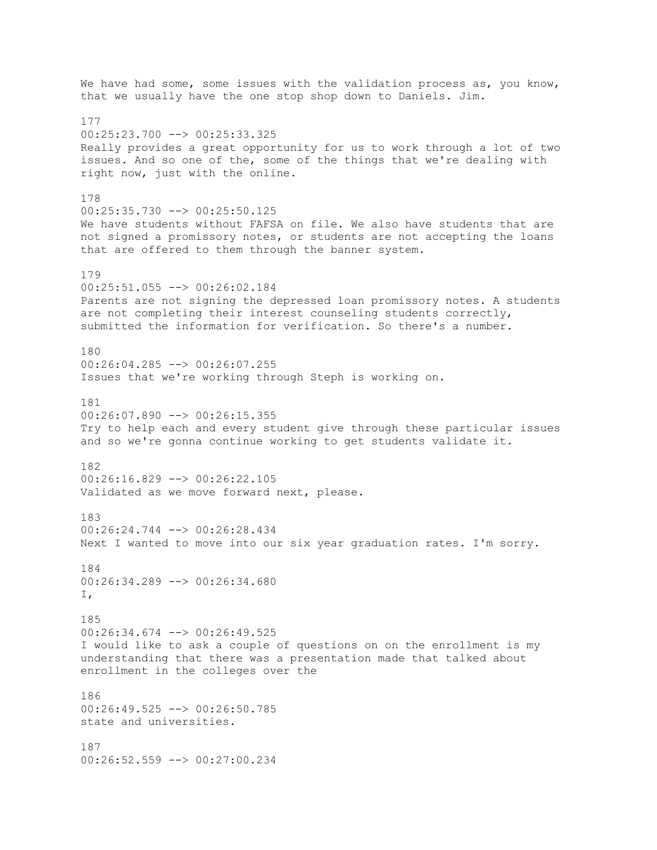We have had some, some issues with the validation process as, you know, that we usually have the one stop shop down to Daniels. Jim. 177 00:25:23.700 --> 00:25:33.325 Really provides a great opportunity for us to work through a lot of two issues. And so one of the, some of the things that we're dealing with right now, just with the online. 178 00:25:35.730 --> 00:25:50.125 We have students without FAFSA on file. We also have students that are not signed a promissory notes, or students are not accepting the loans that are offered to them through the banner system. 179 00:25:51.055 --> 00:26:02.184 Parents are not signing the depressed loan promissory notes. A students are not completing their interest counseling students correctly, submitted the information for verification. So there's a number. 180 00:26:04.285 --> 00:26:07.255 Issues that we're working through Steph is working on. 181  $00:26:07.890$  -->  $00:26:15.355$ Try to help each and every student give through these particular issues and so we're gonna continue working to get students validate it. 182  $00:26:16.829$  -->  $00:26:22.105$ Validated as we move forward next, please. 183 00:26:24.744 --> 00:26:28.434 Next I wanted to move into our six year graduation rates. I'm sorry. 184 00:26:34.289 --> 00:26:34.680  $T$ . 185 00:26:34.674 --> 00:26:49.525 I would like to ask a couple of questions on on the enrollment is my understanding that there was a presentation made that talked about enrollment in the colleges over the 186  $00:26:49.525$  -->  $00:26:50.785$ state and universities. 187 00:26:52.559 --> 00:27:00.234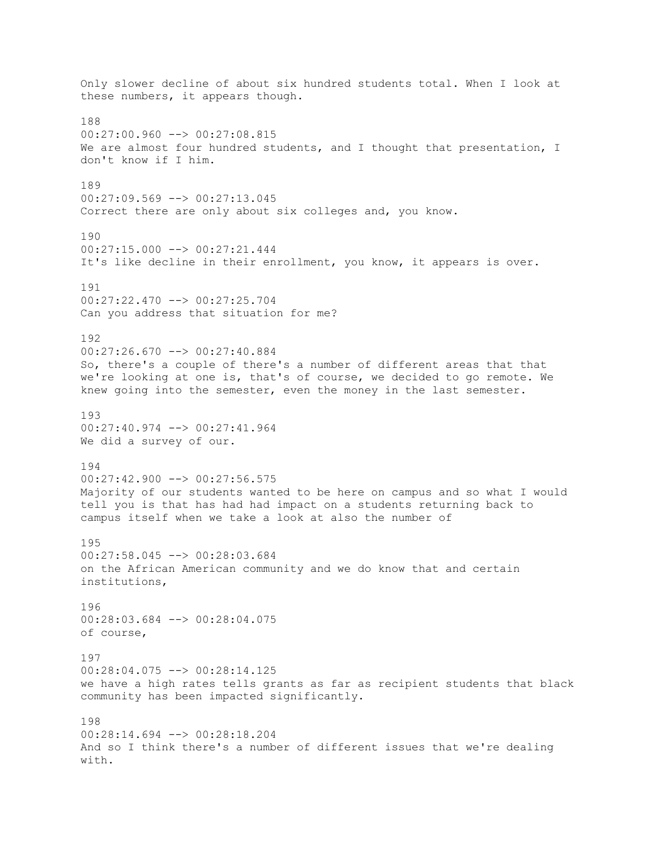Only slower decline of about six hundred students total. When I look at these numbers, it appears though. 188  $00:27:00.960$  -->  $00:27:08.815$ We are almost four hundred students, and I thought that presentation, I don't know if I him. 189 00:27:09.569 --> 00:27:13.045 Correct there are only about six colleges and, you know. 190 00:27:15.000 --> 00:27:21.444 It's like decline in their enrollment, you know, it appears is over. 191 00:27:22.470 --> 00:27:25.704 Can you address that situation for me? 192 00:27:26.670 --> 00:27:40.884 So, there's a couple of there's a number of different areas that that we're looking at one is, that's of course, we decided to go remote. We knew going into the semester, even the money in the last semester. 193 00:27:40.974 --> 00:27:41.964 We did a survey of our. 194  $00:27:42.900$  -->  $00:27:56.575$ Majority of our students wanted to be here on campus and so what I would tell you is that has had had impact on a students returning back to campus itself when we take a look at also the number of 195 00:27:58.045 --> 00:28:03.684 on the African American community and we do know that and certain institutions, 196 00:28:03.684 --> 00:28:04.075 of course, 197 00:28:04.075 --> 00:28:14.125 we have a high rates tells grants as far as recipient students that black community has been impacted significantly. 198 00:28:14.694 --> 00:28:18.204 And so I think there's a number of different issues that we're dealing with.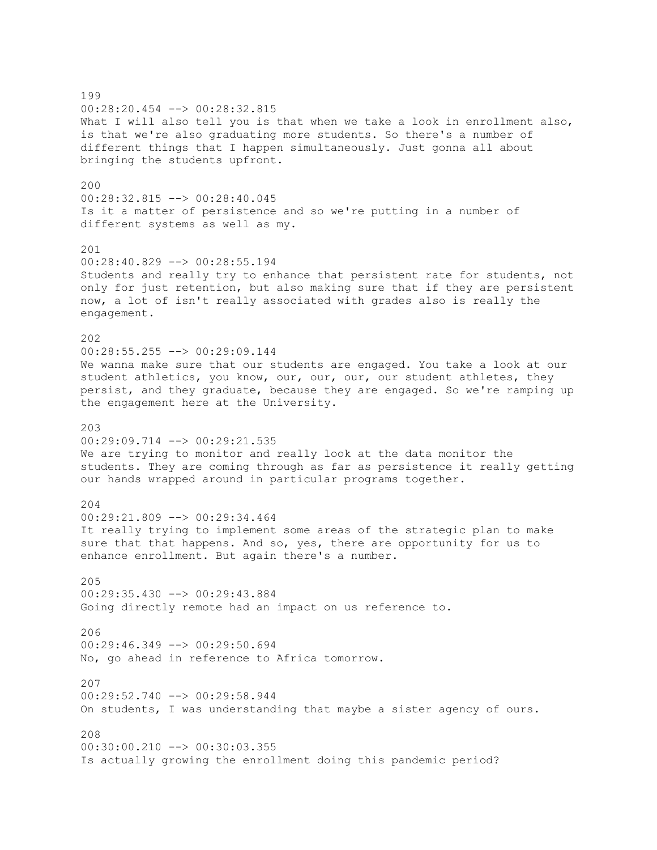199 00:28:20.454 --> 00:28:32.815 What I will also tell you is that when we take a look in enrollment also, is that we're also graduating more students. So there's a number of different things that I happen simultaneously. Just gonna all about bringing the students upfront. 200 00:28:32.815 --> 00:28:40.045 Is it a matter of persistence and so we're putting in a number of different systems as well as my. 201 00:28:40.829 --> 00:28:55.194 Students and really try to enhance that persistent rate for students, not only for just retention, but also making sure that if they are persistent now, a lot of isn't really associated with grades also is really the engagement. 202 00:28:55.255 --> 00:29:09.144 We wanna make sure that our students are engaged. You take a look at our student athletics, you know, our, our, our, our student athletes, they persist, and they graduate, because they are engaged. So we're ramping up the engagement here at the University. 203 00:29:09.714 --> 00:29:21.535 We are trying to monitor and really look at the data monitor the students. They are coming through as far as persistence it really getting our hands wrapped around in particular programs together. 204 00:29:21.809 --> 00:29:34.464 It really trying to implement some areas of the strategic plan to make sure that that happens. And so, yes, there are opportunity for us to enhance enrollment. But again there's a number. 205 00:29:35.430 --> 00:29:43.884 Going directly remote had an impact on us reference to. 206  $00:29:46.349$  -->  $00:29:50.694$ No, go ahead in reference to Africa tomorrow. 207 00:29:52.740 --> 00:29:58.944 On students, I was understanding that maybe a sister agency of ours. 208 00:30:00.210 --> 00:30:03.355 Is actually growing the enrollment doing this pandemic period?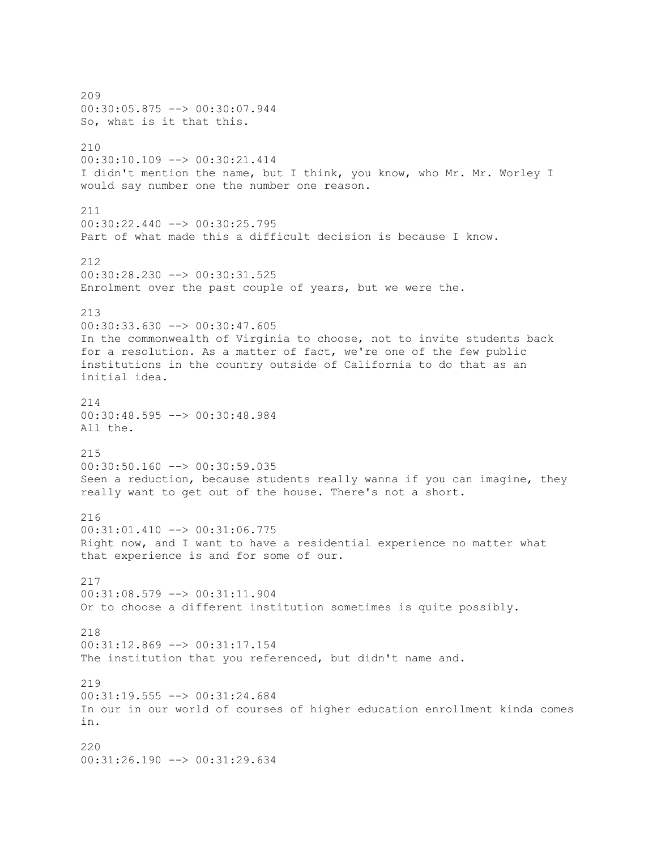209 00:30:05.875 --> 00:30:07.944 So, what is it that this. 210 00:30:10.109 --> 00:30:21.414 I didn't mention the name, but I think, you know, who Mr. Mr. Worley I would say number one the number one reason. 211 00:30:22.440 --> 00:30:25.795 Part of what made this a difficult decision is because I know. 212 00:30:28.230 --> 00:30:31.525 Enrolment over the past couple of years, but we were the. 213 00:30:33.630 --> 00:30:47.605 In the commonwealth of Virginia to choose, not to invite students back for a resolution. As a matter of fact, we're one of the few public institutions in the country outside of California to do that as an initial idea. 214 00:30:48.595 --> 00:30:48.984 All the. 215 00:30:50.160 --> 00:30:59.035 Seen a reduction, because students really wanna if you can imagine, they really want to get out of the house. There's not a short. 216 00:31:01.410 --> 00:31:06.775 Right now, and I want to have a residential experience no matter what that experience is and for some of our. 217 00:31:08.579 --> 00:31:11.904 Or to choose a different institution sometimes is quite possibly. 218 00:31:12.869 --> 00:31:17.154 The institution that you referenced, but didn't name and. 219 00:31:19.555 --> 00:31:24.684 In our in our world of courses of higher education enrollment kinda comes in. 220 00:31:26.190 --> 00:31:29.634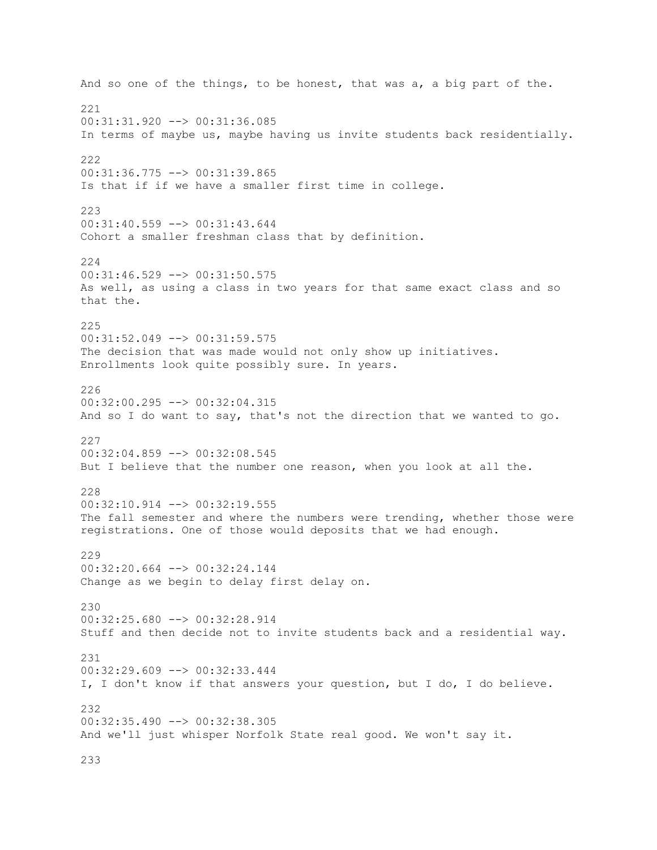And so one of the things, to be honest, that was a, a big part of the. 221 00:31:31.920 --> 00:31:36.085 In terms of maybe us, maybe having us invite students back residentially. 222 00:31:36.775 --> 00:31:39.865 Is that if if we have a smaller first time in college. 223 00:31:40.559 --> 00:31:43.644 Cohort a smaller freshman class that by definition. 224 00:31:46.529 --> 00:31:50.575 As well, as using a class in two years for that same exact class and so that the. 225 00:31:52.049 --> 00:31:59.575 The decision that was made would not only show up initiatives. Enrollments look quite possibly sure. In years. 226 00:32:00.295 --> 00:32:04.315 And so I do want to say, that's not the direction that we wanted to go. 227 00:32:04.859 --> 00:32:08.545 But I believe that the number one reason, when you look at all the. 228  $00:32:10.914$  -->  $00:32:19.555$ The fall semester and where the numbers were trending, whether those were registrations. One of those would deposits that we had enough. 229 00:32:20.664 --> 00:32:24.144 Change as we begin to delay first delay on. 230 00:32:25.680 --> 00:32:28.914 Stuff and then decide not to invite students back and a residential way. 231 00:32:29.609 --> 00:32:33.444 I, I don't know if that answers your question, but I do, I do believe. 232 00:32:35.490 --> 00:32:38.305 And we'll just whisper Norfolk State real good. We won't say it.

233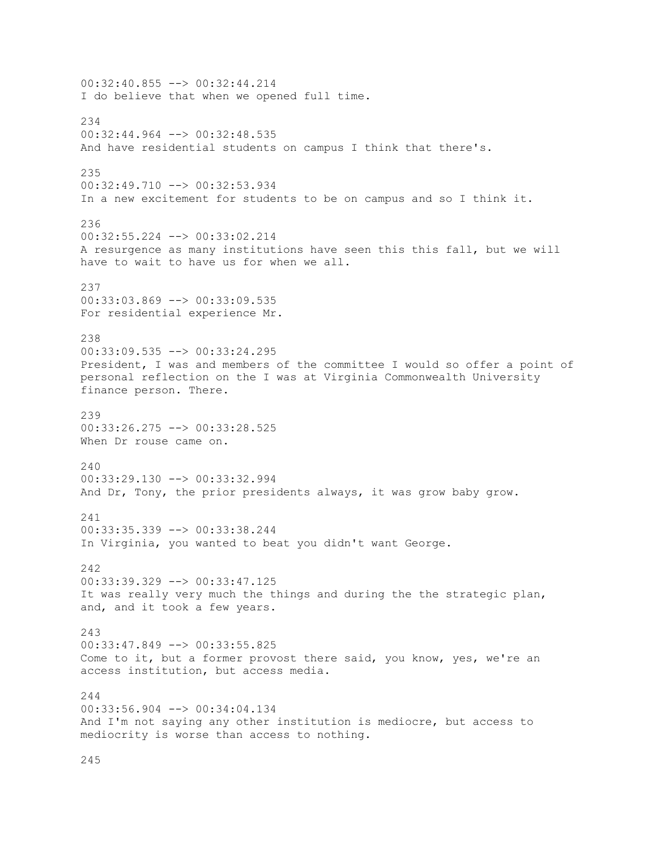00:32:40.855 --> 00:32:44.214 I do believe that when we opened full time. 234 00:32:44.964 --> 00:32:48.535 And have residential students on campus I think that there's. 235 00:32:49.710 --> 00:32:53.934 In a new excitement for students to be on campus and so I think it. 236 00:32:55.224 --> 00:33:02.214 A resurgence as many institutions have seen this this fall, but we will have to wait to have us for when we all. 237 00:33:03.869 --> 00:33:09.535 For residential experience Mr. 238 00:33:09.535 --> 00:33:24.295 President, I was and members of the committee I would so offer a point of personal reflection on the I was at Virginia Commonwealth University finance person. There. 239 00:33:26.275 --> 00:33:28.525 When Dr rouse came on.  $240$ 00:33:29.130 --> 00:33:32.994 And Dr, Tony, the prior presidents always, it was grow baby grow. 241 00:33:35.339 --> 00:33:38.244 In Virginia, you wanted to beat you didn't want George. 242 00:33:39.329 --> 00:33:47.125 It was really very much the things and during the the strategic plan, and, and it took a few years. 243 00:33:47.849 --> 00:33:55.825 Come to it, but a former provost there said, you know, yes, we're an access institution, but access media.  $211$  $00:33:56.904$  -->  $00:34:04.134$ And I'm not saying any other institution is mediocre, but access to mediocrity is worse than access to nothing.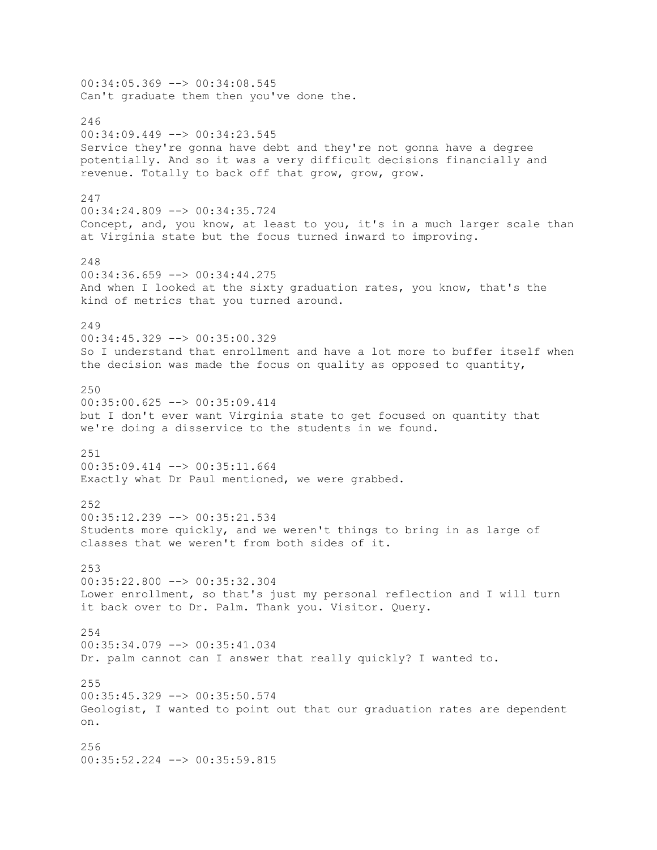00:34:05.369 --> 00:34:08.545 Can't graduate them then you've done the. 246 00:34:09.449 --> 00:34:23.545 Service they're gonna have debt and they're not gonna have a degree potentially. And so it was a very difficult decisions financially and revenue. Totally to back off that grow, grow, grow. 247 00:34:24.809 --> 00:34:35.724 Concept, and, you know, at least to you, it's in a much larger scale than at Virginia state but the focus turned inward to improving. 248  $00:34:36.659$  -->  $00:34:44.275$ And when I looked at the sixty graduation rates, you know, that's the kind of metrics that you turned around. 249 00:34:45.329 --> 00:35:00.329 So I understand that enrollment and have a lot more to buffer itself when the decision was made the focus on quality as opposed to quantity, 250 00:35:00.625 --> 00:35:09.414 but I don't ever want Virginia state to get focused on quantity that we're doing a disservice to the students in we found. 251 00:35:09.414 --> 00:35:11.664 Exactly what Dr Paul mentioned, we were grabbed. 252 00:35:12.239 --> 00:35:21.534 Students more quickly, and we weren't things to bring in as large of classes that we weren't from both sides of it. 253 00:35:22.800 --> 00:35:32.304 Lower enrollment, so that's just my personal reflection and I will turn it back over to Dr. Palm. Thank you. Visitor. Query. 254 00:35:34.079 --> 00:35:41.034 Dr. palm cannot can I answer that really quickly? I wanted to. 255 00:35:45.329 --> 00:35:50.574 Geologist, I wanted to point out that our graduation rates are dependent on. 256 00:35:52.224 --> 00:35:59.815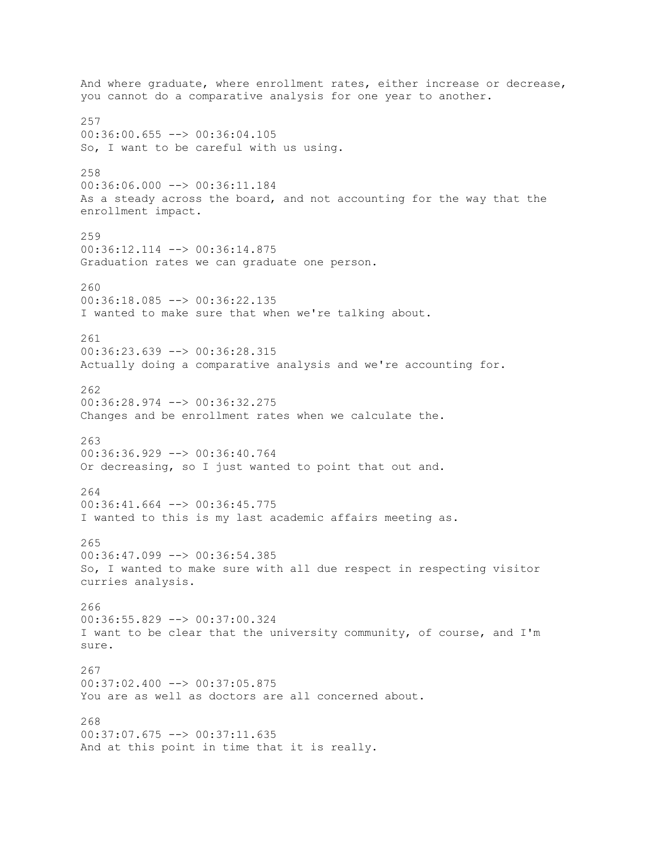And where graduate, where enrollment rates, either increase or decrease, you cannot do a comparative analysis for one year to another. 257 00:36:00.655 --> 00:36:04.105 So, I want to be careful with us using. 258 00:36:06.000 --> 00:36:11.184 As a steady across the board, and not accounting for the way that the enrollment impact. 259 00:36:12.114 --> 00:36:14.875 Graduation rates we can graduate one person. 260 00:36:18.085 --> 00:36:22.135 I wanted to make sure that when we're talking about. 261 00:36:23.639 --> 00:36:28.315 Actually doing a comparative analysis and we're accounting for. 262 00:36:28.974 --> 00:36:32.275 Changes and be enrollment rates when we calculate the. 263 00:36:36.929 --> 00:36:40.764 Or decreasing, so I just wanted to point that out and. 264  $00:36:41.664$  -->  $00:36:45.775$ I wanted to this is my last academic affairs meeting as. 265 00:36:47.099 --> 00:36:54.385 So, I wanted to make sure with all due respect in respecting visitor curries analysis. 266 00:36:55.829 --> 00:37:00.324 I want to be clear that the university community, of course, and I'm sure. 267 00:37:02.400 --> 00:37:05.875 You are as well as doctors are all concerned about. 268 00:37:07.675 --> 00:37:11.635 And at this point in time that it is really.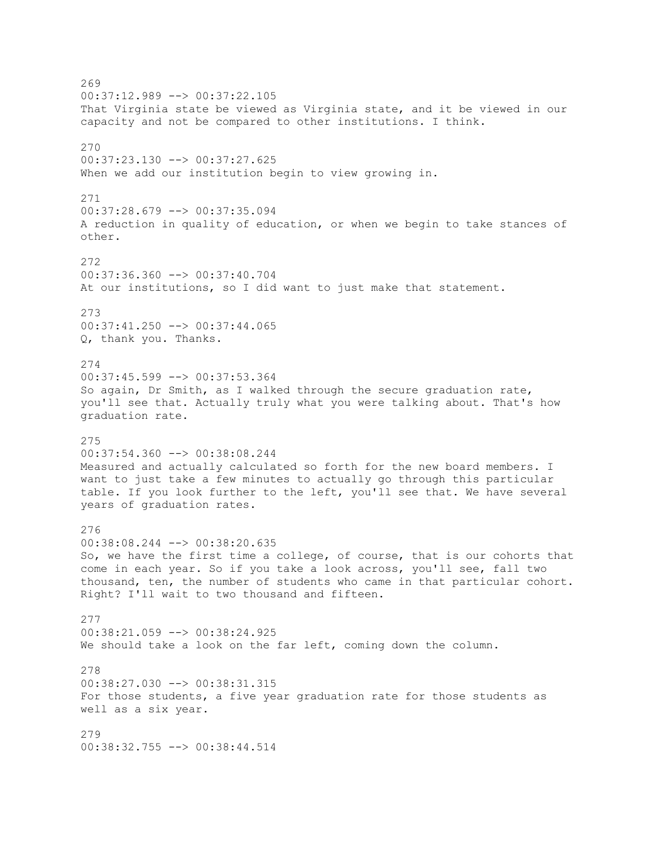269 00:37:12.989 --> 00:37:22.105 That Virginia state be viewed as Virginia state, and it be viewed in our capacity and not be compared to other institutions. I think. 270 00:37:23.130 --> 00:37:27.625 When we add our institution begin to view growing in. 271 00:37:28.679 --> 00:37:35.094 A reduction in quality of education, or when we begin to take stances of other. 272 00:37:36.360 --> 00:37:40.704 At our institutions, so I did want to just make that statement. 273 00:37:41.250 --> 00:37:44.065 Q, thank you. Thanks. 274 00:37:45.599 --> 00:37:53.364 So again, Dr Smith, as I walked through the secure graduation rate, you'll see that. Actually truly what you were talking about. That's how graduation rate. 275 00:37:54.360 --> 00:38:08.244 Measured and actually calculated so forth for the new board members. I want to just take a few minutes to actually go through this particular table. If you look further to the left, you'll see that. We have several years of graduation rates. 276 00:38:08.244 --> 00:38:20.635 So, we have the first time a college, of course, that is our cohorts that come in each year. So if you take a look across, you'll see, fall two thousand, ten, the number of students who came in that particular cohort. Right? I'll wait to two thousand and fifteen. 277 00:38:21.059 --> 00:38:24.925 We should take a look on the far left, coming down the column. 278 00:38:27.030 --> 00:38:31.315 For those students, a five year graduation rate for those students as well as a six year. 279 00:38:32.755 --> 00:38:44.514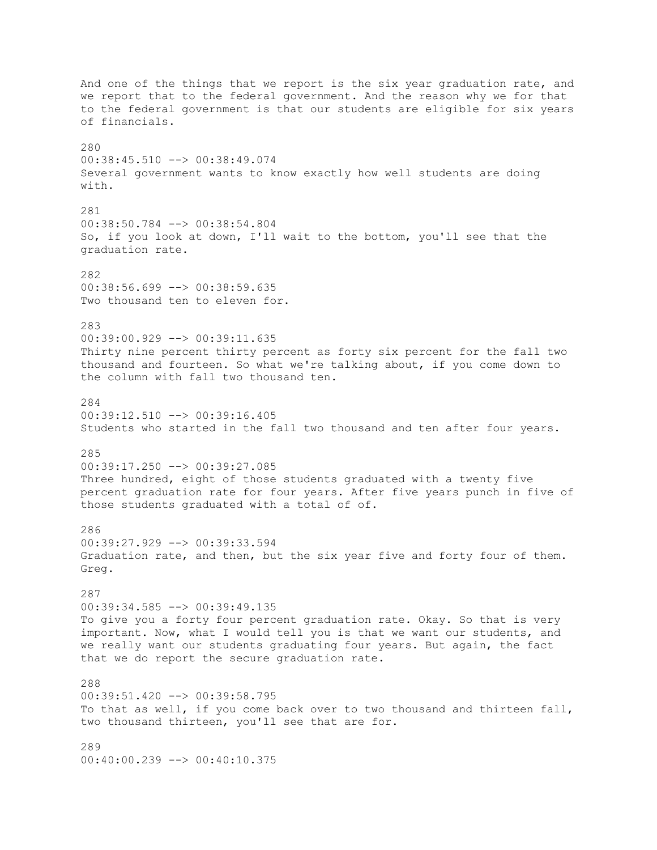And one of the things that we report is the six year graduation rate, and we report that to the federal government. And the reason why we for that to the federal government is that our students are eligible for six years of financials. 280 00:38:45.510 --> 00:38:49.074 Several government wants to know exactly how well students are doing with. 281 00:38:50.784 --> 00:38:54.804 So, if you look at down, I'll wait to the bottom, you'll see that the graduation rate. 282 00:38:56.699 --> 00:38:59.635 Two thousand ten to eleven for. 283 00:39:00.929 --> 00:39:11.635 Thirty nine percent thirty percent as forty six percent for the fall two thousand and fourteen. So what we're talking about, if you come down to the column with fall two thousand ten. 284  $00:39:12.510$  -->  $00:39:16.405$ Students who started in the fall two thousand and ten after four years. 285 00:39:17.250 --> 00:39:27.085 Three hundred, eight of those students graduated with a twenty five percent graduation rate for four years. After five years punch in five of those students graduated with a total of of. 286 00:39:27.929 --> 00:39:33.594 Graduation rate, and then, but the six year five and forty four of them. Greg. 287 00:39:34.585 --> 00:39:49.135 To give you a forty four percent graduation rate. Okay. So that is very important. Now, what I would tell you is that we want our students, and we really want our students graduating four years. But again, the fact that we do report the secure graduation rate. 288 00:39:51.420 --> 00:39:58.795 To that as well, if you come back over to two thousand and thirteen fall, two thousand thirteen, you'll see that are for. 289

00:40:00.239 --> 00:40:10.375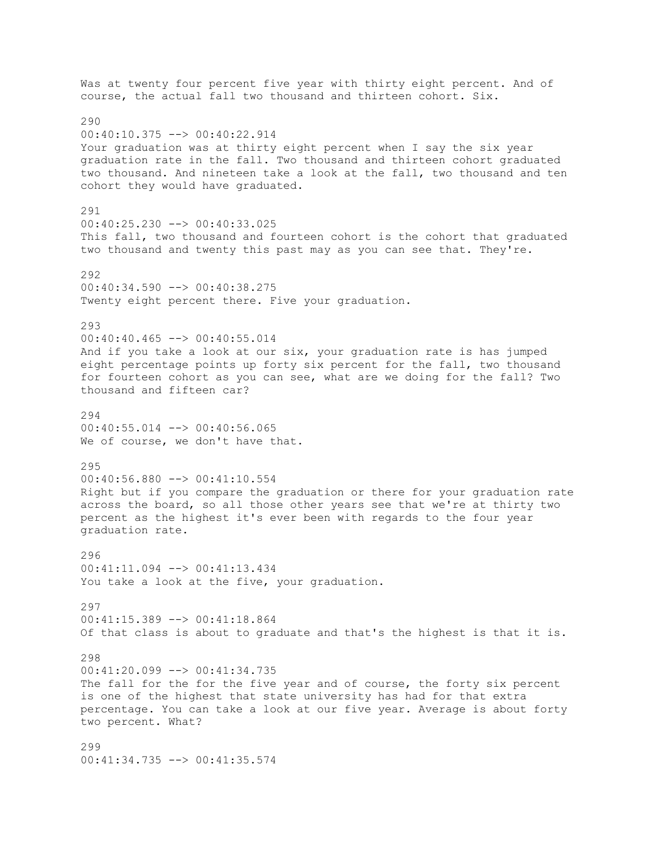Was at twenty four percent five year with thirty eight percent. And of course, the actual fall two thousand and thirteen cohort. Six. 290 00:40:10.375 --> 00:40:22.914 Your graduation was at thirty eight percent when I say the six year graduation rate in the fall. Two thousand and thirteen cohort graduated two thousand. And nineteen take a look at the fall, two thousand and ten cohort they would have graduated. 291 00:40:25.230 --> 00:40:33.025 This fall, two thousand and fourteen cohort is the cohort that graduated two thousand and twenty this past may as you can see that. They're. 292 00:40:34.590 --> 00:40:38.275 Twenty eight percent there. Five your graduation. 293 00:40:40.465 --> 00:40:55.014 And if you take a look at our six, your graduation rate is has jumped eight percentage points up forty six percent for the fall, two thousand for fourteen cohort as you can see, what are we doing for the fall? Two thousand and fifteen car? 294 00:40:55.014 --> 00:40:56.065 We of course, we don't have that. 295 00:40:56.880 --> 00:41:10.554 Right but if you compare the graduation or there for your graduation rate across the board, so all those other years see that we're at thirty two percent as the highest it's ever been with regards to the four year graduation rate. 296 00:41:11.094 --> 00:41:13.434 You take a look at the five, your graduation. 297 00:41:15.389 --> 00:41:18.864 Of that class is about to graduate and that's the highest is that it is. 298 00:41:20.099 --> 00:41:34.735 The fall for the for the five year and of course, the forty six percent is one of the highest that state university has had for that extra percentage. You can take a look at our five year. Average is about forty two percent. What? 299 00:41:34.735 --> 00:41:35.574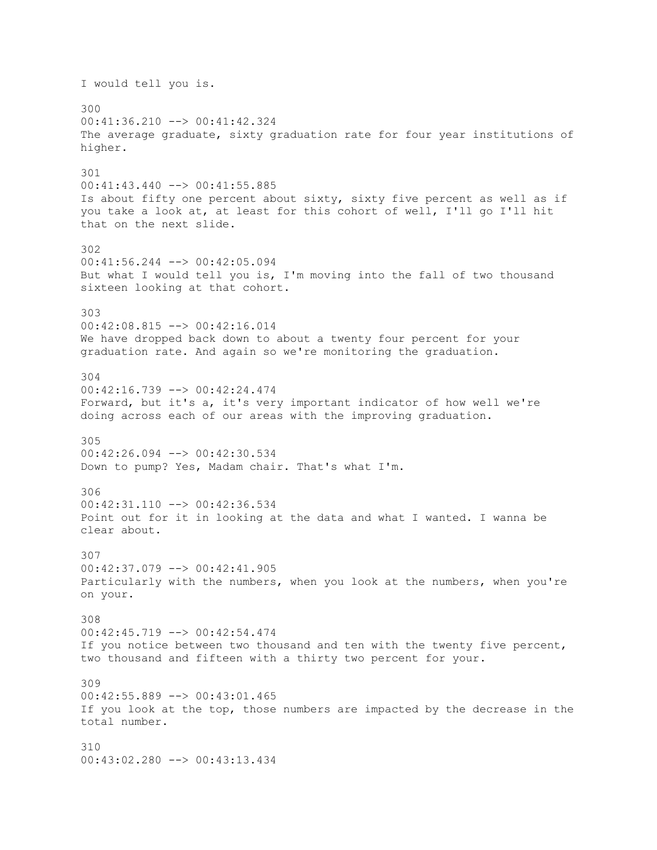I would tell you is. 300 00:41:36.210 --> 00:41:42.324 The average graduate, sixty graduation rate for four year institutions of higher. 301 00:41:43.440 --> 00:41:55.885 Is about fifty one percent about sixty, sixty five percent as well as if you take a look at, at least for this cohort of well, I'll go I'll hit that on the next slide. 302 00:41:56.244 --> 00:42:05.094 But what I would tell you is, I'm moving into the fall of two thousand sixteen looking at that cohort. 303 00:42:08.815 --> 00:42:16.014 We have dropped back down to about a twenty four percent for your graduation rate. And again so we're monitoring the graduation. 304 00:42:16.739 --> 00:42:24.474 Forward, but it's a, it's very important indicator of how well we're doing across each of our areas with the improving graduation. 305 00:42:26.094 --> 00:42:30.534 Down to pump? Yes, Madam chair. That's what I'm. 306  $00:42:31.110$  -->  $00:42:36.534$ Point out for it in looking at the data and what I wanted. I wanna be clear about. 307 00:42:37.079 --> 00:42:41.905 Particularly with the numbers, when you look at the numbers, when you're on your. 308 00:42:45.719 --> 00:42:54.474 If you notice between two thousand and ten with the twenty five percent, two thousand and fifteen with a thirty two percent for your. 309 00:42:55.889 --> 00:43:01.465 If you look at the top, those numbers are impacted by the decrease in the total number. 310 00:43:02.280 --> 00:43:13.434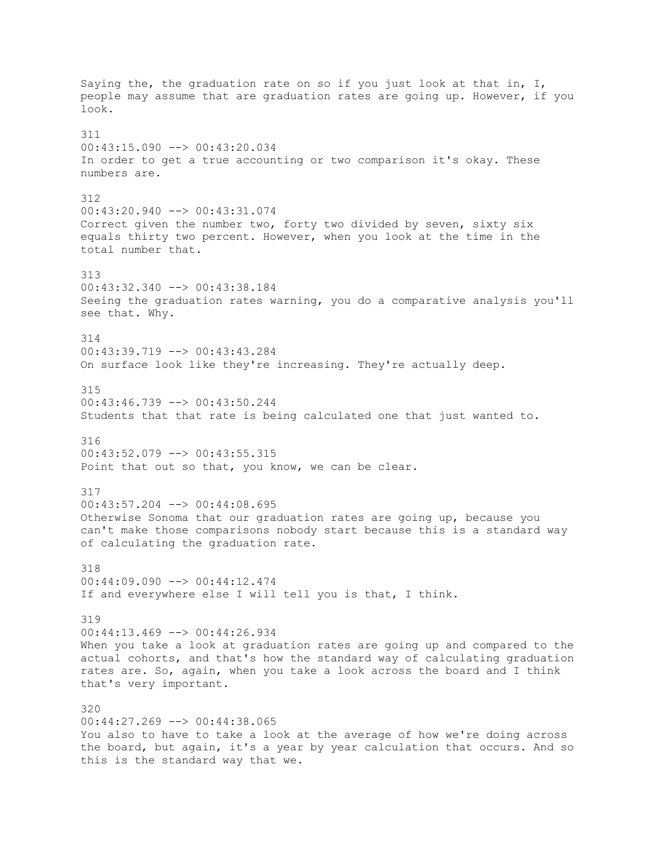Saying the, the graduation rate on so if you just look at that in, I, people may assume that are graduation rates are going up. However, if you look. 311 00:43:15.090 --> 00:43:20.034 In order to get a true accounting or two comparison it's okay. These numbers are. 312 00:43:20.940 --> 00:43:31.074 Correct given the number two, forty two divided by seven, sixty six equals thirty two percent. However, when you look at the time in the total number that. 313 00:43:32.340 --> 00:43:38.184 Seeing the graduation rates warning, you do a comparative analysis you'll see that. Why. 314 00:43:39.719 --> 00:43:43.284 On surface look like they're increasing. They're actually deep. 315 00:43:46.739 --> 00:43:50.244 Students that that rate is being calculated one that just wanted to. 316 00:43:52.079 --> 00:43:55.315 Point that out so that, you know, we can be clear. 317  $00:43:57.204$  -->  $00:44:08.695$ Otherwise Sonoma that our graduation rates are going up, because you can't make those comparisons nobody start because this is a standard way of calculating the graduation rate. 318 00:44:09.090 --> 00:44:12.474 If and everywhere else I will tell you is that, I think. 319 00:44:13.469 --> 00:44:26.934 When you take a look at graduation rates are going up and compared to the actual cohorts, and that's how the standard way of calculating graduation rates are. So, again, when you take a look across the board and I think that's very important. 320 00:44:27.269 --> 00:44:38.065 You also to have to take a look at the average of how we're doing across the board, but again, it's a year by year calculation that occurs. And so this is the standard way that we.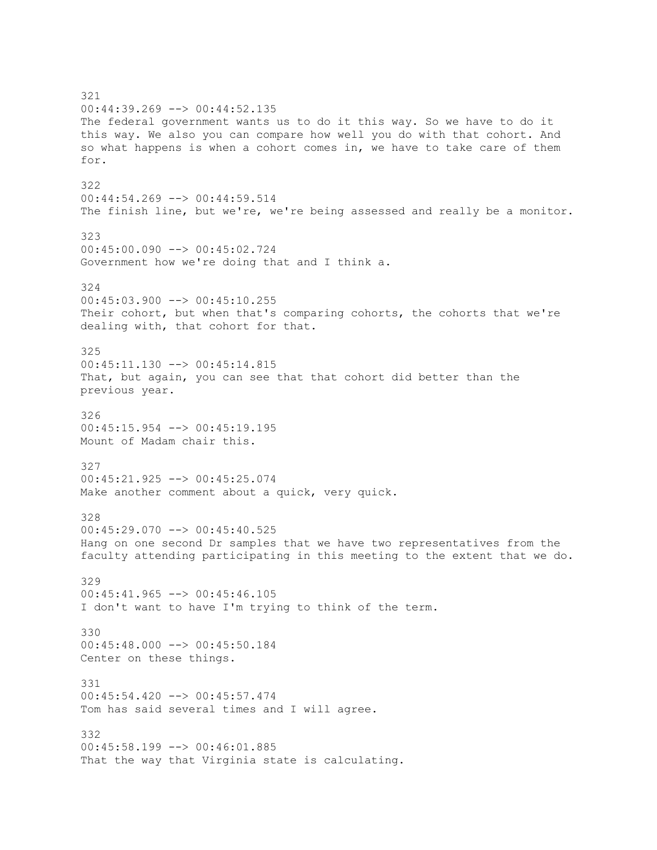321 00:44:39.269 --> 00:44:52.135 The federal government wants us to do it this way. So we have to do it this way. We also you can compare how well you do with that cohort. And so what happens is when a cohort comes in, we have to take care of them for. 322 00:44:54.269 --> 00:44:59.514 The finish line, but we're, we're being assessed and really be a monitor. 323 00:45:00.090 --> 00:45:02.724 Government how we're doing that and I think a. 324 00:45:03.900 --> 00:45:10.255 Their cohort, but when that's comparing cohorts, the cohorts that we're dealing with, that cohort for that. 325 00:45:11.130 --> 00:45:14.815 That, but again, you can see that that cohort did better than the previous year. 326 00:45:15.954 --> 00:45:19.195 Mount of Madam chair this. 327 00:45:21.925 --> 00:45:25.074 Make another comment about a quick, very quick. 328 00:45:29.070 --> 00:45:40.525 Hang on one second Dr samples that we have two representatives from the faculty attending participating in this meeting to the extent that we do. 329  $00:45:41.965$  -->  $00:45:46.105$ I don't want to have I'm trying to think of the term. 330 00:45:48.000 --> 00:45:50.184 Center on these things. 331 00:45:54.420 --> 00:45:57.474 Tom has said several times and I will agree. 332 00:45:58.199 --> 00:46:01.885 That the way that Virginia state is calculating.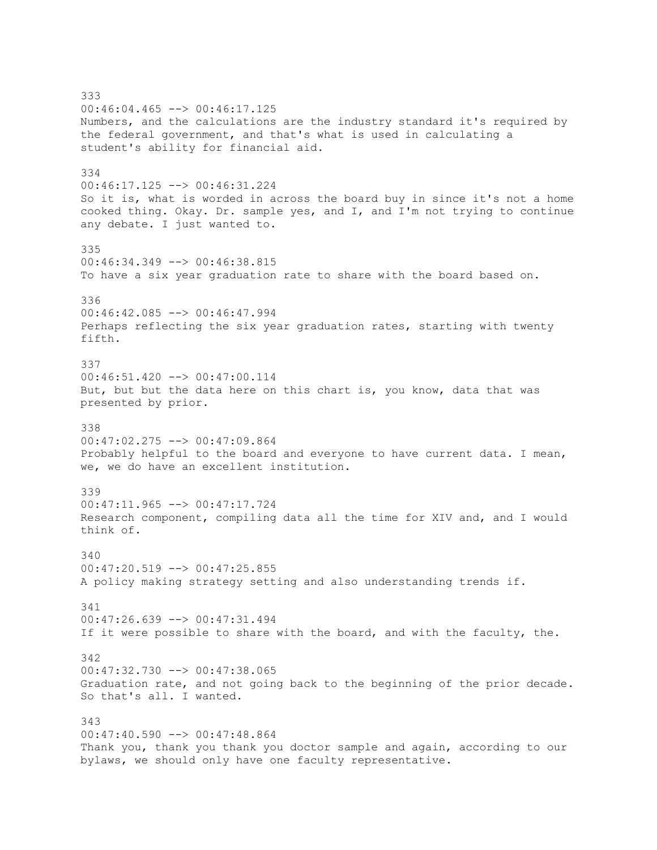333 00:46:04.465 --> 00:46:17.125 Numbers, and the calculations are the industry standard it's required by the federal government, and that's what is used in calculating a student's ability for financial aid. 334 00:46:17.125 --> 00:46:31.224 So it is, what is worded in across the board buy in since it's not a home cooked thing. Okay. Dr. sample yes, and I, and I'm not trying to continue any debate. I just wanted to. 335 00:46:34.349 --> 00:46:38.815 To have a six year graduation rate to share with the board based on. 336 00:46:42.085 --> 00:46:47.994 Perhaps reflecting the six year graduation rates, starting with twenty fifth. 337 00:46:51.420 --> 00:47:00.114 But, but but the data here on this chart is, you know, data that was presented by prior. 338 00:47:02.275 --> 00:47:09.864 Probably helpful to the board and everyone to have current data. I mean, we, we do have an excellent institution. 339  $00:47:11.965$  -->  $00:47:17.724$ Research component, compiling data all the time for XIV and, and I would think of. 340  $00:47:20.519$  -->  $00:47:25.855$ A policy making strategy setting and also understanding trends if. 341 00:47:26.639 --> 00:47:31.494 If it were possible to share with the board, and with the faculty, the. 342 00:47:32.730 --> 00:47:38.065 Graduation rate, and not going back to the beginning of the prior decade. So that's all. I wanted. 343  $00:47:40.590$  -->  $00:47:48.864$ Thank you, thank you thank you doctor sample and again, according to our bylaws, we should only have one faculty representative.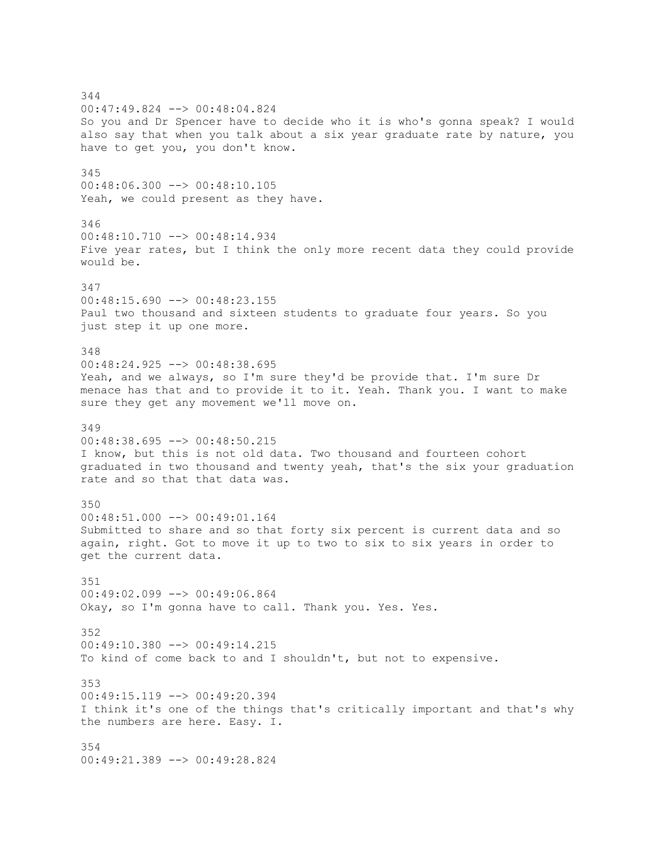344 00:47:49.824 --> 00:48:04.824 So you and Dr Spencer have to decide who it is who's gonna speak? I would also say that when you talk about a six year graduate rate by nature, you have to get you, you don't know. 345 00:48:06.300 --> 00:48:10.105 Yeah, we could present as they have. 346  $00:48:10.710$  -->  $00:48:14.934$ Five year rates, but I think the only more recent data they could provide would be. 347 00:48:15.690 --> 00:48:23.155 Paul two thousand and sixteen students to graduate four years. So you just step it up one more. 348 00:48:24.925 --> 00:48:38.695 Yeah, and we always, so I'm sure they'd be provide that. I'm sure Dr menace has that and to provide it to it. Yeah. Thank you. I want to make sure they get any movement we'll move on. 349 00:48:38.695 --> 00:48:50.215 I know, but this is not old data. Two thousand and fourteen cohort graduated in two thousand and twenty yeah, that's the six your graduation rate and so that that data was. 350 00:48:51.000 --> 00:49:01.164 Submitted to share and so that forty six percent is current data and so again, right. Got to move it up to two to six to six years in order to get the current data. 351 00:49:02.099 --> 00:49:06.864 Okay, so I'm gonna have to call. Thank you. Yes. Yes. 352 00:49:10.380 --> 00:49:14.215 To kind of come back to and I shouldn't, but not to expensive. 353 00:49:15.119 --> 00:49:20.394 I think it's one of the things that's critically important and that's why the numbers are here. Easy. I. 354 00:49:21.389 --> 00:49:28.824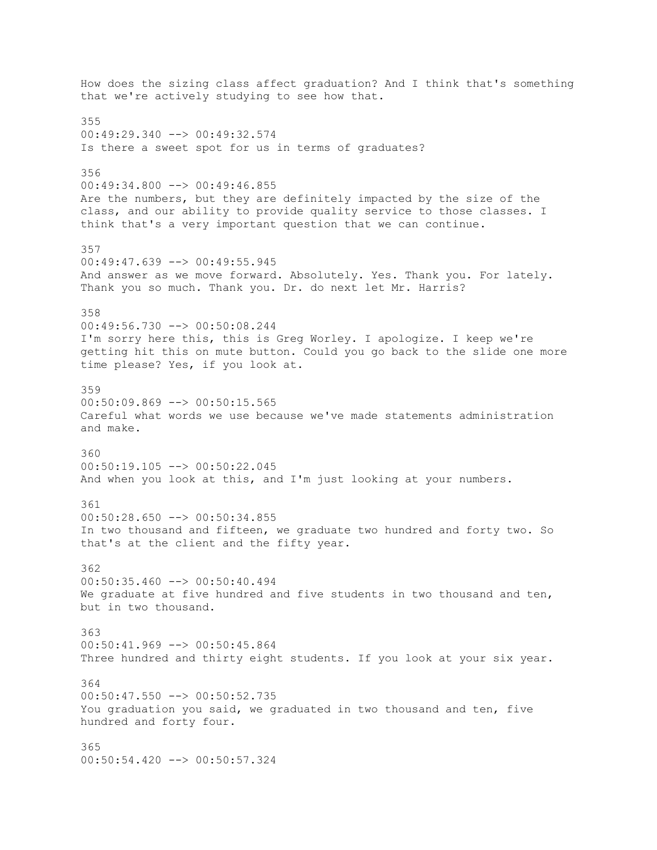How does the sizing class affect graduation? And I think that's something that we're actively studying to see how that. 355 00:49:29.340 --> 00:49:32.574 Is there a sweet spot for us in terms of graduates? 356  $00:49:34.800$  -->  $00:49:46.855$ Are the numbers, but they are definitely impacted by the size of the class, and our ability to provide quality service to those classes. I think that's a very important question that we can continue. 357 00:49:47.639 --> 00:49:55.945 And answer as we move forward. Absolutely. Yes. Thank you. For lately. Thank you so much. Thank you. Dr. do next let Mr. Harris? 358 00:49:56.730 --> 00:50:08.244 I'm sorry here this, this is Greg Worley. I apologize. I keep we're getting hit this on mute button. Could you go back to the slide one more time please? Yes, if you look at. 359  $00:50:09.869$  -->  $00:50:15.565$ Careful what words we use because we've made statements administration and make. 360 00:50:19.105 --> 00:50:22.045 And when you look at this, and I'm just looking at your numbers. 361  $00:50:28.650$  -->  $00:50:34.855$ In two thousand and fifteen, we graduate two hundred and forty two. So that's at the client and the fifty year. 362 00:50:35.460 --> 00:50:40.494 We graduate at five hundred and five students in two thousand and ten, but in two thousand. 363  $00:50:41.969$  -->  $00:50:45.864$ Three hundred and thirty eight students. If you look at your six year. 364 00:50:47.550 --> 00:50:52.735 You graduation you said, we graduated in two thousand and ten, five hundred and forty four. 365 00:50:54.420 --> 00:50:57.324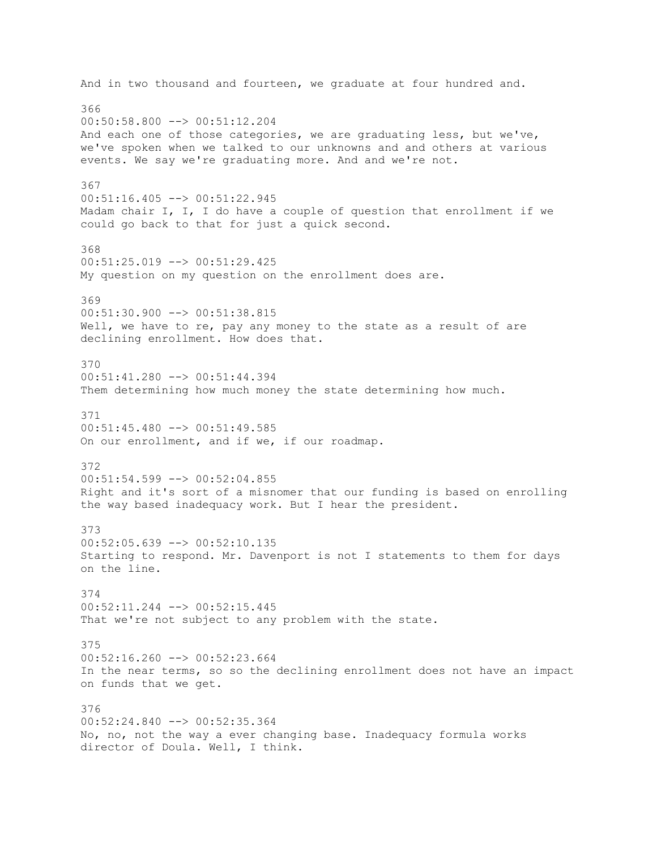And in two thousand and fourteen, we graduate at four hundred and. 366 00:50:58.800 --> 00:51:12.204 And each one of those categories, we are graduating less, but we've, we've spoken when we talked to our unknowns and and others at various events. We say we're graduating more. And and we're not. 367 00:51:16.405 --> 00:51:22.945 Madam chair I, I, I do have a couple of question that enrollment if we could go back to that for just a quick second. 368  $00:51:25.019$  -->  $00:51:29.425$ My question on my question on the enrollment does are. 369 00:51:30.900 --> 00:51:38.815 Well, we have to re, pay any money to the state as a result of are declining enrollment. How does that. 370 00:51:41.280 --> 00:51:44.394 Them determining how much money the state determining how much. 371  $00:51:45.480$  -->  $00:51:49.585$ On our enrollment, and if we, if our roadmap. 372  $00:51:54.599$  -->  $00:52:04.855$ Right and it's sort of a misnomer that our funding is based on enrolling the way based inadequacy work. But I hear the president. 373 00:52:05.639 --> 00:52:10.135 Starting to respond. Mr. Davenport is not I statements to them for days on the line. 374 00:52:11.244 --> 00:52:15.445 That we're not subject to any problem with the state. 375  $00:52:16.260$  -->  $00:52:23.664$ In the near terms, so so the declining enrollment does not have an impact on funds that we get. 376 00:52:24.840 --> 00:52:35.364 No, no, not the way a ever changing base. Inadequacy formula works director of Doula. Well, I think.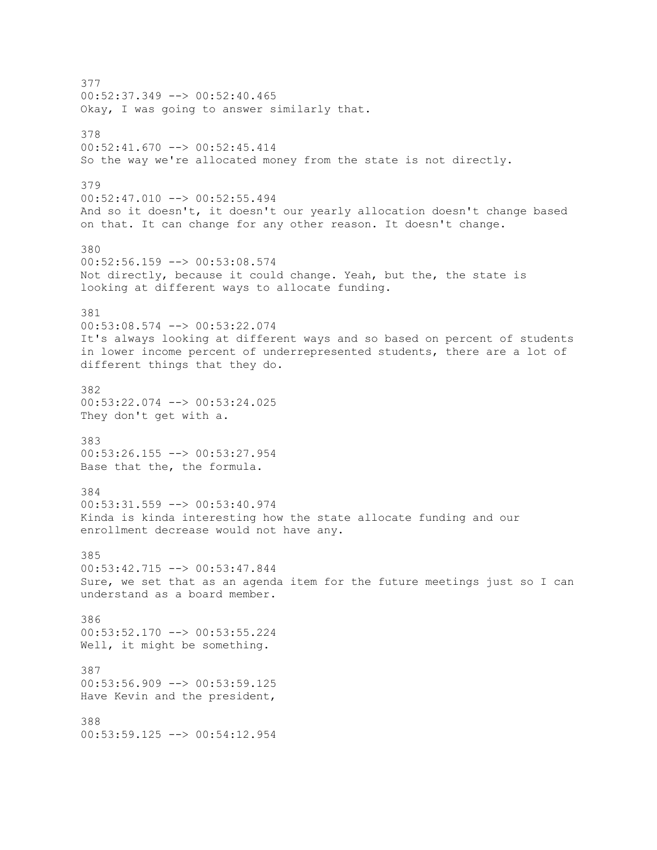377  $00:52:37.349$  -->  $00:52:40.465$ Okay, I was going to answer similarly that. 378 00:52:41.670 --> 00:52:45.414 So the way we're allocated money from the state is not directly. 379 00:52:47.010 --> 00:52:55.494 And so it doesn't, it doesn't our yearly allocation doesn't change based on that. It can change for any other reason. It doesn't change. 380 00:52:56.159 --> 00:53:08.574 Not directly, because it could change. Yeah, but the, the state is looking at different ways to allocate funding. 381 00:53:08.574 --> 00:53:22.074 It's always looking at different ways and so based on percent of students in lower income percent of underrepresented students, there are a lot of different things that they do. 382 00:53:22.074 --> 00:53:24.025 They don't get with a. 383 00:53:26.155 --> 00:53:27.954 Base that the, the formula. 384  $00:53:31.559$  -->  $00:53:40.974$ Kinda is kinda interesting how the state allocate funding and our enrollment decrease would not have any. 385 00:53:42.715 --> 00:53:47.844 Sure, we set that as an agenda item for the future meetings just so I can understand as a board member. 386 00:53:52.170 --> 00:53:55.224 Well, it might be something. 387 00:53:56.909 --> 00:53:59.125 Have Kevin and the president, 388 00:53:59.125 --> 00:54:12.954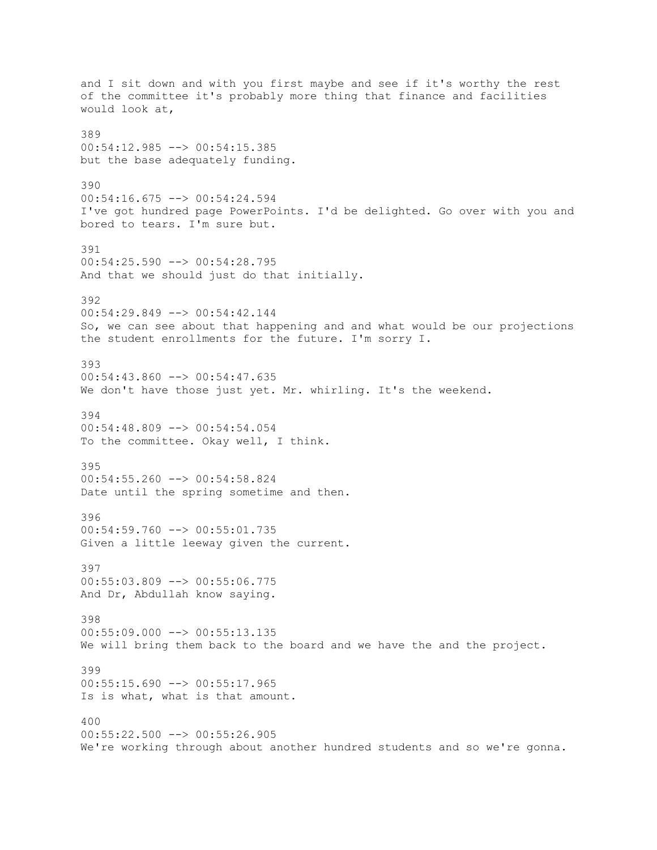and I sit down and with you first maybe and see if it's worthy the rest of the committee it's probably more thing that finance and facilities would look at, 389 00:54:12.985 --> 00:54:15.385 but the base adequately funding. 390 00:54:16.675 --> 00:54:24.594 I've got hundred page PowerPoints. I'd be delighted. Go over with you and bored to tears. I'm sure but. 391 00:54:25.590 --> 00:54:28.795 And that we should just do that initially. 392 00:54:29.849 --> 00:54:42.144 So, we can see about that happening and and what would be our projections the student enrollments for the future. I'm sorry I. 393 00:54:43.860 --> 00:54:47.635 We don't have those just yet. Mr. whirling. It's the weekend. 394  $00:54:48.809$  -->  $00:54:54.054$ To the committee. Okay well, I think. 395 00:54:55.260 --> 00:54:58.824 Date until the spring sometime and then. 396 00:54:59.760 --> 00:55:01.735 Given a little leeway given the current. 397 00:55:03.809 --> 00:55:06.775 And Dr, Abdullah know saying. 398 00:55:09.000 --> 00:55:13.135 We will bring them back to the board and we have the and the project. 399 00:55:15.690 --> 00:55:17.965 Is is what, what is that amount. 400 00:55:22.500 --> 00:55:26.905 We're working through about another hundred students and so we're gonna.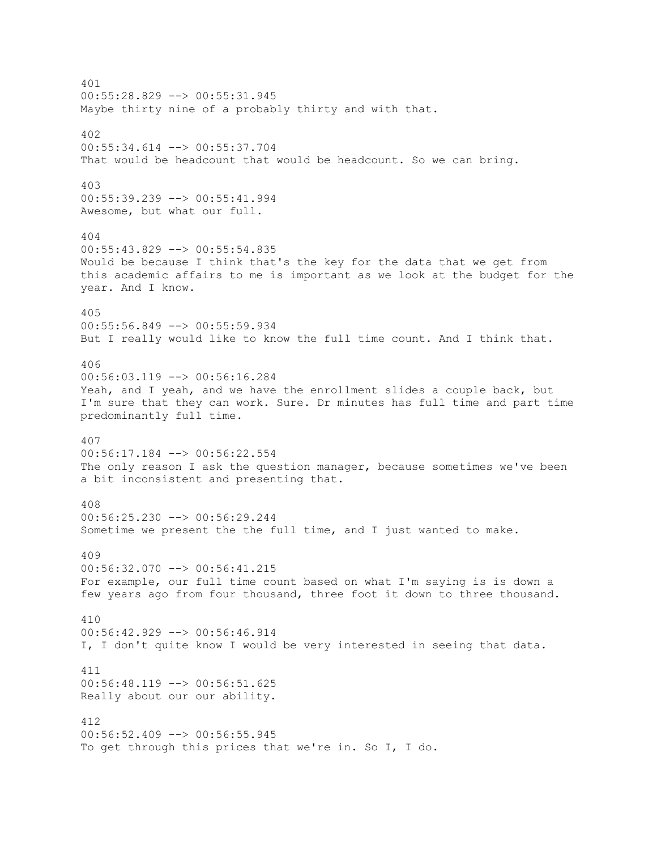401 00:55:28.829 --> 00:55:31.945 Maybe thirty nine of a probably thirty and with that. 402 00:55:34.614 --> 00:55:37.704 That would be headcount that would be headcount. So we can bring. 403 00:55:39.239 --> 00:55:41.994 Awesome, but what our full. 404 00:55:43.829 --> 00:55:54.835 Would be because I think that's the key for the data that we get from this academic affairs to me is important as we look at the budget for the year. And I know. 405 00:55:56.849 --> 00:55:59.934 But I really would like to know the full time count. And I think that. 406 00:56:03.119 --> 00:56:16.284 Yeah, and I yeah, and we have the enrollment slides a couple back, but I'm sure that they can work. Sure. Dr minutes has full time and part time predominantly full time. 407 00:56:17.184 --> 00:56:22.554 The only reason I ask the question manager, because sometimes we've been a bit inconsistent and presenting that. 408 00:56:25.230 --> 00:56:29.244 Sometime we present the the full time, and I just wanted to make. 409 00:56:32.070 --> 00:56:41.215 For example, our full time count based on what I'm saying is is down a few years ago from four thousand, three foot it down to three thousand. 410 00:56:42.929 --> 00:56:46.914 I, I don't quite know I would be very interested in seeing that data. 411 00:56:48.119 --> 00:56:51.625 Really about our our ability. 412  $00:56:52.409$  -->  $00:56:55.945$ To get through this prices that we're in. So I, I do.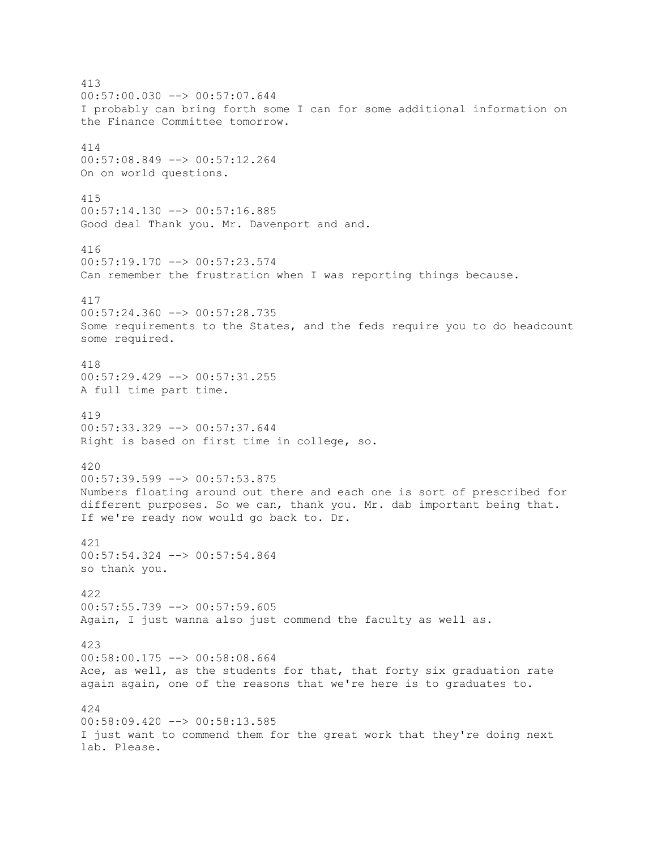413  $00:57:00.030$   $\leftarrow$   $>$  00:57:07.644 I probably can bring forth some I can for some additional information on the Finance Committee tomorrow. 414 00:57:08.849 --> 00:57:12.264 On on world questions. 415 00:57:14.130 --> 00:57:16.885 Good deal Thank you. Mr. Davenport and and. 416  $00:57:19.170$  -->  $00:57:23.574$ Can remember the frustration when I was reporting things because. 417 00:57:24.360 --> 00:57:28.735 Some requirements to the States, and the feds require you to do headcount some required. 418 00:57:29.429 --> 00:57:31.255 A full time part time. 419 00:57:33.329 --> 00:57:37.644 Right is based on first time in college, so. 420 00:57:39.599 --> 00:57:53.875 Numbers floating around out there and each one is sort of prescribed for different purposes. So we can, thank you. Mr. dab important being that. If we're ready now would go back to. Dr. 421 00:57:54.324 --> 00:57:54.864 so thank you. 422 00:57:55.739 --> 00:57:59.605 Again, I just wanna also just commend the faculty as well as. 423 00:58:00.175 --> 00:58:08.664 Ace, as well, as the students for that, that forty six graduation rate again again, one of the reasons that we're here is to graduates to. 424 00:58:09.420 --> 00:58:13.585 I just want to commend them for the great work that they're doing next lab. Please.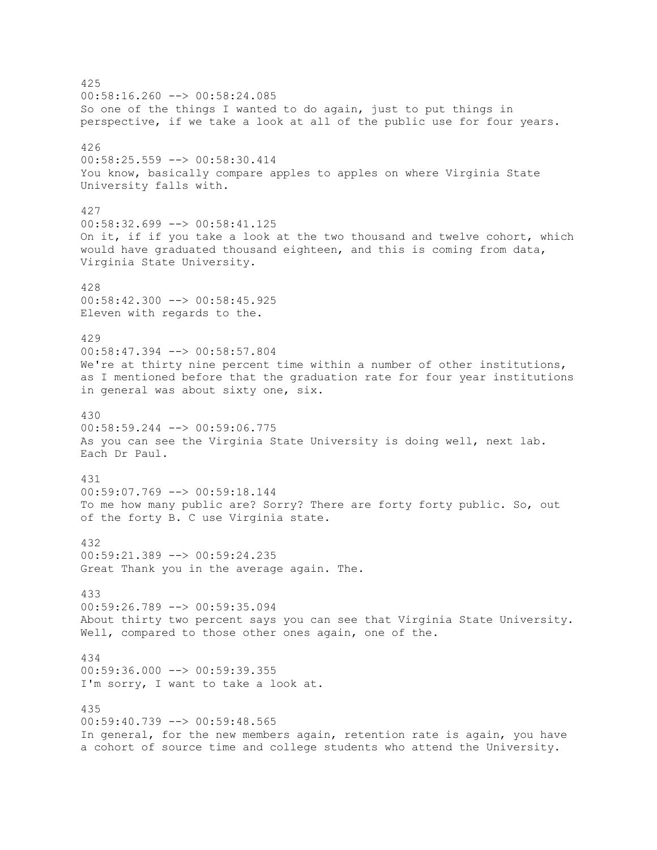425  $00:58:16.260$  -->  $00:58:24.085$ So one of the things I wanted to do again, just to put things in perspective, if we take a look at all of the public use for four years. 426 00:58:25.559 --> 00:58:30.414 You know, basically compare apples to apples on where Virginia State University falls with. 427 00:58:32.699 --> 00:58:41.125 On it, if if you take a look at the two thousand and twelve cohort, which would have graduated thousand eighteen, and this is coming from data, Virginia State University. 428 00:58:42.300 --> 00:58:45.925 Eleven with regards to the. 429 00:58:47.394 --> 00:58:57.804 We're at thirty nine percent time within a number of other institutions, as I mentioned before that the graduation rate for four year institutions in general was about sixty one, six. 430 00:58:59.244 --> 00:59:06.775 As you can see the Virginia State University is doing well, next lab. Each Dr Paul. 431 00:59:07.769 --> 00:59:18.144 To me how many public are? Sorry? There are forty forty public. So, out of the forty B. C use Virginia state. 432 00:59:21.389 --> 00:59:24.235 Great Thank you in the average again. The. 433 00:59:26.789 --> 00:59:35.094 About thirty two percent says you can see that Virginia State University. Well, compared to those other ones again, one of the. 434 00:59:36.000 --> 00:59:39.355 I'm sorry, I want to take a look at. 435 00:59:40.739 --> 00:59:48.565 In general, for the new members again, retention rate is again, you have a cohort of source time and college students who attend the University.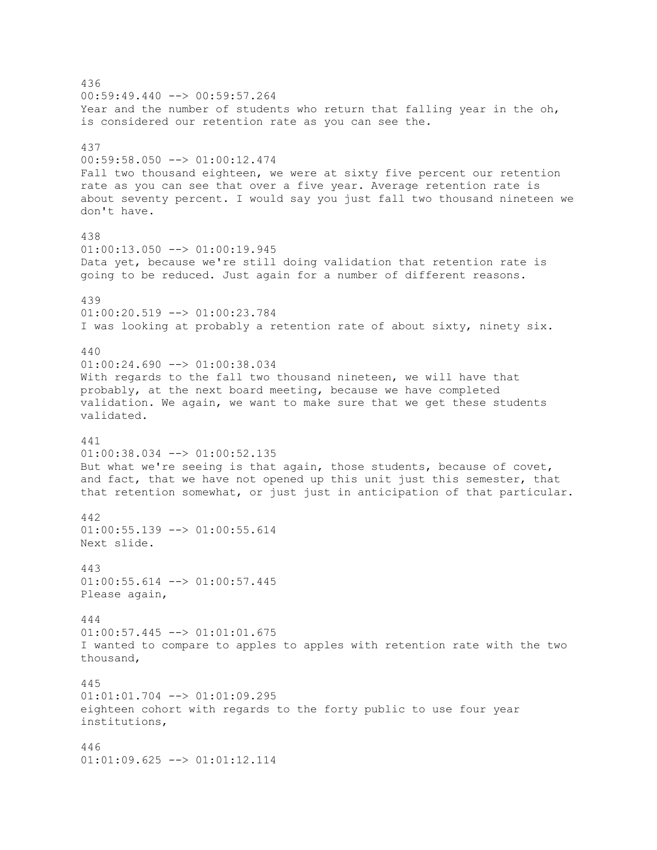436  $00:59:49.440$   $\longrightarrow$   $00:59:57.264$ Year and the number of students who return that falling year in the oh, is considered our retention rate as you can see the. 437 00:59:58.050 --> 01:00:12.474 Fall two thousand eighteen, we were at sixty five percent our retention rate as you can see that over a five year. Average retention rate is about seventy percent. I would say you just fall two thousand nineteen we don't have. 438  $01:00:13.050$  -->  $01:00:19.945$ Data yet, because we're still doing validation that retention rate is going to be reduced. Just again for a number of different reasons. 439 01:00:20.519 --> 01:00:23.784 I was looking at probably a retention rate of about sixty, ninety six. 440 01:00:24.690 --> 01:00:38.034 With regards to the fall two thousand nineteen, we will have that probably, at the next board meeting, because we have completed validation. We again, we want to make sure that we get these students validated. 441 01:00:38.034 --> 01:00:52.135 But what we're seeing is that again, those students, because of covet, and fact, that we have not opened up this unit just this semester, that that retention somewhat, or just just in anticipation of that particular. 442  $01:00:55.139$  -->  $01:00:55.614$ Next slide. 443  $01:00:55.614$  -->  $01:00:57.445$ Please again, 444 01:00:57.445 --> 01:01:01.675 I wanted to compare to apples to apples with retention rate with the two thousand, 445 01:01:01.704 --> 01:01:09.295 eighteen cohort with regards to the forty public to use four year institutions, 446 01:01:09.625 --> 01:01:12.114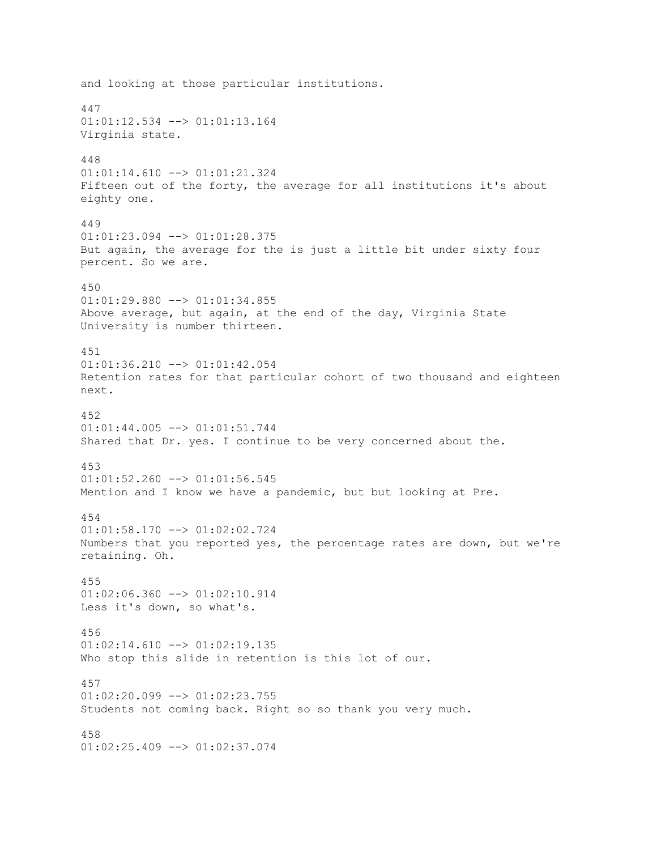and looking at those particular institutions. 447 01:01:12.534 --> 01:01:13.164 Virginia state. 448 01:01:14.610 --> 01:01:21.324 Fifteen out of the forty, the average for all institutions it's about eighty one. 449 01:01:23.094 --> 01:01:28.375 But again, the average for the is just a little bit under sixty four percent. So we are. 450 01:01:29.880 --> 01:01:34.855 Above average, but again, at the end of the day, Virginia State University is number thirteen. 451 01:01:36.210 --> 01:01:42.054 Retention rates for that particular cohort of two thousand and eighteen next. 452  $01:01:44.005$   $\leftarrow$   $>$   $01:01:51.744$ Shared that Dr. yes. I continue to be very concerned about the. 453  $01:01:52.260$  -->  $01:01:56.545$ Mention and I know we have a pandemic, but but looking at Pre. 454  $01:01:58.170$  -->  $01:02:02.724$ Numbers that you reported yes, the percentage rates are down, but we're retaining. Oh. 455  $01:02:06.360$  -->  $01:02:10.914$ Less it's down, so what's. 456  $01:02:14.610$  -->  $01:02:19.135$ Who stop this slide in retention is this lot of our. 457  $01:02:20.099$  -->  $01:02:23.755$ Students not coming back. Right so so thank you very much. 458 01:02:25.409 --> 01:02:37.074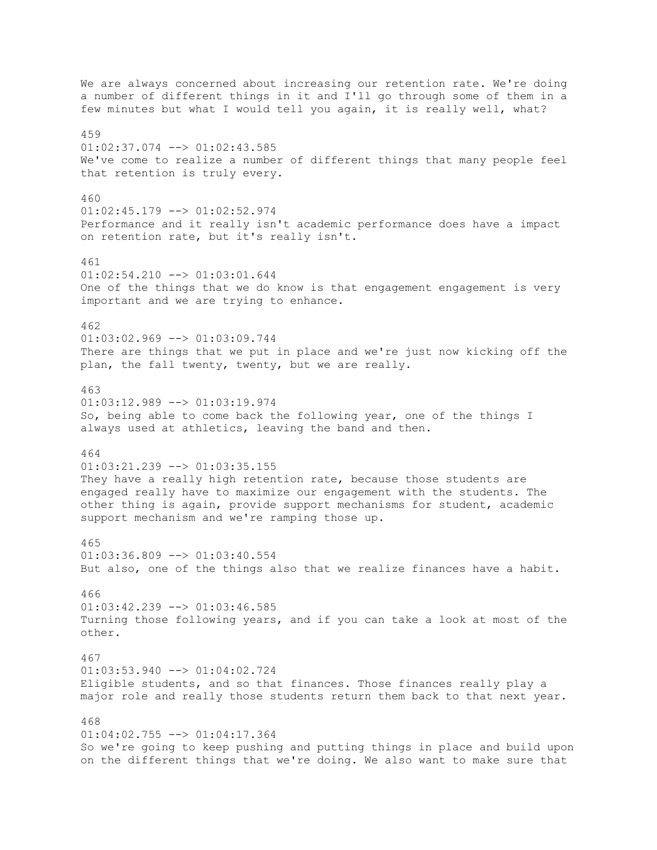We are always concerned about increasing our retention rate. We're doing a number of different things in it and I'll go through some of them in a few minutes but what I would tell you again, it is really well, what? 459  $01:02:37.074$  -->  $01:02:43.585$ We've come to realize a number of different things that many people feel that retention is truly every. 460 01:02:45.179 --> 01:02:52.974 Performance and it really isn't academic performance does have a impact on retention rate, but it's really isn't. 461  $01:02:54.210$   $\rightarrow$   $01:03:01.644$ One of the things that we do know is that engagement engagement is very important and we are trying to enhance. 462 01:03:02.969 --> 01:03:09.744 There are things that we put in place and we're just now kicking off the plan, the fall twenty, twenty, but we are really. 463 01:03:12.989 --> 01:03:19.974 So, being able to come back the following year, one of the things I always used at athletics, leaving the band and then. 464 01:03:21.239 --> 01:03:35.155 They have a really high retention rate, because those students are engaged really have to maximize our engagement with the students. The other thing is again, provide support mechanisms for student, academic support mechanism and we're ramping those up. 465 01:03:36.809 --> 01:03:40.554 But also, one of the things also that we realize finances have a habit. 466  $01:03:42.239$  -->  $01:03:46.585$ Turning those following years, and if you can take a look at most of the other. 467  $01:03:53.940$  -->  $01:04:02.724$ Eligible students, and so that finances. Those finances really play a major role and really those students return them back to that next year. 468  $01:04:02.755$   $\longrightarrow$   $01:04:17.364$ So we're going to keep pushing and putting things in place and build upon on the different things that we're doing. We also want to make sure that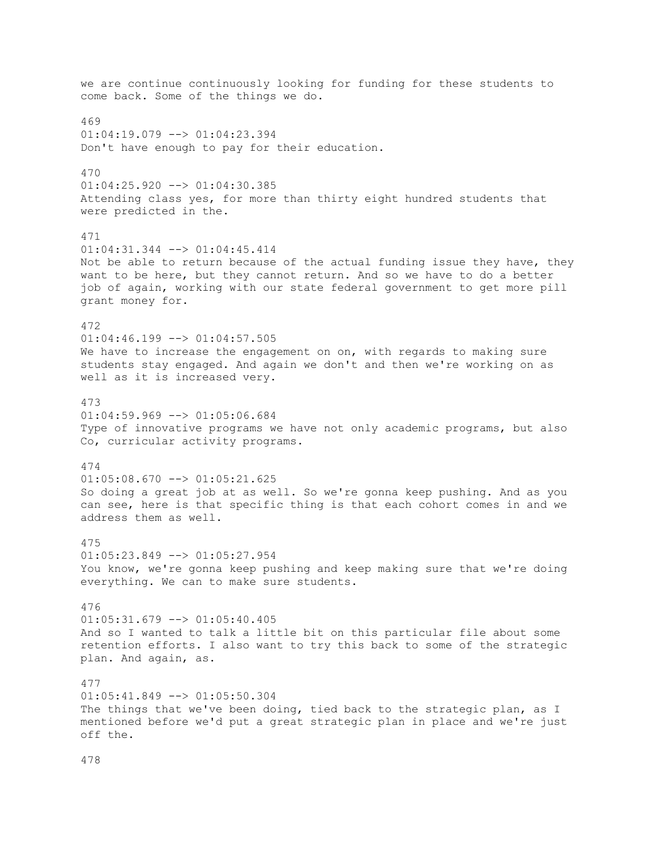we are continue continuously looking for funding for these students to come back. Some of the things we do. 469  $01:04:19.079$  -->  $01:04:23.394$ Don't have enough to pay for their education. 470 01:04:25.920 --> 01:04:30.385 Attending class yes, for more than thirty eight hundred students that were predicted in the. 471 01:04:31.344 --> 01:04:45.414 Not be able to return because of the actual funding issue they have, they want to be here, but they cannot return. And so we have to do a better job of again, working with our state federal government to get more pill grant money for. 472  $01:04:46.199$  -->  $01:04:57.505$ We have to increase the engagement on on, with regards to making sure students stay engaged. And again we don't and then we're working on as well as it is increased very. 473  $01:04:59.969$  -->  $01:05:06.684$ Type of innovative programs we have not only academic programs, but also Co, curricular activity programs. 474  $01:05:08.670$  -->  $01:05:21.625$ So doing a great job at as well. So we're gonna keep pushing. And as you can see, here is that specific thing is that each cohort comes in and we address them as well. 475 01:05:23.849 --> 01:05:27.954 You know, we're gonna keep pushing and keep making sure that we're doing everything. We can to make sure students. 476  $01:05:31.679$  -->  $01:05:40.405$ And so I wanted to talk a little bit on this particular file about some retention efforts. I also want to try this back to some of the strategic plan. And again, as. 477 01:05:41.849 --> 01:05:50.304 The things that we've been doing, tied back to the strategic plan, as I mentioned before we'd put a great strategic plan in place and we're just off the.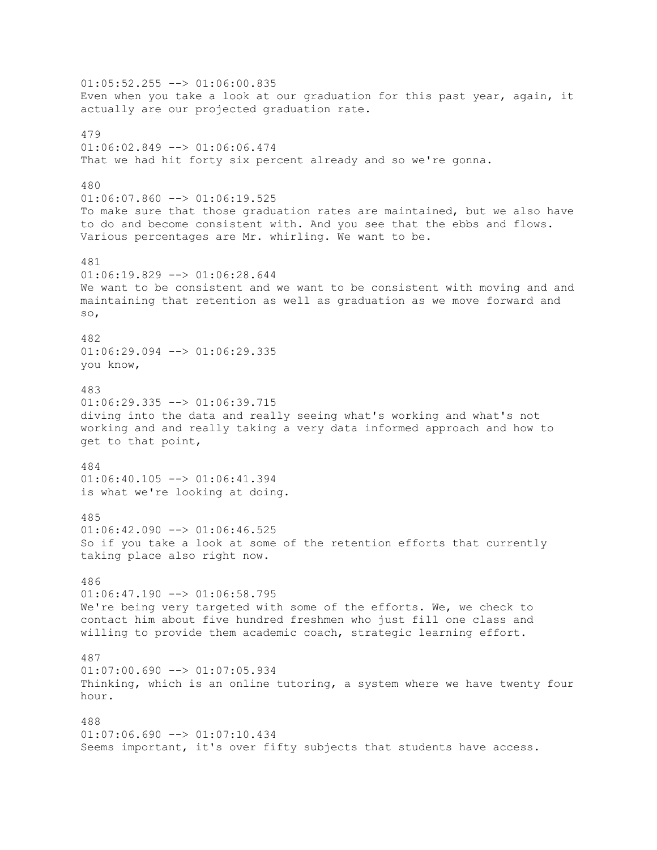$01:05:52.255$   $\longrightarrow$   $01:06:00.835$ Even when you take a look at our graduation for this past year, again, it actually are our projected graduation rate. 479  $01:06:02.849$  -->  $01:06:06.474$ That we had hit forty six percent already and so we're gonna. 480  $01:06:07.860$  -->  $01:06:19.525$ To make sure that those graduation rates are maintained, but we also have to do and become consistent with. And you see that the ebbs and flows. Various percentages are Mr. whirling. We want to be. 481  $01:06:19.829$  -->  $01:06:28.644$ We want to be consistent and we want to be consistent with moving and and maintaining that retention as well as graduation as we move forward and so, 482  $01:06:29.094$   $\leftarrow$   $>$   $01:06:29.335$ you know, 483 01:06:29.335 --> 01:06:39.715 diving into the data and really seeing what's working and what's not working and and really taking a very data informed approach and how to get to that point, 484  $01:06:40.105$  -->  $01:06:41.394$ is what we're looking at doing. 485  $01:06:42.090$  -->  $01:06:46.525$ So if you take a look at some of the retention efforts that currently taking place also right now. 486  $01:06:47.190$  -->  $01:06:58.795$ We're being very targeted with some of the efforts. We, we check to contact him about five hundred freshmen who just fill one class and willing to provide them academic coach, strategic learning effort. 487  $01:07:00.690$   $\longrightarrow$   $01:07:05.934$ Thinking, which is an online tutoring, a system where we have twenty four hour. 488  $01:07:06.690$  -->  $01:07:10.434$ Seems important, it's over fifty subjects that students have access.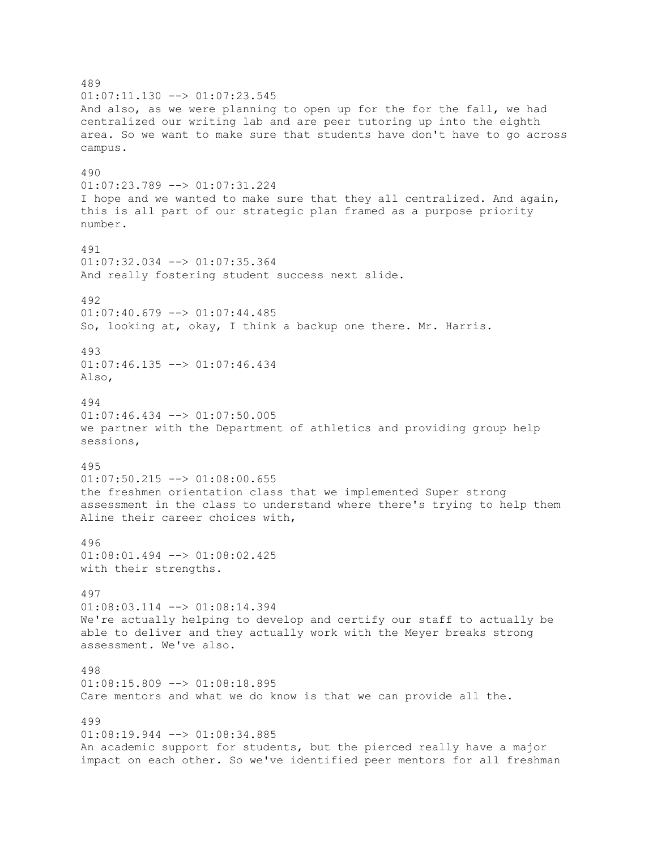489  $01:07:11.130$   $\leftarrow$   $>$   $01:07:23.545$ And also, as we were planning to open up for the for the fall, we had centralized our writing lab and are peer tutoring up into the eighth area. So we want to make sure that students have don't have to go across campus. 490 01:07:23.789 --> 01:07:31.224 I hope and we wanted to make sure that they all centralized. And again, this is all part of our strategic plan framed as a purpose priority number. 491  $01:07:32.034$   $\leftarrow$   $>$   $01:07:35.364$ And really fostering student success next slide. 492  $01:07:40.679$  -->  $01:07:44.485$ So, looking at, okay, I think a backup one there. Mr. Harris. 493 01:07:46.135 --> 01:07:46.434 Also, 494  $01:07:46.434$   $\leftarrow$   $>$   $01:07:50.005$ we partner with the Department of athletics and providing group help sessions, 495  $01:07:50.215$  -->  $01:08:00.655$ the freshmen orientation class that we implemented Super strong assessment in the class to understand where there's trying to help them Aline their career choices with, 496 01:08:01.494 --> 01:08:02.425 with their strengths. 497  $01:08:03.114$   $\leftarrow$   $>$   $01:08:14.394$ We're actually helping to develop and certify our staff to actually be able to deliver and they actually work with the Meyer breaks strong assessment. We've also. 498 01:08:15.809 --> 01:08:18.895 Care mentors and what we do know is that we can provide all the. 499  $01:08:19.944$  -->  $01:08:34.885$ An academic support for students, but the pierced really have a major impact on each other. So we've identified peer mentors for all freshman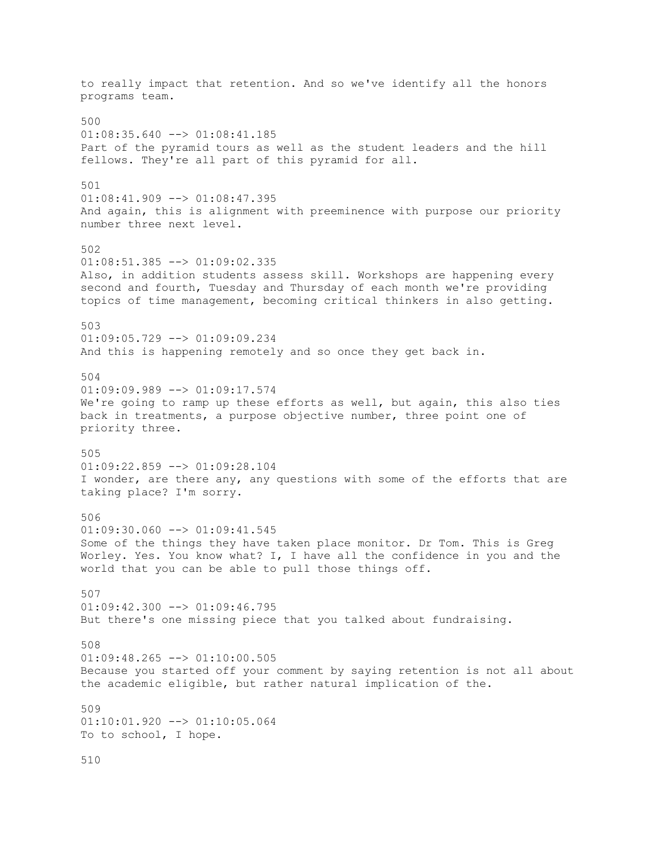to really impact that retention. And so we've identify all the honors programs team. 500  $01:08:35.640$  -->  $01:08:41.185$ Part of the pyramid tours as well as the student leaders and the hill fellows. They're all part of this pyramid for all. 501  $01:08:41.909$  -->  $01:08:47.395$ And again, this is alignment with preeminence with purpose our priority number three next level. 502  $01:08:51.385$   $\leftarrow$  >  $01:09:02.335$ Also, in addition students assess skill. Workshops are happening every second and fourth, Tuesday and Thursday of each month we're providing topics of time management, becoming critical thinkers in also getting. 503 01:09:05.729 --> 01:09:09.234 And this is happening remotely and so once they get back in. 504 01:09:09.989 --> 01:09:17.574 We're going to ramp up these efforts as well, but again, this also ties back in treatments, a purpose objective number, three point one of priority three. 505 01:09:22.859 --> 01:09:28.104 I wonder, are there any, any questions with some of the efforts that are taking place? I'm sorry. 506  $01:09:30.060$  -->  $01:09:41.545$ Some of the things they have taken place monitor. Dr Tom. This is Greg Worley. Yes. You know what? I, I have all the confidence in you and the world that you can be able to pull those things off. 507  $01:09:42.300$  -->  $01:09:46.795$ But there's one missing piece that you talked about fundraising. 508  $01:09:48.265$   $\leftarrow$   $>$   $01:10:00.505$ Because you started off your comment by saying retention is not all about the academic eligible, but rather natural implication of the. 509 01:10:01.920 --> 01:10:05.064 To to school, I hope.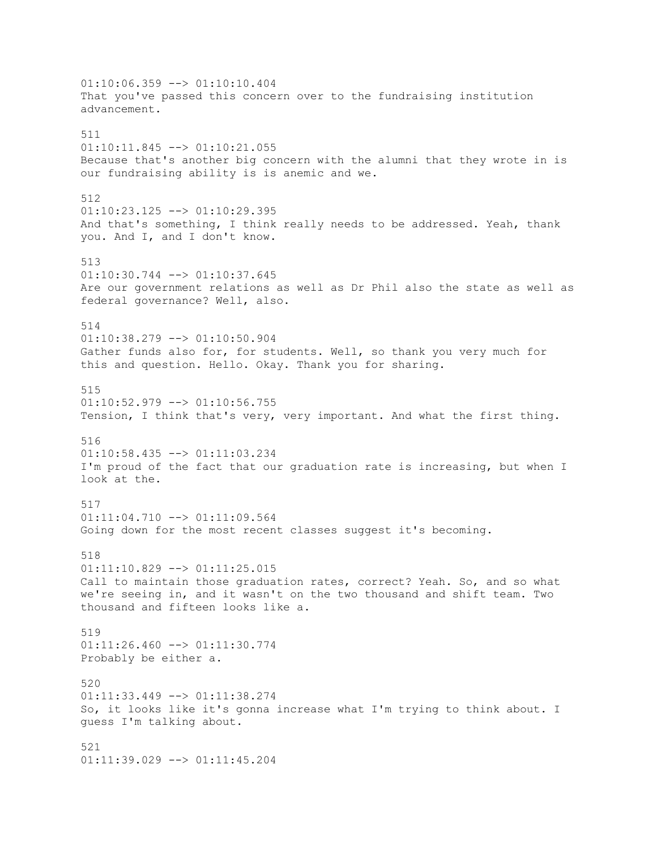01:10:06.359 --> 01:10:10.404 That you've passed this concern over to the fundraising institution advancement. 511  $01:10:11.845$   $\leftarrow$   $>$   $01:10:21.055$ Because that's another big concern with the alumni that they wrote in is our fundraising ability is is anemic and we. 512 01:10:23.125 --> 01:10:29.395 And that's something, I think really needs to be addressed. Yeah, thank you. And I, and I don't know. 513  $01:10:30.744$   $\leftarrow$   $>$   $01:10:37.645$ Are our government relations as well as Dr Phil also the state as well as federal governance? Well, also. 514 01:10:38.279 --> 01:10:50.904 Gather funds also for, for students. Well, so thank you very much for this and question. Hello. Okay. Thank you for sharing. 515  $01:10:52.979$  -->  $01:10:56.755$ Tension, I think that's very, very important. And what the first thing. 516 01:10:58.435 --> 01:11:03.234 I'm proud of the fact that our graduation rate is increasing, but when I look at the. 517  $01:11:04.710$  -->  $01:11:09.564$ Going down for the most recent classes suggest it's becoming. 518  $01:11:10.829$  -->  $01:11:25.015$ Call to maintain those graduation rates, correct? Yeah. So, and so what we're seeing in, and it wasn't on the two thousand and shift team. Two thousand and fifteen looks like a. 519  $01:11:26.460$  -->  $01:11:30.774$ Probably be either a. 520 01:11:33.449 --> 01:11:38.274 So, it looks like it's gonna increase what I'm trying to think about. I guess I'm talking about. 521 01:11:39.029 --> 01:11:45.204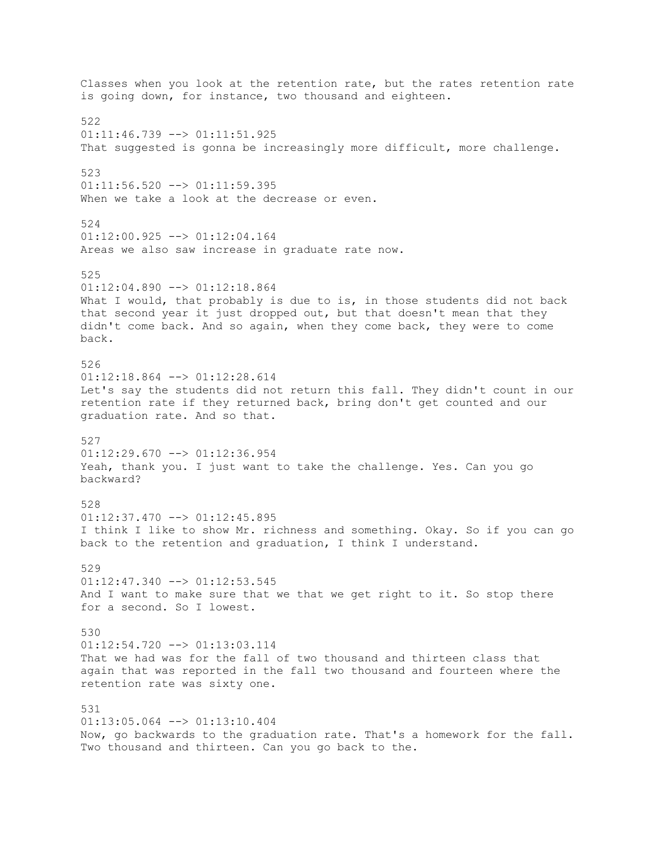Classes when you look at the retention rate, but the rates retention rate is going down, for instance, two thousand and eighteen. 522  $01:11:46.739$  -->  $01:11:51.925$ That suggested is gonna be increasingly more difficult, more challenge. 523  $01:11:56.520$  -->  $01:11:59.395$ When we take a look at the decrease or even. 524  $01:12:00.925$  -->  $01:12:04.164$ Areas we also saw increase in graduate rate now. 525 01:12:04.890 --> 01:12:18.864 What I would, that probably is due to is, in those students did not back that second year it just dropped out, but that doesn't mean that they didn't come back. And so again, when they come back, they were to come back. 526 01:12:18.864 --> 01:12:28.614 Let's say the students did not return this fall. They didn't count in our retention rate if they returned back, bring don't get counted and our graduation rate. And so that. 527 01:12:29.670 --> 01:12:36.954 Yeah, thank you. I just want to take the challenge. Yes. Can you go backward? 528  $01:12:37.470$  -->  $01:12:45.895$ I think I like to show Mr. richness and something. Okay. So if you can go back to the retention and graduation, I think I understand. 529 01:12:47.340 --> 01:12:53.545 And I want to make sure that we that we get right to it. So stop there for a second. So I lowest. 530  $01:12:54.720$  -->  $01:13:03.114$ That we had was for the fall of two thousand and thirteen class that again that was reported in the fall two thousand and fourteen where the retention rate was sixty one. 531 01:13:05.064 --> 01:13:10.404 Now, go backwards to the graduation rate. That's a homework for the fall. Two thousand and thirteen. Can you go back to the.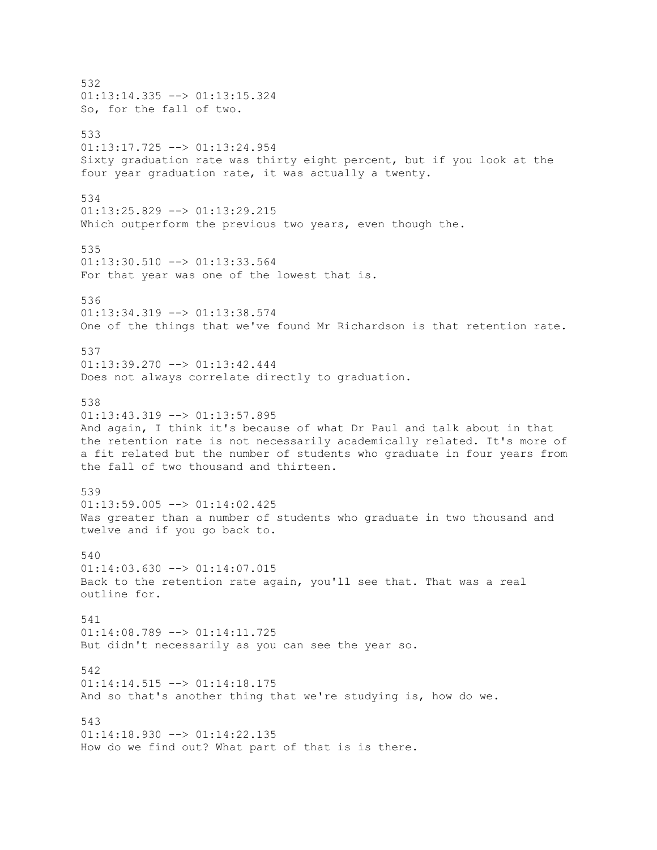532  $01:13:14.335$  -->  $01:13:15.324$ So, for the fall of two. 533  $01:13:17.725$  -->  $01:13:24.954$ Sixty graduation rate was thirty eight percent, but if you look at the four year graduation rate, it was actually a twenty. 534 01:13:25.829 --> 01:13:29.215 Which outperform the previous two years, even though the. 535  $01:13:30.510$  -->  $01:13:33.564$ For that year was one of the lowest that is. 536 01:13:34.319 --> 01:13:38.574 One of the things that we've found Mr Richardson is that retention rate. 537 01:13:39.270 --> 01:13:42.444 Does not always correlate directly to graduation. 538  $01:13:43.319$  -->  $01:13:57.895$ And again, I think it's because of what Dr Paul and talk about in that the retention rate is not necessarily academically related. It's more of a fit related but the number of students who graduate in four years from the fall of two thousand and thirteen. 539  $01:13:59.005$   $\rightarrow$   $01:14:02.425$ Was greater than a number of students who graduate in two thousand and twelve and if you go back to. 540  $01:14:03.630$   $\leftarrow$   $>$   $01:14:07.015$ Back to the retention rate again, you'll see that. That was a real outline for. 541 01:14:08.789 --> 01:14:11.725 But didn't necessarily as you can see the year so. 542 01:14:14.515 --> 01:14:18.175 And so that's another thing that we're studying is, how do we. 543  $01:14:18.930$  -->  $01:14:22.135$ How do we find out? What part of that is is there.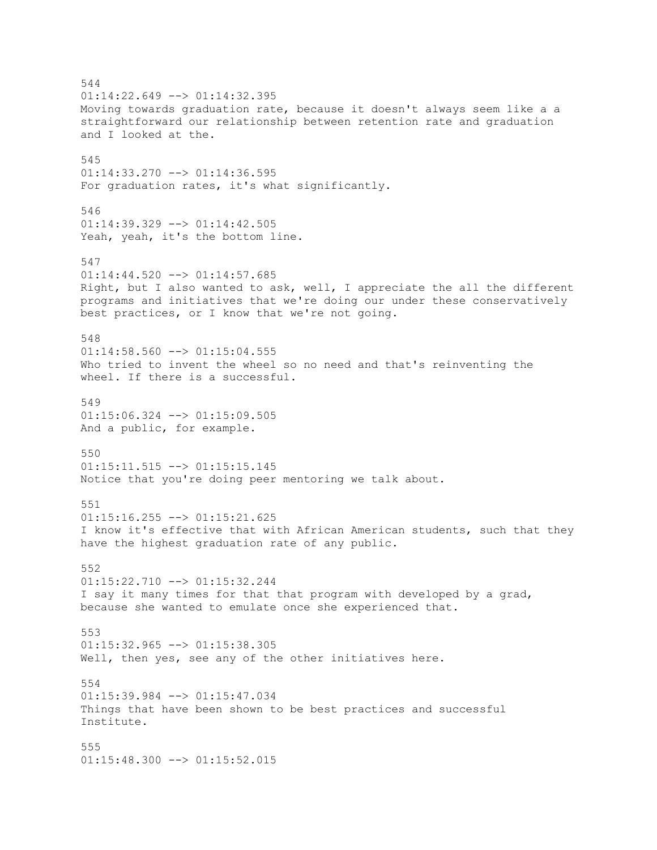544  $01:14:22.649$  -->  $01:14:32.395$ Moving towards graduation rate, because it doesn't always seem like a a straightforward our relationship between retention rate and graduation and I looked at the. 545 01:14:33.270 --> 01:14:36.595 For graduation rates, it's what significantly. 546  $01:14:39.329$  -->  $01:14:42.505$ Yeah, yeah, it's the bottom line. 547  $01:14:44.520$  -->  $01:14:57.685$ Right, but I also wanted to ask, well, I appreciate the all the different programs and initiatives that we're doing our under these conservatively best practices, or I know that we're not going. 548  $01:14:58.560$  -->  $01:15:04.555$ Who tried to invent the wheel so no need and that's reinventing the wheel. If there is a successful. 549  $01:15:06.324$  -->  $01:15:09.505$ And a public, for example. 550 01:15:11.515 --> 01:15:15.145 Notice that you're doing peer mentoring we talk about. 551  $01:15:16.255$  -->  $01:15:21.625$ I know it's effective that with African American students, such that they have the highest graduation rate of any public. 552 01:15:22.710 --> 01:15:32.244 I say it many times for that that program with developed by a grad, because she wanted to emulate once she experienced that. 553  $01:15:32.965$  -->  $01:15:38.305$ Well, then yes, see any of the other initiatives here. 554 01:15:39.984 --> 01:15:47.034 Things that have been shown to be best practices and successful Institute. 555 01:15:48.300 --> 01:15:52.015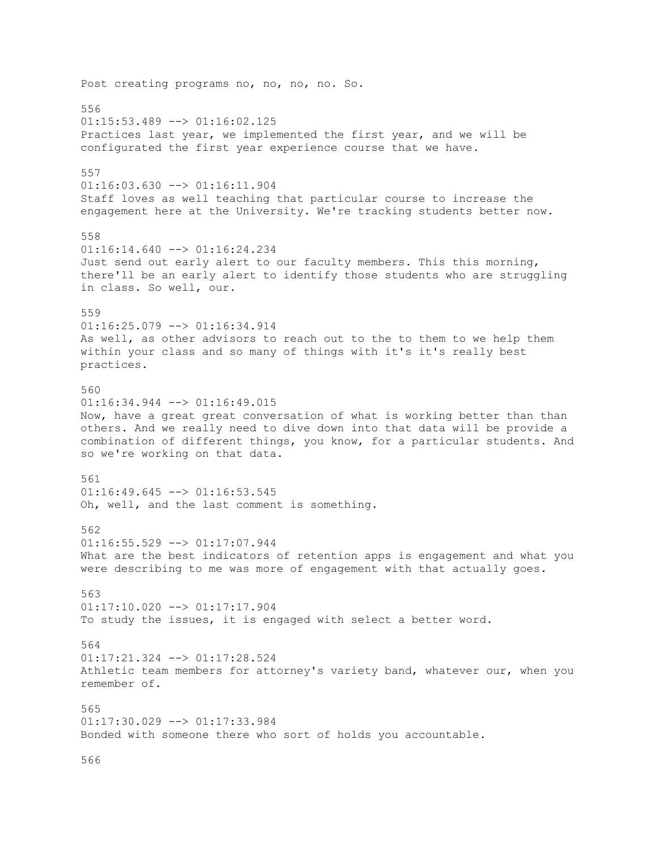Post creating programs no, no, no, no. So. 556  $01:15:53.489$  -->  $01:16:02.125$ Practices last year, we implemented the first year, and we will be configurated the first year experience course that we have. 557 01:16:03.630 --> 01:16:11.904 Staff loves as well teaching that particular course to increase the engagement here at the University. We're tracking students better now. 558 01:16:14.640 --> 01:16:24.234 Just send out early alert to our faculty members. This this morning, there'll be an early alert to identify those students who are struggling in class. So well, our. 559 01:16:25.079 --> 01:16:34.914 As well, as other advisors to reach out to the to them to we help them within your class and so many of things with it's it's really best practices. 560 01:16:34.944 --> 01:16:49.015 Now, have a great great conversation of what is working better than than others. And we really need to dive down into that data will be provide a combination of different things, you know, for a particular students. And so we're working on that data. 561 01:16:49.645 --> 01:16:53.545 Oh, well, and the last comment is something. 562 01:16:55.529 --> 01:17:07.944 What are the best indicators of retention apps is engagement and what you were describing to me was more of engagement with that actually goes. 563 01:17:10.020 --> 01:17:17.904 To study the issues, it is engaged with select a better word. 564 01:17:21.324 --> 01:17:28.524 Athletic team members for attorney's variety band, whatever our, when you remember of. 565 01:17:30.029 --> 01:17:33.984 Bonded with someone there who sort of holds you accountable.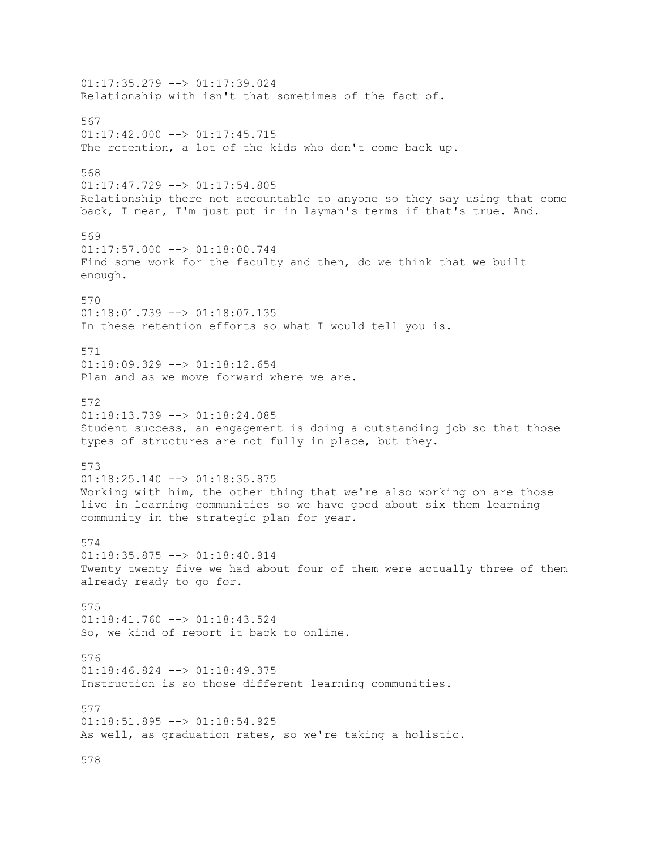$01:17:35.279$  -->  $01:17:39.024$ Relationship with isn't that sometimes of the fact of. 567  $01:17:42.000$  -->  $01:17:45.715$ The retention, a lot of the kids who don't come back up. 568  $01:17:47.729$  -->  $01:17:54.805$ Relationship there not accountable to anyone so they say using that come back, I mean, I'm just put in in layman's terms if that's true. And. 569  $01:17:57.000$  -->  $01:18:00.744$ Find some work for the faculty and then, do we think that we built enough. 570 01:18:01.739 --> 01:18:07.135 In these retention efforts so what I would tell you is. 571 01:18:09.329 --> 01:18:12.654 Plan and as we move forward where we are. 572  $01:18:13.739$  -->  $01:18:24.085$ Student success, an engagement is doing a outstanding job so that those types of structures are not fully in place, but they. 573 01:18:25.140 --> 01:18:35.875 Working with him, the other thing that we're also working on are those live in learning communities so we have good about six them learning community in the strategic plan for year. 574 01:18:35.875 --> 01:18:40.914 Twenty twenty five we had about four of them were actually three of them already ready to go for. 575 01:18:41.760 --> 01:18:43.524 So, we kind of report it back to online. 576 01:18:46.824 --> 01:18:49.375 Instruction is so those different learning communities. 577 01:18:51.895 --> 01:18:54.925 As well, as graduation rates, so we're taking a holistic.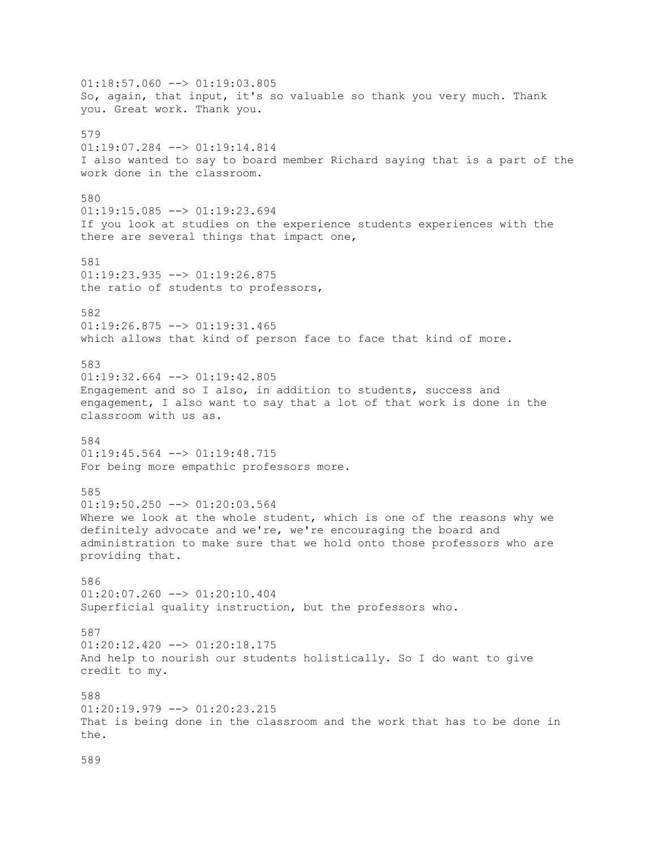$01:18:57.060$  -->  $01:19:03.805$ So, again, that input, it's so valuable so thank you very much. Thank you. Great work. Thank you. 579 01:19:07.284 --> 01:19:14.814 I also wanted to say to board member Richard saying that is a part of the work done in the classroom. 580 01:19:15.085 --> 01:19:23.694 If you look at studies on the experience students experiences with the there are several things that impact one, 581  $01:19:23.935$   $\leftarrow$   $>$   $01:19:26.875$ the ratio of students to professors, 582  $01:19:26.875$  -->  $01:19:31.465$ which allows that kind of person face to face that kind of more. 583  $01:19:32.664$  -->  $01:19:42.805$ Engagement and so I also, in addition to students, success and engagement, I also want to say that a lot of that work is done in the classroom with us as. 584 01:19:45.564 --> 01:19:48.715 For being more empathic professors more. 585  $01:19:50.250$  -->  $01:20:03.564$ Where we look at the whole student, which is one of the reasons why we definitely advocate and we're, we're encouraging the board and administration to make sure that we hold onto those professors who are providing that. 586 01:20:07.260 --> 01:20:10.404 Superficial quality instruction, but the professors who. 587  $01:20:12.420$  -->  $01:20:18.175$ And help to nourish our students holistically. So I do want to give credit to my. 588  $01:20:19.979$  -->  $01:20:23.215$ That is being done in the classroom and the work that has to be done in the.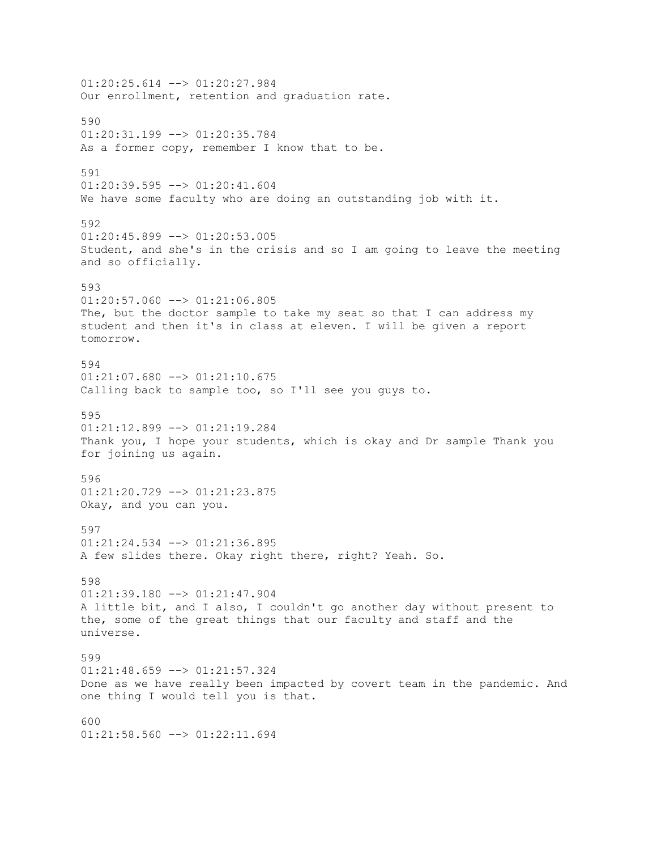01:20:25.614 --> 01:20:27.984 Our enrollment, retention and graduation rate. 590 01:20:31.199 --> 01:20:35.784 As a former copy, remember I know that to be. 591 01:20:39.595 --> 01:20:41.604 We have some faculty who are doing an outstanding job with it. 592  $01:20:45.899$  -->  $01:20:53.005$ Student, and she's in the crisis and so I am going to leave the meeting and so officially. 593  $01:20:57.060$  -->  $01:21:06.805$ The, but the doctor sample to take my seat so that I can address my student and then it's in class at eleven. I will be given a report tomorrow. 594  $01:21:07.680$  -->  $01:21:10.675$ Calling back to sample too, so I'll see you guys to. 595 01:21:12.899 --> 01:21:19.284 Thank you, I hope your students, which is okay and Dr sample Thank you for joining us again. 596 01:21:20.729 --> 01:21:23.875 Okay, and you can you. 597 01:21:24.534 --> 01:21:36.895 A few slides there. Okay right there, right? Yeah. So. 598 01:21:39.180 --> 01:21:47.904 A little bit, and I also, I couldn't go another day without present to the, some of the great things that our faculty and staff and the universe. 599 01:21:48.659 --> 01:21:57.324 Done as we have really been impacted by covert team in the pandemic. And one thing I would tell you is that. 600  $01:21:58.560$  -->  $01:22:11.694$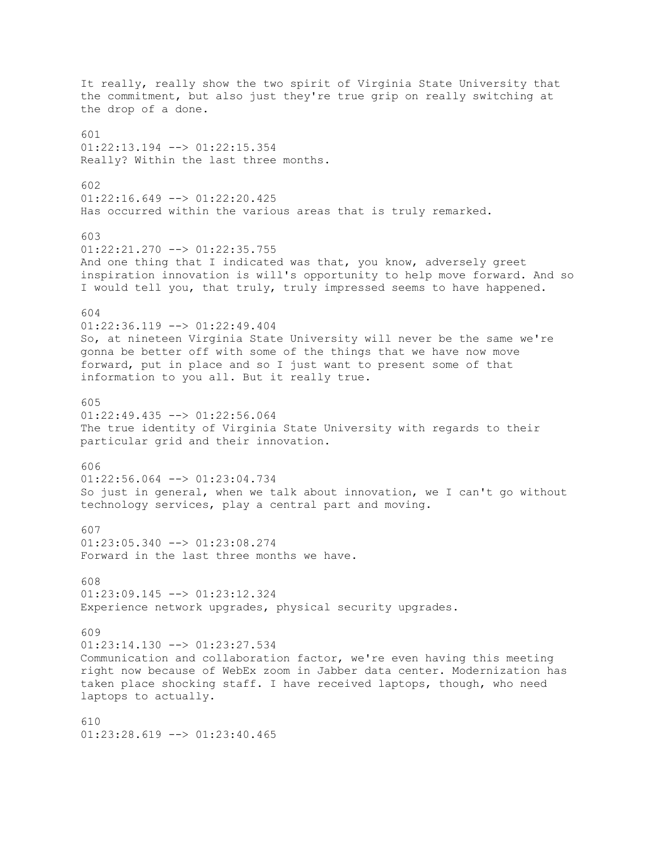It really, really show the two spirit of Virginia State University that the commitment, but also just they're true grip on really switching at the drop of a done. 601 01:22:13.194 --> 01:22:15.354 Really? Within the last three months. 602  $01:22:16.649$  -->  $01:22:20.425$ Has occurred within the various areas that is truly remarked. 603  $01:22:21.270$  -->  $01:22:35.755$ And one thing that I indicated was that, you know, adversely greet inspiration innovation is will's opportunity to help move forward. And so I would tell you, that truly, truly impressed seems to have happened. 604 01:22:36.119 --> 01:22:49.404 So, at nineteen Virginia State University will never be the same we're gonna be better off with some of the things that we have now move forward, put in place and so I just want to present some of that information to you all. But it really true. 605  $01:22:49.435$  -->  $01:22:56.064$ The true identity of Virginia State University with regards to their particular grid and their innovation. 606 01:22:56.064 --> 01:23:04.734 So just in general, when we talk about innovation, we I can't go without technology services, play a central part and moving. 607 01:23:05.340 --> 01:23:08.274 Forward in the last three months we have. 608 01:23:09.145 --> 01:23:12.324 Experience network upgrades, physical security upgrades. 609  $01:23:14.130$  -->  $01:23:27.534$ Communication and collaboration factor, we're even having this meeting right now because of WebEx zoom in Jabber data center. Modernization has taken place shocking staff. I have received laptops, though, who need laptops to actually. 610  $01:23:28.619$  -->  $01:23:40.465$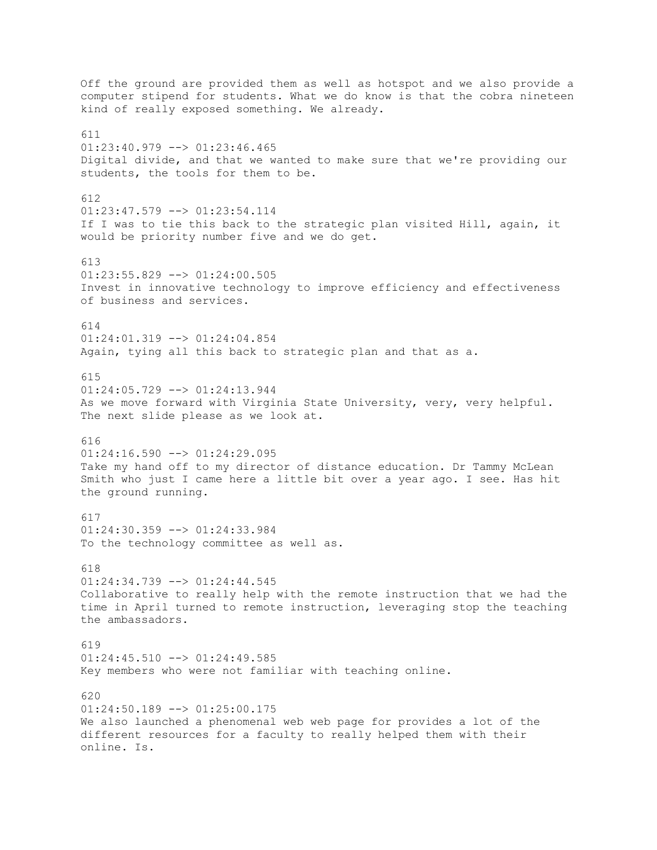Off the ground are provided them as well as hotspot and we also provide a computer stipend for students. What we do know is that the cobra nineteen kind of really exposed something. We already. 611  $01:23:40.979$  -->  $01:23:46.465$ Digital divide, and that we wanted to make sure that we're providing our students, the tools for them to be. 612 01:23:47.579 --> 01:23:54.114 If I was to tie this back to the strategic plan visited Hill, again, it would be priority number five and we do get. 613 01:23:55.829 --> 01:24:00.505 Invest in innovative technology to improve efficiency and effectiveness of business and services. 614 01:24:01.319 --> 01:24:04.854 Again, tying all this back to strategic plan and that as a. 615 01:24:05.729 --> 01:24:13.944 As we move forward with Virginia State University, very, very helpful. The next slide please as we look at. 616 01:24:16.590 --> 01:24:29.095 Take my hand off to my director of distance education. Dr Tammy McLean Smith who just I came here a little bit over a year ago. I see. Has hit the ground running. 617  $01:24:30.359$  -->  $01:24:33.984$ To the technology committee as well as. 618 01:24:34.739 --> 01:24:44.545 Collaborative to really help with the remote instruction that we had the time in April turned to remote instruction, leveraging stop the teaching the ambassadors. 619 01:24:45.510 --> 01:24:49.585 Key members who were not familiar with teaching online. 620  $01:24:50.189$  -->  $01:25:00.175$ We also launched a phenomenal web web page for provides a lot of the different resources for a faculty to really helped them with their online. Is.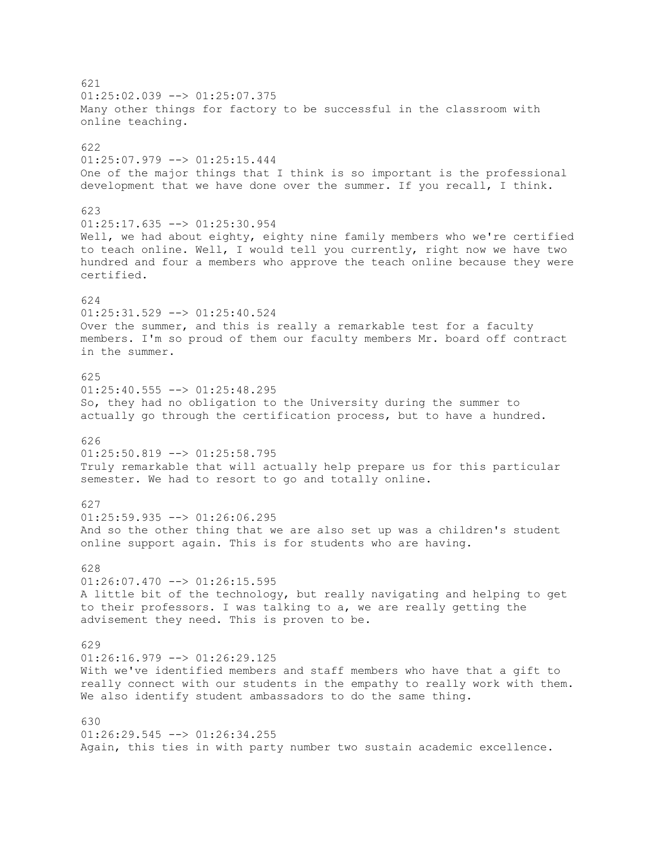621  $01:25:02.039$  -->  $01:25:07.375$ Many other things for factory to be successful in the classroom with online teaching. 622 01:25:07.979 --> 01:25:15.444 One of the major things that I think is so important is the professional development that we have done over the summer. If you recall, I think. 623  $01:25:17.635$  -->  $01:25:30.954$ Well, we had about eighty, eighty nine family members who we're certified to teach online. Well, I would tell you currently, right now we have two hundred and four a members who approve the teach online because they were certified. 624 01:25:31.529 --> 01:25:40.524 Over the summer, and this is really a remarkable test for a faculty members. I'm so proud of them our faculty members Mr. board off contract in the summer. 625 01:25:40.555 --> 01:25:48.295 So, they had no obligation to the University during the summer to actually go through the certification process, but to have a hundred. 626 01:25:50.819 --> 01:25:58.795 Truly remarkable that will actually help prepare us for this particular semester. We had to resort to go and totally online. 627  $01:25:59.935$   $\leftarrow$   $>$   $01:26:06.295$ And so the other thing that we are also set up was a children's student online support again. This is for students who are having. 628  $01:26:07.470$  -->  $01:26:15.595$ A little bit of the technology, but really navigating and helping to get to their professors. I was talking to a, we are really getting the advisement they need. This is proven to be. 629  $01:26:16.979$  -->  $01:26:29.125$ With we've identified members and staff members who have that a gift to really connect with our students in the empathy to really work with them. We also identify student ambassadors to do the same thing. 630  $01:26:29.545$   $\longrightarrow$   $01:26:34.255$ Again, this ties in with party number two sustain academic excellence.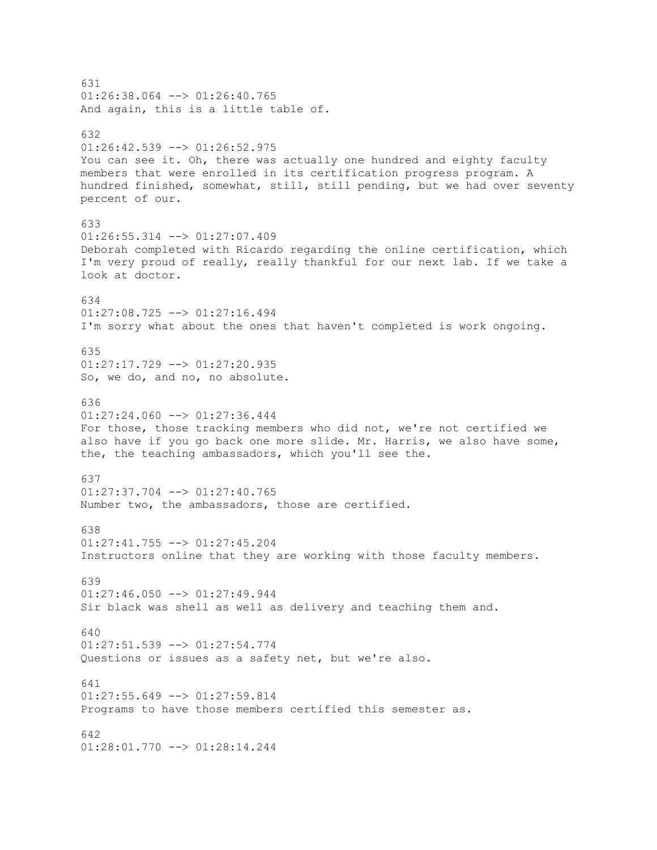631  $01:26:38.064$  -->  $01:26:40.765$ And again, this is a little table of. 632  $01:26:42.539$  -->  $01:26:52.975$ You can see it. Oh, there was actually one hundred and eighty faculty members that were enrolled in its certification progress program. A hundred finished, somewhat, still, still pending, but we had over seventy percent of our. 633  $01:26:55.314$  -->  $01:27:07.409$ Deborah completed with Ricardo regarding the online certification, which I'm very proud of really, really thankful for our next lab. If we take a look at doctor. 634 01:27:08.725 --> 01:27:16.494 I'm sorry what about the ones that haven't completed is work ongoing. 635 01:27:17.729 --> 01:27:20.935 So, we do, and no, no absolute. 636  $01:27:24.060$  -->  $01:27:36.444$ For those, those tracking members who did not, we're not certified we also have if you go back one more slide. Mr. Harris, we also have some, the, the teaching ambassadors, which you'll see the. 637 01:27:37.704 --> 01:27:40.765 Number two, the ambassadors, those are certified. 638 01:27:41.755 --> 01:27:45.204 Instructors online that they are working with those faculty members. 639  $01:27:46.050$  -->  $01:27:49.944$ Sir black was shell as well as delivery and teaching them and. 640  $01:27:51.539$  -->  $01:27:54.774$ Questions or issues as a safety net, but we're also. 641  $01:27:55.649$  -->  $01:27:59.814$ Programs to have those members certified this semester as. 642 01:28:01.770 --> 01:28:14.244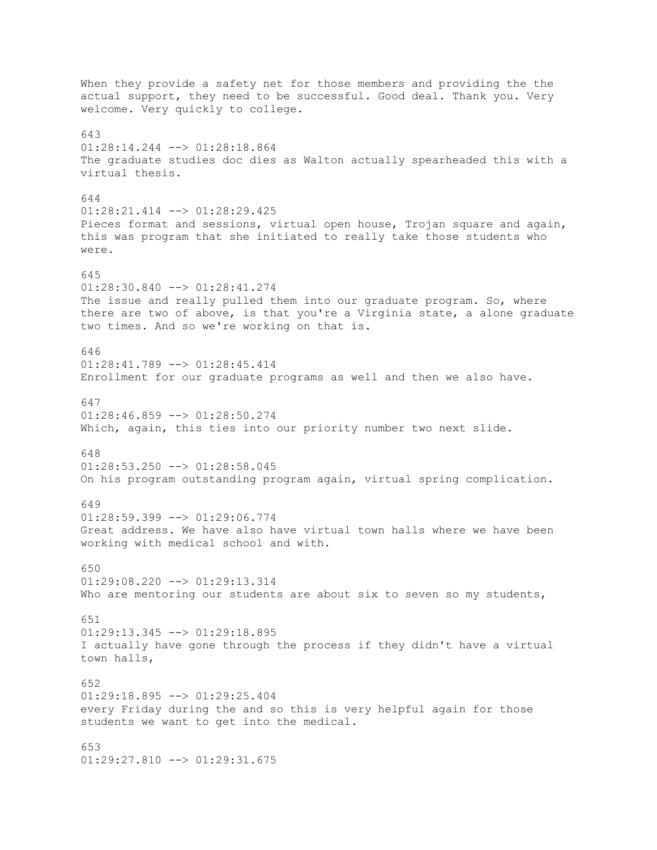When they provide a safety net for those members and providing the the actual support, they need to be successful. Good deal. Thank you. Very welcome. Very quickly to college. 643 01:28:14.244 --> 01:28:18.864 The graduate studies doc dies as Walton actually spearheaded this with a virtual thesis. 644 01:28:21.414 --> 01:28:29.425 Pieces format and sessions, virtual open house, Trojan square and again, this was program that she initiated to really take those students who were. 645 01:28:30.840 --> 01:28:41.274 The issue and really pulled them into our graduate program. So, where there are two of above, is that you're a Virginia state, a alone graduate two times. And so we're working on that is. 646 01:28:41.789 --> 01:28:45.414 Enrollment for our graduate programs as well and then we also have. 647  $01:28:46.859$  -->  $01:28:50.274$ Which, again, this ties into our priority number two next slide. 648 01:28:53.250 --> 01:28:58.045 On his program outstanding program again, virtual spring complication. 649 01:28:59.399 --> 01:29:06.774 Great address. We have also have virtual town halls where we have been working with medical school and with. 650 01:29:08.220 --> 01:29:13.314 Who are mentoring our students are about six to seven so my students, 651 01:29:13.345 --> 01:29:18.895 I actually have gone through the process if they didn't have a virtual town halls, 652 01:29:18.895 --> 01:29:25.404 every Friday during the and so this is very helpful again for those students we want to get into the medical. 653 01:29:27.810 --> 01:29:31.675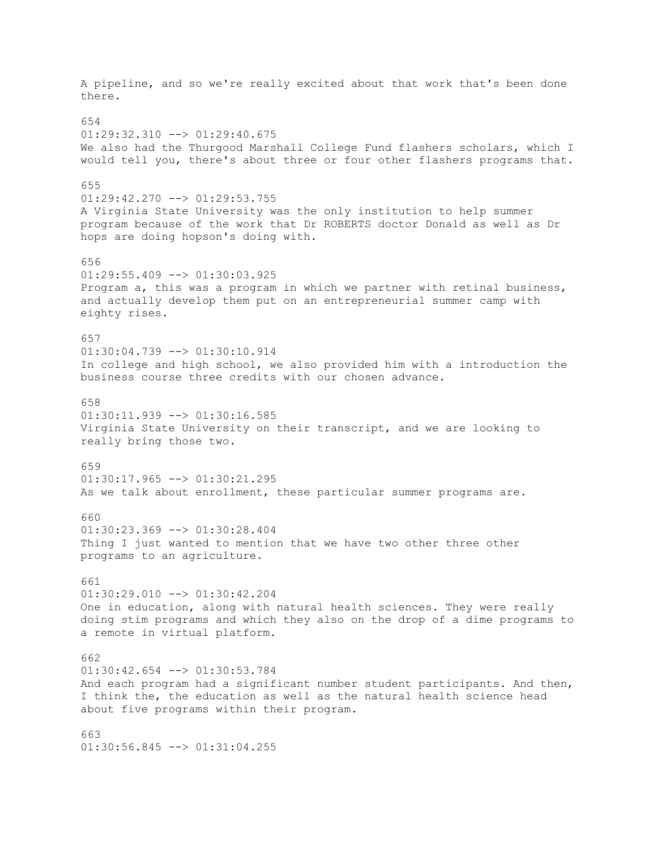A pipeline, and so we're really excited about that work that's been done there. 654  $01:29:32.310$  -->  $01:29:40.675$ We also had the Thurgood Marshall College Fund flashers scholars, which I would tell you, there's about three or four other flashers programs that. 655 01:29:42.270 --> 01:29:53.755 A Virginia State University was the only institution to help summer program because of the work that Dr ROBERTS doctor Donald as well as Dr hops are doing hopson's doing with. 656  $01:29:55.409$  -->  $01:30:03.925$ Program a, this was a program in which we partner with retinal business, and actually develop them put on an entrepreneurial summer camp with eighty rises. 657  $01:30:04.739$  -->  $01:30:10.914$ In college and high school, we also provided him with a introduction the business course three credits with our chosen advance. 658  $01:30:11.939$  -->  $01:30:16.585$ Virginia State University on their transcript, and we are looking to really bring those two. 659  $01:30:17.965$   $\leftarrow$   $>$   $01:30:21.295$ As we talk about enrollment, these particular summer programs are. 660  $01:30:23.369$  -->  $01:30:28.404$ Thing I just wanted to mention that we have two other three other programs to an agriculture. 661 01:30:29.010 --> 01:30:42.204 One in education, along with natural health sciences. They were really doing stim programs and which they also on the drop of a dime programs to a remote in virtual platform. 662 01:30:42.654 --> 01:30:53.784 And each program had a significant number student participants. And then, I think the, the education as well as the natural health science head about five programs within their program. 663 01:30:56.845 --> 01:31:04.255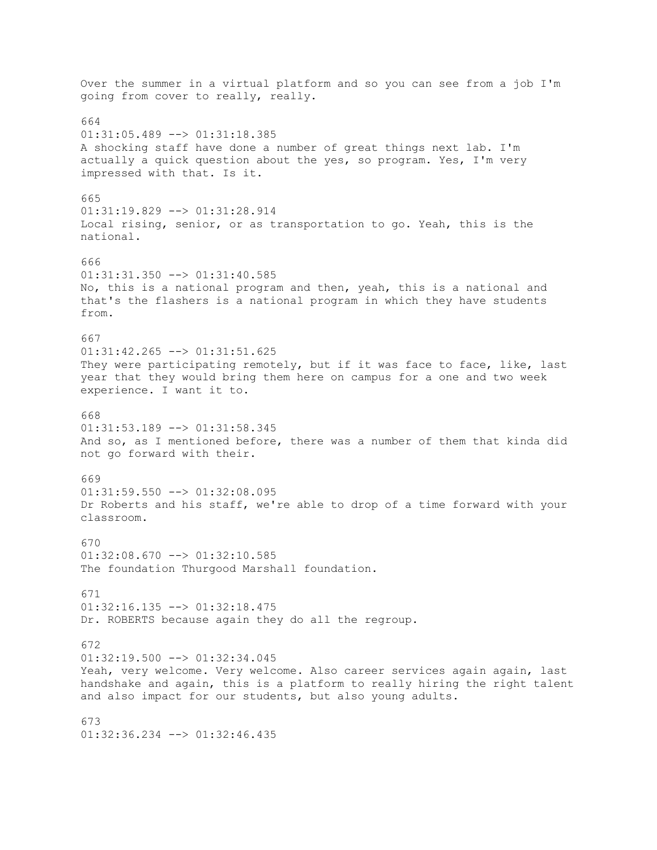Over the summer in a virtual platform and so you can see from a job I'm going from cover to really, really. 664 01:31:05.489 --> 01:31:18.385 A shocking staff have done a number of great things next lab. I'm actually a quick question about the yes, so program. Yes, I'm very impressed with that. Is it. 665 01:31:19.829 --> 01:31:28.914 Local rising, senior, or as transportation to go. Yeah, this is the national. 666  $01:31:31.350$  -->  $01:31:40.585$ No, this is a national program and then, yeah, this is a national and that's the flashers is a national program in which they have students from. 667  $01:31:42.265$  -->  $01:31:51.625$ They were participating remotely, but if it was face to face, like, last year that they would bring them here on campus for a one and two week experience. I want it to. 668  $01:31:53.189$  -->  $01:31:58.345$ And so, as I mentioned before, there was a number of them that kinda did not go forward with their. 669 01:31:59.550 --> 01:32:08.095 Dr Roberts and his staff, we're able to drop of a time forward with your classroom. 670  $01:32:08.670$  -->  $01:32:10.585$ The foundation Thurgood Marshall foundation. 671  $01:32:16.135$  -->  $01:32:18.475$ Dr. ROBERTS because again they do all the regroup. 672 01:32:19.500 --> 01:32:34.045 Yeah, very welcome. Very welcome. Also career services again again, last handshake and again, this is a platform to really hiring the right talent and also impact for our students, but also young adults. 673 01:32:36.234 --> 01:32:46.435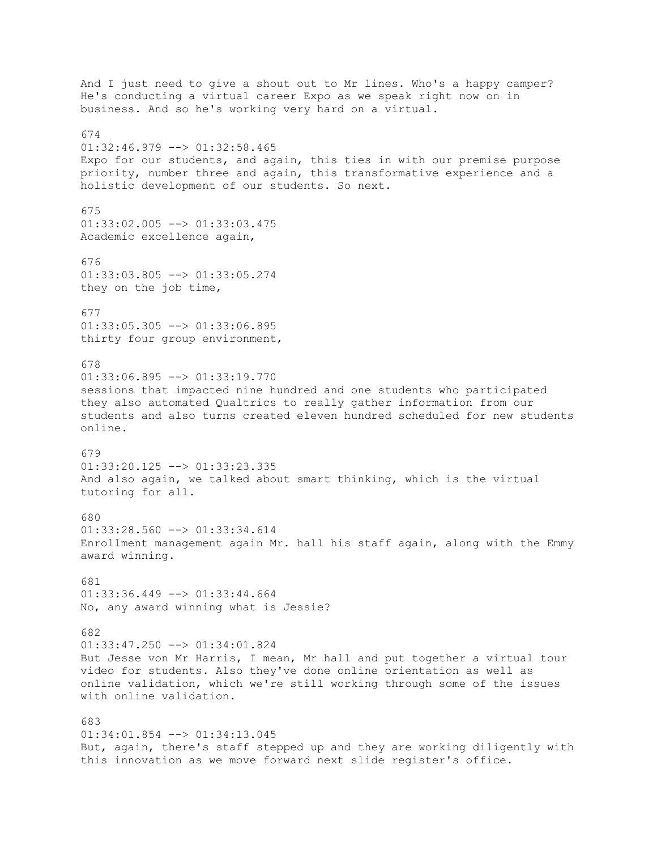And I just need to give a shout out to Mr lines. Who's a happy camper? He's conducting a virtual career Expo as we speak right now on in business. And so he's working very hard on a virtual. 674  $01:32:46.979$  -->  $01:32:58.465$ Expo for our students, and again, this ties in with our premise purpose priority, number three and again, this transformative experience and a holistic development of our students. So next. 675  $01:33:02.005$  -->  $01:33:03.475$ Academic excellence again, 676 01:33:03.805 --> 01:33:05.274 they on the job time, 677  $01:33:05.305$  -->  $01:33:06.895$ thirty four group environment, 678  $01:33:06.895$  -->  $01:33:19.770$ sessions that impacted nine hundred and one students who participated they also automated Qualtrics to really gather information from our students and also turns created eleven hundred scheduled for new students online. 679 01:33:20.125 --> 01:33:23.335 And also again, we talked about smart thinking, which is the virtual tutoring for all. 680  $01:33:28.560$  -->  $01:33:34.614$ Enrollment management again Mr. hall his staff again, along with the Emmy award winning. 681  $01:33:36.449$  -->  $01:33:44.664$ No, any award winning what is Jessie? 682 01:33:47.250 --> 01:34:01.824 But Jesse von Mr Harris, I mean, Mr hall and put together a virtual tour video for students. Also they've done online orientation as well as online validation, which we're still working through some of the issues with online validation. 683 01:34:01.854 --> 01:34:13.045 But, again, there's staff stepped up and they are working diligently with this innovation as we move forward next slide register's office.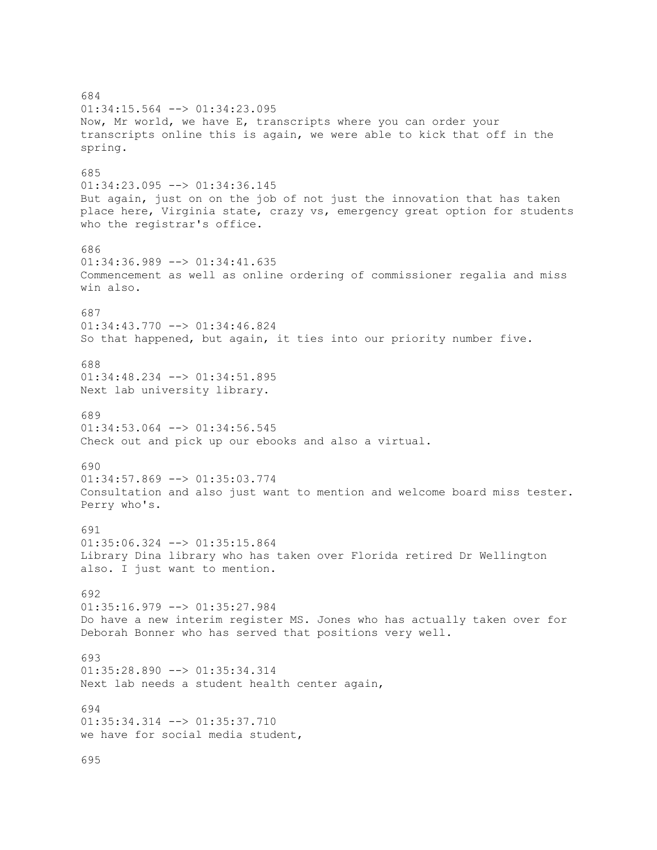684 01:34:15.564 --> 01:34:23.095 Now, Mr world, we have E, transcripts where you can order your transcripts online this is again, we were able to kick that off in the spring. 685 01:34:23.095 --> 01:34:36.145 But again, just on on the job of not just the innovation that has taken place here, Virginia state, crazy vs, emergency great option for students who the registrar's office. 686  $01:34:36.989$  -->  $01:34:41.635$ Commencement as well as online ordering of commissioner regalia and miss win also. 687 01:34:43.770 --> 01:34:46.824 So that happened, but again, it ties into our priority number five. 688 01:34:48.234 --> 01:34:51.895 Next lab university library. 689  $01:34:53.064$   $\leftarrow$   $>$   $01:34:56.545$ Check out and pick up our ebooks and also a virtual. 690  $01:34:57.869$  -->  $01:35:03.774$ Consultation and also just want to mention and welcome board miss tester. Perry who's. 691 01:35:06.324 --> 01:35:15.864 Library Dina library who has taken over Florida retired Dr Wellington also. I just want to mention. 692 01:35:16.979 --> 01:35:27.984 Do have a new interim register MS. Jones who has actually taken over for Deborah Bonner who has served that positions very well. 693 01:35:28.890 --> 01:35:34.314 Next lab needs a student health center again, 694 01:35:34.314 --> 01:35:37.710 we have for social media student, 695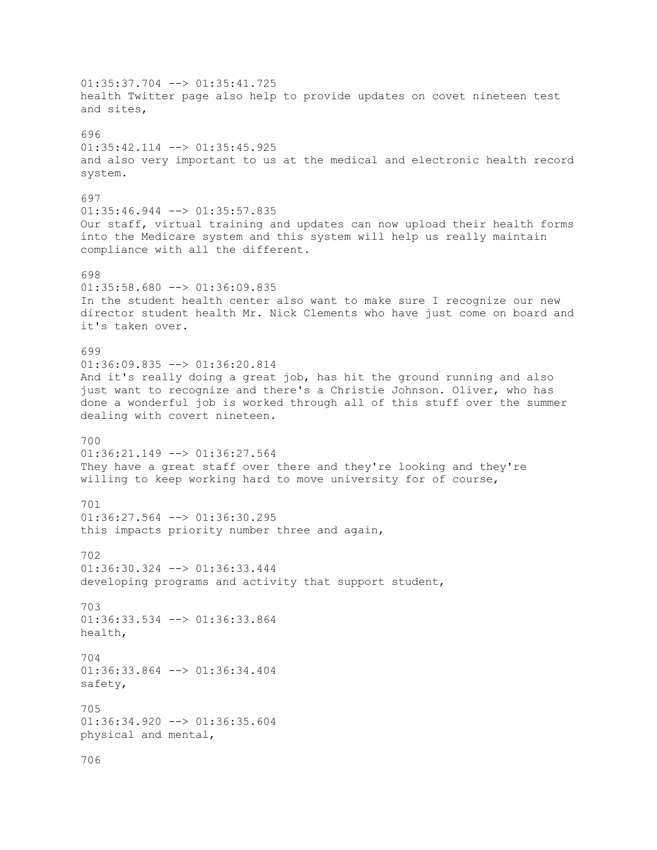$01:35:37.704$   $\leftarrow$   $>$   $01:35:41.725$ health Twitter page also help to provide updates on covet nineteen test and sites, 696 01:35:42.114 --> 01:35:45.925 and also very important to us at the medical and electronic health record system. 697 01:35:46.944 --> 01:35:57.835 Our staff, virtual training and updates can now upload their health forms into the Medicare system and this system will help us really maintain compliance with all the different. 698 01:35:58.680 --> 01:36:09.835 In the student health center also want to make sure I recognize our new director student health Mr. Nick Clements who have just come on board and it's taken over. 699 01:36:09.835 --> 01:36:20.814 And it's really doing a great job, has hit the ground running and also just want to recognize and there's a Christie Johnson. Oliver, who has done a wonderful job is worked through all of this stuff over the summer dealing with covert nineteen. 700 01:36:21.149 --> 01:36:27.564 They have a great staff over there and they're looking and they're willing to keep working hard to move university for of course, 701  $01:36:27.564$  -->  $01:36:30.295$ this impacts priority number three and again, 702  $01:36:30.324$  -->  $01:36:33.444$ developing programs and activity that support student, 703 01:36:33.534 --> 01:36:33.864 health, 704 01:36:33.864 --> 01:36:34.404 safety, 705 01:36:34.920 --> 01:36:35.604 physical and mental, 706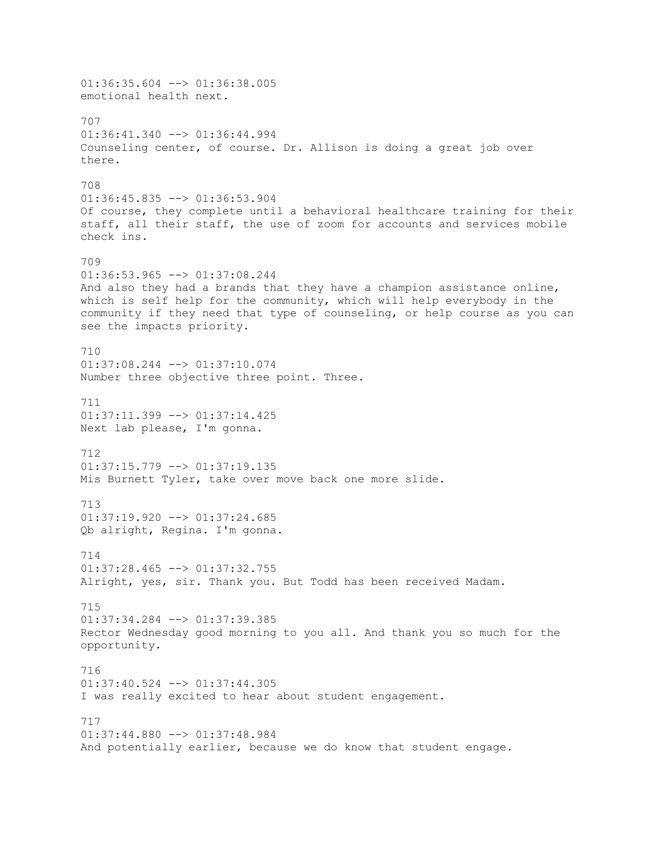$01:36:35.604$  -->  $01:36:38.005$ emotional health next. 707  $01:36:41.340$  -->  $01:36:44.994$ Counseling center, of course. Dr. Allison is doing a great job over there. 708 01:36:45.835 --> 01:36:53.904 Of course, they complete until a behavioral healthcare training for their staff, all their staff, the use of zoom for accounts and services mobile check ins. 709 01:36:53.965 --> 01:37:08.244 And also they had a brands that they have a champion assistance online, which is self help for the community, which will help everybody in the community if they need that type of counseling, or help course as you can see the impacts priority. 710 01:37:08.244 --> 01:37:10.074 Number three objective three point. Three. 711  $01:37:11.399$  -->  $01:37:14.425$ Next lab please, I'm gonna. 712  $01:37:15.779$  -->  $01:37:19.135$ Mis Burnett Tyler, take over move back one more slide. 713  $01:37:19.920$  -->  $01:37:24.685$ Qb alright, Regina. I'm gonna. 714  $01:37:28.465$  -->  $01:37:32.755$ Alright, yes, sir. Thank you. But Todd has been received Madam. 715 01:37:34.284 --> 01:37:39.385 Rector Wednesday good morning to you all. And thank you so much for the opportunity. 716 01:37:40.524 --> 01:37:44.305 I was really excited to hear about student engagement. 717 01:37:44.880 --> 01:37:48.984 And potentially earlier, because we do know that student engage.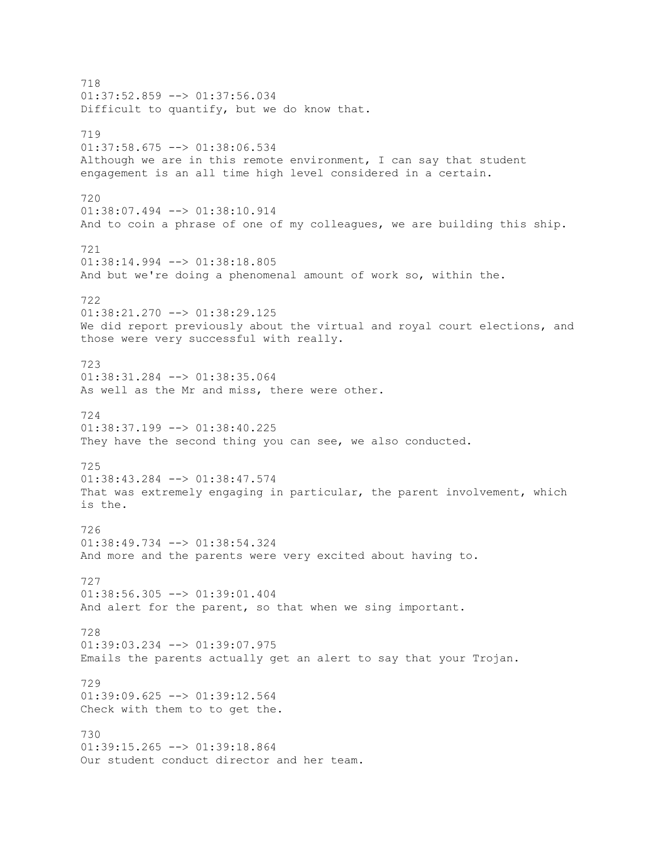718 01:37:52.859 --> 01:37:56.034 Difficult to quantify, but we do know that. 719 01:37:58.675 --> 01:38:06.534 Although we are in this remote environment, I can say that student engagement is an all time high level considered in a certain. 720 01:38:07.494 --> 01:38:10.914 And to coin a phrase of one of my colleagues, we are building this ship. 721 01:38:14.994 --> 01:38:18.805 And but we're doing a phenomenal amount of work so, within the. 722 01:38:21.270 --> 01:38:29.125 We did report previously about the virtual and royal court elections, and those were very successful with really. 723 01:38:31.284 --> 01:38:35.064 As well as the Mr and miss, there were other. 724  $01:38:37.199$  -->  $01:38:40.225$ They have the second thing you can see, we also conducted. 725 01:38:43.284 --> 01:38:47.574 That was extremely engaging in particular, the parent involvement, which is the. 726 01:38:49.734 --> 01:38:54.324 And more and the parents were very excited about having to. 727 01:38:56.305 --> 01:39:01.404 And alert for the parent, so that when we sing important. 728 01:39:03.234 --> 01:39:07.975 Emails the parents actually get an alert to say that your Trojan. 729  $01:39:09.625$  -->  $01:39:12.564$ Check with them to to get the. 730 01:39:15.265 --> 01:39:18.864 Our student conduct director and her team.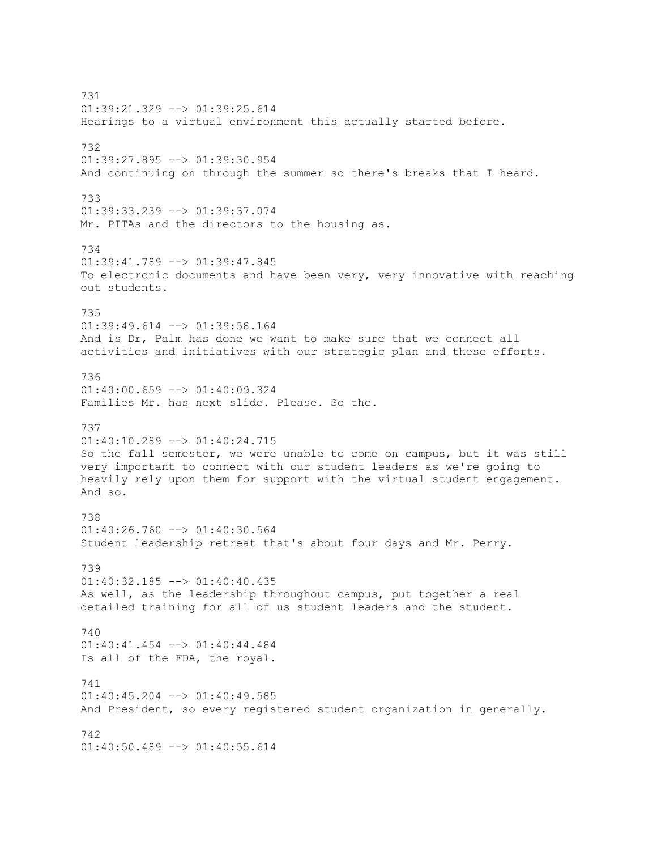731 01:39:21.329 --> 01:39:25.614 Hearings to a virtual environment this actually started before. 732 01:39:27.895 --> 01:39:30.954 And continuing on through the summer so there's breaks that I heard. 733 01:39:33.239 --> 01:39:37.074 Mr. PITAs and the directors to the housing as. 734 01:39:41.789 --> 01:39:47.845 To electronic documents and have been very, very innovative with reaching out students. 735 01:39:49.614 --> 01:39:58.164 And is Dr, Palm has done we want to make sure that we connect all activities and initiatives with our strategic plan and these efforts. 736 01:40:00.659 --> 01:40:09.324 Families Mr. has next slide. Please. So the. 737 01:40:10.289 --> 01:40:24.715 So the fall semester, we were unable to come on campus, but it was still very important to connect with our student leaders as we're going to heavily rely upon them for support with the virtual student engagement. And so. 738 01:40:26.760 --> 01:40:30.564 Student leadership retreat that's about four days and Mr. Perry. 739 01:40:32.185 --> 01:40:40.435 As well, as the leadership throughout campus, put together a real detailed training for all of us student leaders and the student. 740 01:40:41.454 --> 01:40:44.484 Is all of the FDA, the royal. 741  $01:40:45.204$  -->  $01:40:49.585$ And President, so every registered student organization in generally. 742 01:40:50.489 --> 01:40:55.614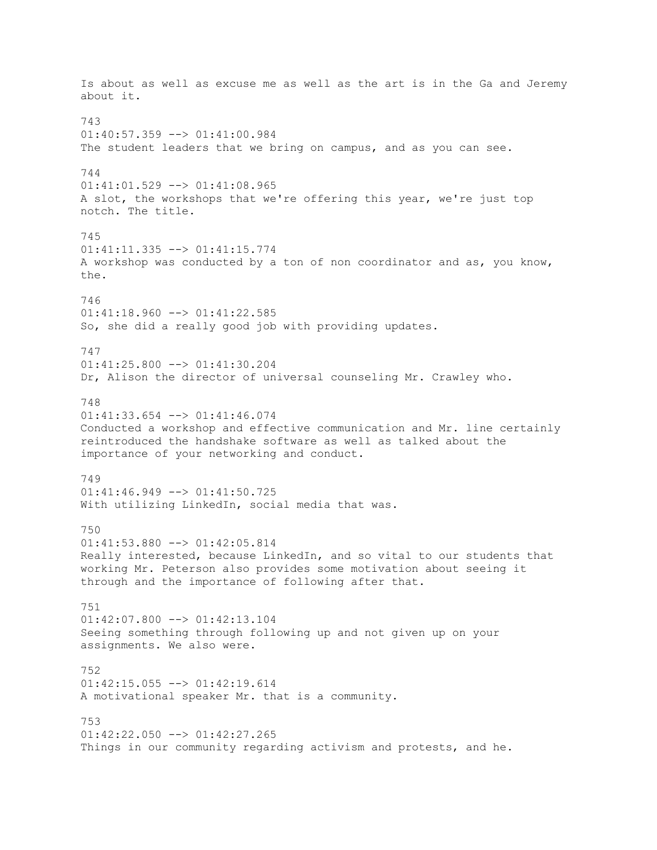Is about as well as excuse me as well as the art is in the Ga and Jeremy about it. 743 01:40:57.359 --> 01:41:00.984 The student leaders that we bring on campus, and as you can see. 744 01:41:01.529 --> 01:41:08.965 A slot, the workshops that we're offering this year, we're just top notch. The title. 745 01:41:11.335 --> 01:41:15.774 A workshop was conducted by a ton of non coordinator and as, you know, the. 746 01:41:18.960 --> 01:41:22.585 So, she did a really good job with providing updates. 747 01:41:25.800 --> 01:41:30.204 Dr, Alison the director of universal counseling Mr. Crawley who. 748  $01:41:33.654$  -->  $01:41:46.074$ Conducted a workshop and effective communication and Mr. line certainly reintroduced the handshake software as well as talked about the importance of your networking and conduct. 749 01:41:46.949 --> 01:41:50.725 With utilizing LinkedIn, social media that was. 750 01:41:53.880 --> 01:42:05.814 Really interested, because LinkedIn, and so vital to our students that working Mr. Peterson also provides some motivation about seeing it through and the importance of following after that. 751 01:42:07.800 --> 01:42:13.104 Seeing something through following up and not given up on your assignments. We also were. 752 01:42:15.055 --> 01:42:19.614 A motivational speaker Mr. that is a community. 753  $01:42:22.050$   $\rightarrow$   $01:42:27.265$ Things in our community regarding activism and protests, and he.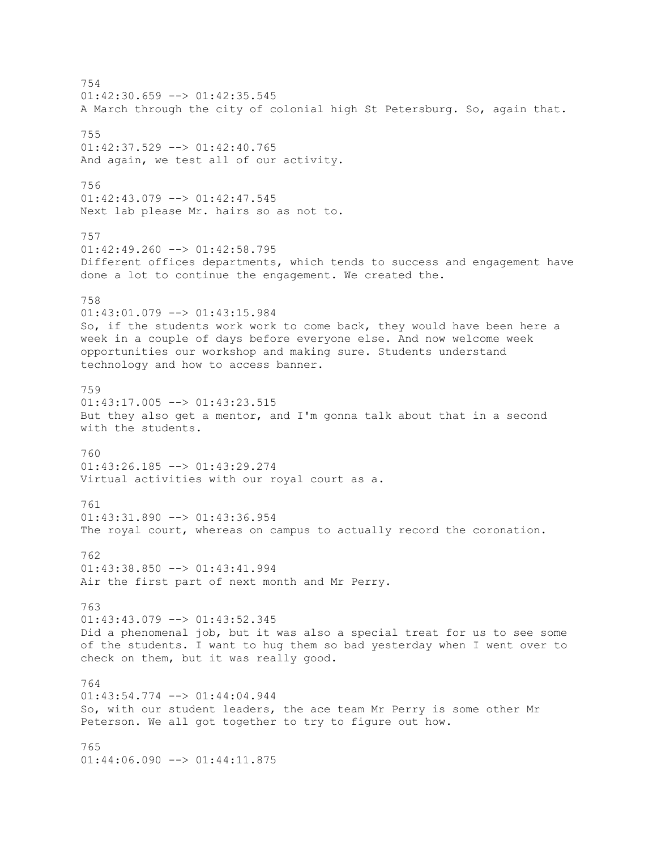754  $01:42:30.659$  -->  $01:42:35.545$ A March through the city of colonial high St Petersburg. So, again that. 755  $01:42:37.529$  -->  $01:42:40.765$ And again, we test all of our activity. 756 01:42:43.079 --> 01:42:47.545 Next lab please Mr. hairs so as not to. 757  $01:42:49.260$  -->  $01:42:58.795$ Different offices departments, which tends to success and engagement have done a lot to continue the engagement. We created the. 758 01:43:01.079 --> 01:43:15.984 So, if the students work work to come back, they would have been here a week in a couple of days before everyone else. And now welcome week opportunities our workshop and making sure. Students understand technology and how to access banner. 759 01:43:17.005 --> 01:43:23.515 But they also get a mentor, and I'm gonna talk about that in a second with the students. 760 01:43:26.185 --> 01:43:29.274 Virtual activities with our royal court as a. 761 01:43:31.890 --> 01:43:36.954 The royal court, whereas on campus to actually record the coronation. 762 01:43:38.850 --> 01:43:41.994 Air the first part of next month and Mr Perry. 763 01:43:43.079 --> 01:43:52.345 Did a phenomenal job, but it was also a special treat for us to see some of the students. I want to hug them so bad yesterday when I went over to check on them, but it was really good. 764 01:43:54.774 --> 01:44:04.944 So, with our student leaders, the ace team Mr Perry is some other Mr Peterson. We all got together to try to figure out how. 765 01:44:06.090 --> 01:44:11.875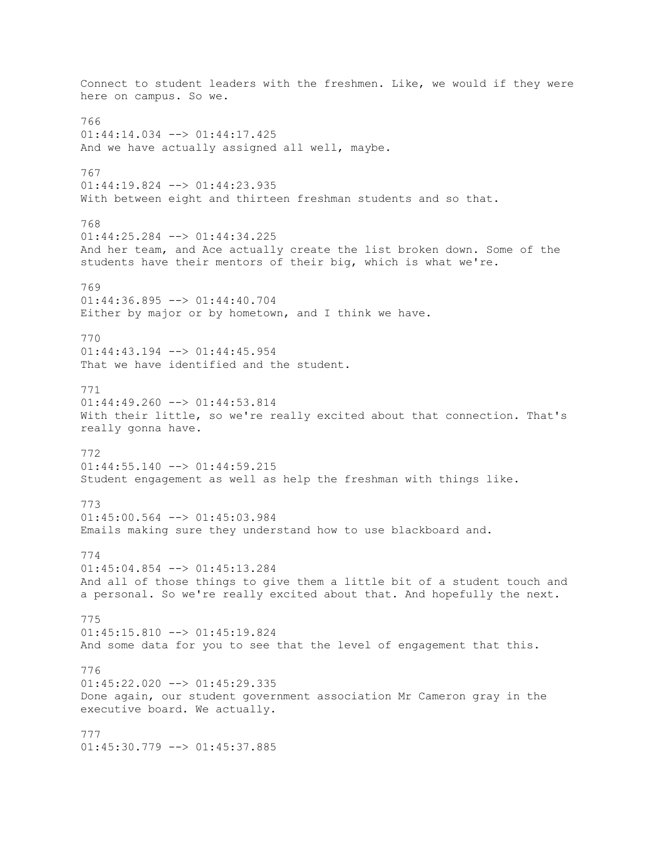Connect to student leaders with the freshmen. Like, we would if they were here on campus. So we. 766 01:44:14.034 --> 01:44:17.425 And we have actually assigned all well, maybe. 767  $01:44:19.824$  -->  $01:44:23.935$ With between eight and thirteen freshman students and so that. 768 01:44:25.284 --> 01:44:34.225 And her team, and Ace actually create the list broken down. Some of the students have their mentors of their big, which is what we're. 769 01:44:36.895 --> 01:44:40.704 Either by major or by hometown, and I think we have. 770  $01:44:43.194$  -->  $01:44:45.954$ That we have identified and the student. 771 01:44:49.260 --> 01:44:53.814 With their little, so we're really excited about that connection. That's really gonna have. 772  $01:44:55.140$  -->  $01:44:59.215$ Student engagement as well as help the freshman with things like. 773 01:45:00.564 --> 01:45:03.984 Emails making sure they understand how to use blackboard and. 774 01:45:04.854 --> 01:45:13.284 And all of those things to give them a little bit of a student touch and a personal. So we're really excited about that. And hopefully the next. 775 01:45:15.810 --> 01:45:19.824 And some data for you to see that the level of engagement that this. 776 01:45:22.020 --> 01:45:29.335 Done again, our student government association Mr Cameron gray in the executive board. We actually. 777 01:45:30.779 --> 01:45:37.885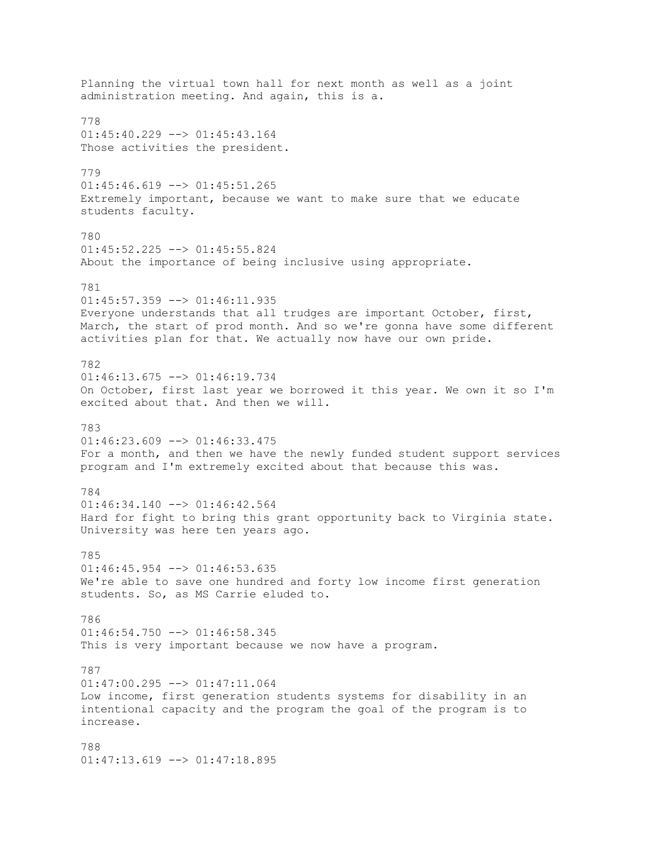Planning the virtual town hall for next month as well as a joint administration meeting. And again, this is a. 778 01:45:40.229 --> 01:45:43.164 Those activities the president. 779  $01:45:46.619$  -->  $01:45:51.265$ Extremely important, because we want to make sure that we educate students faculty. 780 01:45:52.225 --> 01:45:55.824 About the importance of being inclusive using appropriate. 781 01:45:57.359 --> 01:46:11.935 Everyone understands that all trudges are important October, first, March, the start of prod month. And so we're gonna have some different activities plan for that. We actually now have our own pride. 782  $01:46:13.675$  -->  $01:46:19.734$ On October, first last year we borrowed it this year. We own it so I'm excited about that. And then we will. 783  $01:46:23.609$  -->  $01:46:33.475$ For a month, and then we have the newly funded student support services program and I'm extremely excited about that because this was. 784  $01:46:34.140$  -->  $01:46:42.564$ Hard for fight to bring this grant opportunity back to Virginia state. University was here ten years ago. 785  $01:46:45.954$  -->  $01:46:53.635$ We're able to save one hundred and forty low income first generation students. So, as MS Carrie eluded to. 786  $01:46:54.750$  -->  $01:46:58.345$ This is very important because we now have a program. 787 01:47:00.295 --> 01:47:11.064 Low income, first generation students systems for disability in an intentional capacity and the program the goal of the program is to increase. 788 01:47:13.619 --> 01:47:18.895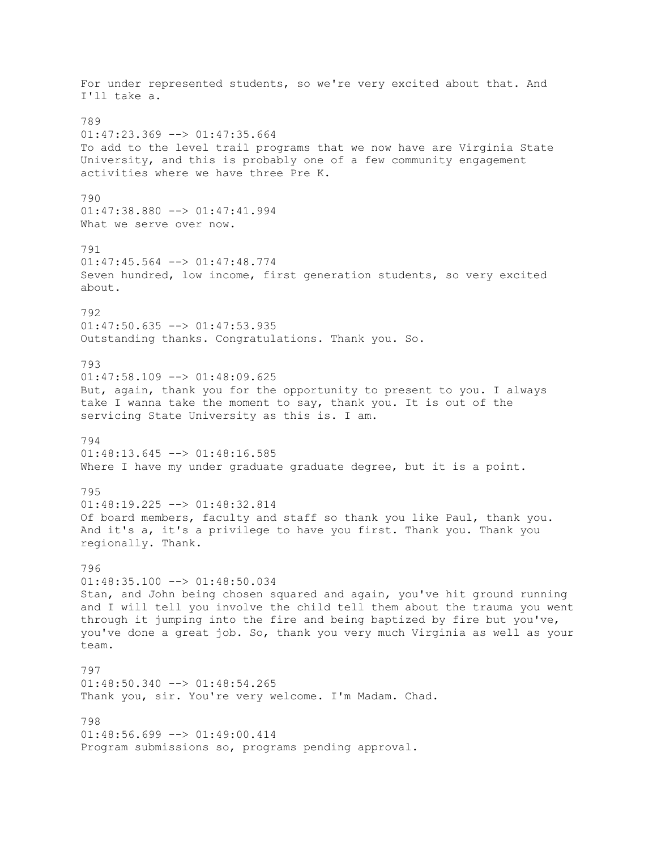For under represented students, so we're very excited about that. And I'll take a. 789 01:47:23.369 --> 01:47:35.664 To add to the level trail programs that we now have are Virginia State University, and this is probably one of a few community engagement activities where we have three Pre K. 790 01:47:38.880 --> 01:47:41.994 What we serve over now. 791 01:47:45.564 --> 01:47:48.774 Seven hundred, low income, first generation students, so very excited about. 792  $01:47:50.635$  -->  $01:47:53.935$ Outstanding thanks. Congratulations. Thank you. So. 793  $01:47:58.109$  -->  $01:48:09.625$ But, again, thank you for the opportunity to present to you. I always take I wanna take the moment to say, thank you. It is out of the servicing State University as this is. I am. 794  $01:48:13.645$  -->  $01:48:16.585$ Where I have my under graduate graduate degree, but it is a point. 795  $01:48:19.225$  -->  $01:48:32.814$ Of board members, faculty and staff so thank you like Paul, thank you. And it's a, it's a privilege to have you first. Thank you. Thank you regionally. Thank. 796 01:48:35.100 --> 01:48:50.034 Stan, and John being chosen squared and again, you've hit ground running and I will tell you involve the child tell them about the trauma you went through it jumping into the fire and being baptized by fire but you've, you've done a great job. So, thank you very much Virginia as well as your team. 797 01:48:50.340 --> 01:48:54.265 Thank you, sir. You're very welcome. I'm Madam. Chad. 798  $01:48:56.699$  -->  $01:49:00.414$ Program submissions so, programs pending approval.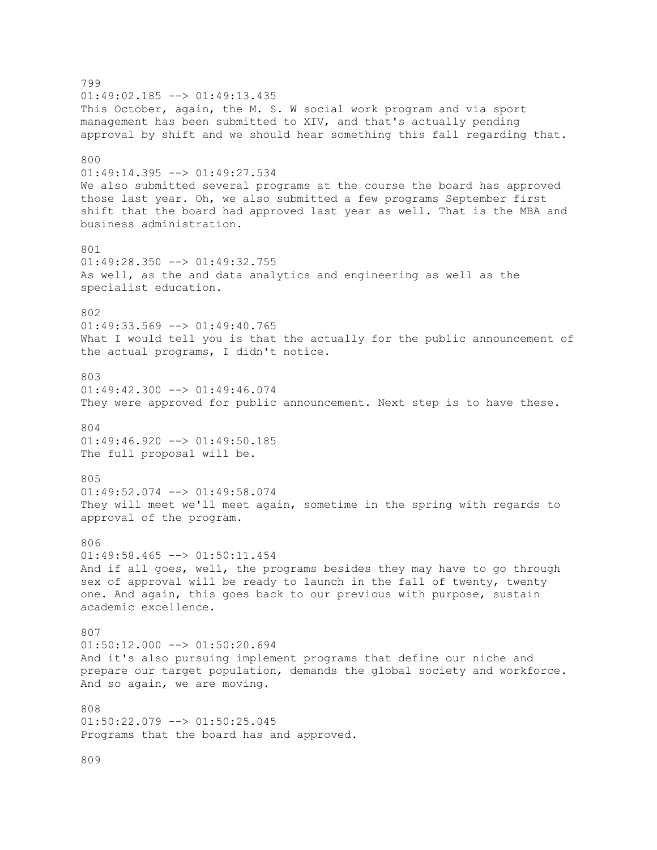799  $01:49:02.185$  -->  $01:49:13.435$ This October, again, the M. S. W social work program and via sport management has been submitted to XIV, and that's actually pending approval by shift and we should hear something this fall regarding that. 800 01:49:14.395 --> 01:49:27.534 We also submitted several programs at the course the board has approved those last year. Oh, we also submitted a few programs September first shift that the board had approved last year as well. That is the MBA and business administration. 801  $01:49:28.350$  -->  $01:49:32.755$ As well, as the and data analytics and engineering as well as the specialist education. 802  $01:49:33.569$  -->  $01:49:40.765$ What I would tell you is that the actually for the public announcement of the actual programs, I didn't notice. 803 01:49:42.300 --> 01:49:46.074 They were approved for public announcement. Next step is to have these. 804 01:49:46.920 --> 01:49:50.185 The full proposal will be. 805 01:49:52.074 --> 01:49:58.074 They will meet we'll meet again, sometime in the spring with regards to approval of the program.  $806$ 01:49:58.465 --> 01:50:11.454 And if all goes, well, the programs besides they may have to go through sex of approval will be ready to launch in the fall of twenty, twenty one. And again, this goes back to our previous with purpose, sustain academic excellence. 807  $01:50:12.000$  -->  $01:50:20.694$ And it's also pursuing implement programs that define our niche and prepare our target population, demands the global society and workforce. And so again, we are moving. 808 01:50:22.079 --> 01:50:25.045 Programs that the board has and approved.

809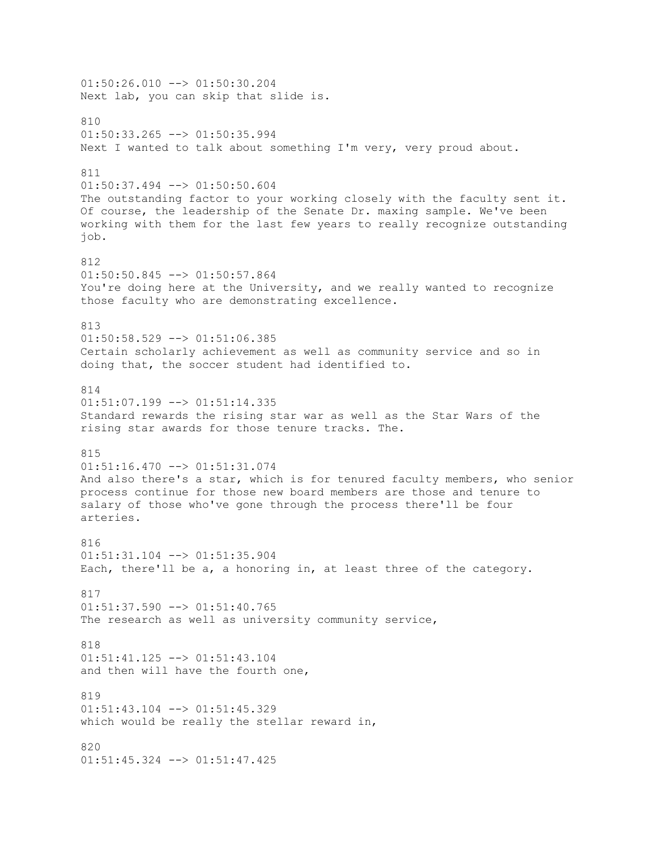01:50:26.010 --> 01:50:30.204 Next lab, you can skip that slide is. 810 01:50:33.265 --> 01:50:35.994 Next I wanted to talk about something I'm very, very proud about. 811 01:50:37.494 --> 01:50:50.604 The outstanding factor to your working closely with the faculty sent it. Of course, the leadership of the Senate Dr. maxing sample. We've been working with them for the last few years to really recognize outstanding job. 812  $01:50:50.845$   $\leftarrow$   $>$   $01:50:57.864$ You're doing here at the University, and we really wanted to recognize those faculty who are demonstrating excellence. 813 01:50:58.529 --> 01:51:06.385 Certain scholarly achievement as well as community service and so in doing that, the soccer student had identified to. 814 01:51:07.199 --> 01:51:14.335 Standard rewards the rising star war as well as the Star Wars of the rising star awards for those tenure tracks. The. 815 01:51:16.470 --> 01:51:31.074 And also there's a star, which is for tenured faculty members, who senior process continue for those new board members are those and tenure to salary of those who've gone through the process there'll be four arteries. 816 01:51:31.104 --> 01:51:35.904 Each, there'll be a, a honoring in, at least three of the category. 817 01:51:37.590 --> 01:51:40.765 The research as well as university community service, 818 01:51:41.125 --> 01:51:43.104 and then will have the fourth one,  $91Q$  $01:51:43.104$  -->  $01:51:45.329$ which would be really the stellar reward in, 820 01:51:45.324 --> 01:51:47.425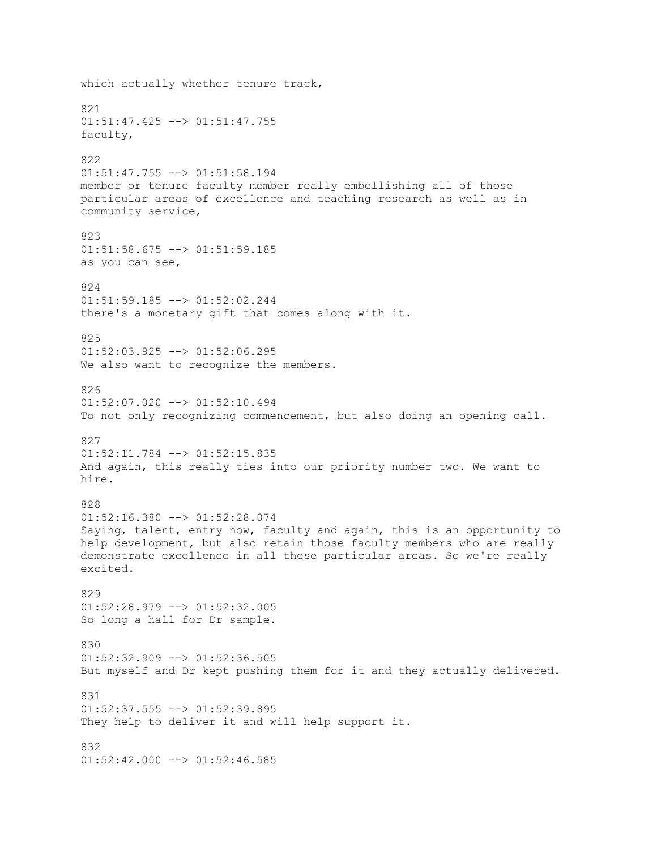which actually whether tenure track, 821  $01:51:47.425$   $\leftarrow$   $>$   $01:51:47.755$ faculty, 822 01:51:47.755 --> 01:51:58.194 member or tenure faculty member really embellishing all of those particular areas of excellence and teaching research as well as in community service, 823 01:51:58.675 --> 01:51:59.185 as you can see, 824 01:51:59.185 --> 01:52:02.244 there's a monetary gift that comes along with it. 825  $01:52:03.925$  -->  $01:52:06.295$ We also want to recognize the members. 826 01:52:07.020 --> 01:52:10.494 To not only recognizing commencement, but also doing an opening call. 827 01:52:11.784 --> 01:52:15.835 And again, this really ties into our priority number two. We want to hire. 828 01:52:16.380 --> 01:52:28.074 Saying, talent, entry now, faculty and again, this is an opportunity to help development, but also retain those faculty members who are really demonstrate excellence in all these particular areas. So we're really excited. 829 01:52:28.979 --> 01:52:32.005 So long a hall for Dr sample. 830 01:52:32.909 --> 01:52:36.505 But myself and Dr kept pushing them for it and they actually delivered. 831  $01:52:37.555$   $\leftarrow$   $>$   $01:52:39.895$ They help to deliver it and will help support it. 832  $01:52:42.000$  -->  $01:52:46.585$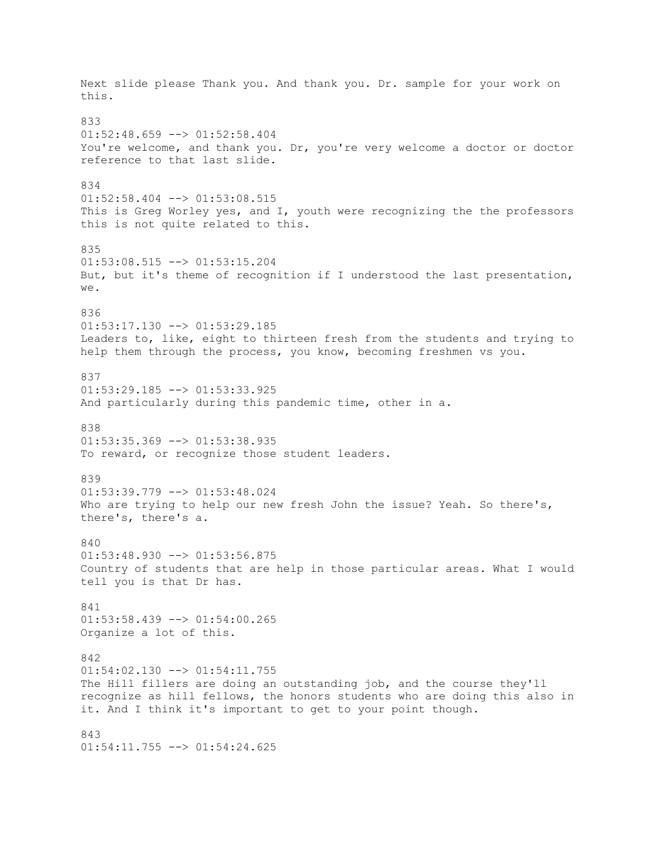Next slide please Thank you. And thank you. Dr. sample for your work on this. 833 01:52:48.659 --> 01:52:58.404 You're welcome, and thank you. Dr, you're very welcome a doctor or doctor reference to that last slide. 834  $01:52:58.404$   $\leftarrow$   $>$   $01:53:08.515$ This is Greg Worley yes, and I, youth were recognizing the the professors this is not quite related to this. 835 01:53:08.515 --> 01:53:15.204 But, but it's theme of recognition if I understood the last presentation, we. 836  $01:53:17.130$  -->  $01:53:29.185$ Leaders to, like, eight to thirteen fresh from the students and trying to help them through the process, you know, becoming freshmen vs you. 837 01:53:29.185 --> 01:53:33.925 And particularly during this pandemic time, other in a. 838  $01:53:35.369$  -->  $01:53:38.935$ To reward, or recognize those student leaders. 839 01:53:39.779 --> 01:53:48.024 Who are trying to help our new fresh John the issue? Yeah. So there's, there's, there's a. 840  $01:53:48.930$  -->  $01:53:56.875$ Country of students that are help in those particular areas. What I would tell you is that Dr has. 841 01:53:58.439 --> 01:54:00.265 Organize a lot of this. 842  $01:54:02.130$  -->  $01:54:11.755$ The Hill fillers are doing an outstanding job, and the course they'll recognize as hill fellows, the honors students who are doing this also in it. And I think it's important to get to your point though. 843 01:54:11.755 --> 01:54:24.625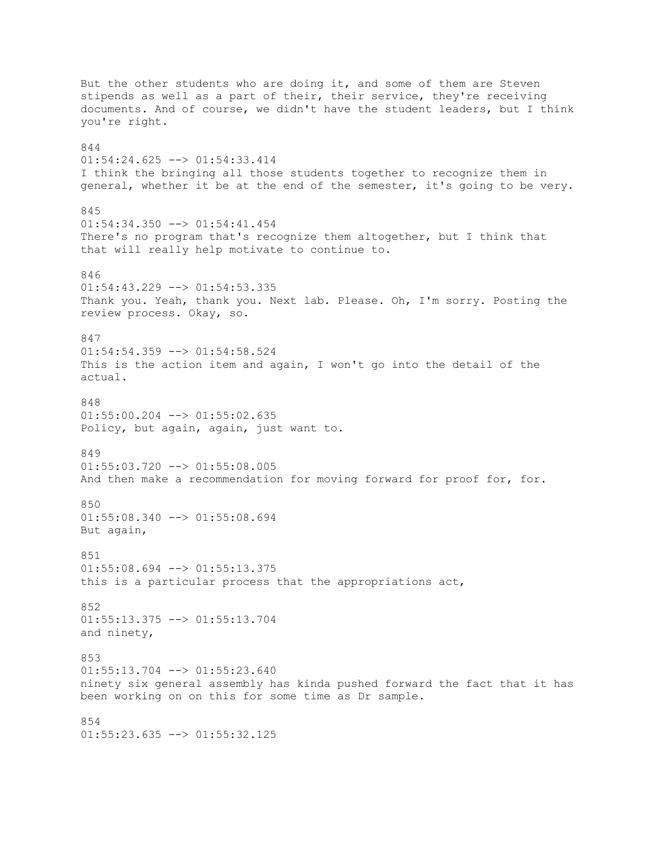But the other students who are doing it, and some of them are Steven stipends as well as a part of their, their service, they're receiving documents. And of course, we didn't have the student leaders, but I think you're right. 844 01:54:24.625 --> 01:54:33.414 I think the bringing all those students together to recognize them in general, whether it be at the end of the semester, it's going to be very. 845 01:54:34.350 --> 01:54:41.454 There's no program that's recognize them altogether, but I think that that will really help motivate to continue to. 846 01:54:43.229 --> 01:54:53.335 Thank you. Yeah, thank you. Next lab. Please. Oh, I'm sorry. Posting the review process. Okay, so. 847  $01:54:54.359$  -->  $01:54:58.524$ This is the action item and again, I won't go into the detail of the actual. 848  $01:55:00.204$  -->  $01:55:02.635$ Policy, but again, again, just want to. 849 01:55:03.720 --> 01:55:08.005 And then make a recommendation for moving forward for proof for, for. 850  $01:55:08.340$  -->  $01:55:08.694$ But again, 851  $01:55:08.694$   $\leftarrow$   $>$   $01:55:13.375$ this is a particular process that the appropriations act, 852 01:55:13.375 --> 01:55:13.704 and ninety, 853  $01:55:13.704$   $\leftarrow$   $>$   $01:55:23.640$ ninety six general assembly has kinda pushed forward the fact that it has been working on on this for some time as Dr sample. 854  $01:55:23.635$  -->  $01:55:32.125$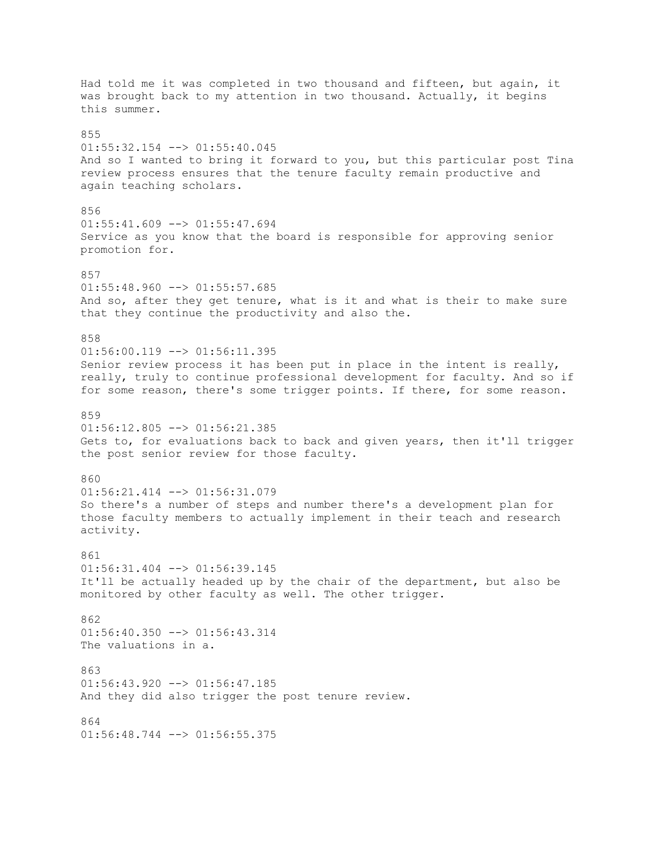Had told me it was completed in two thousand and fifteen, but again, it was brought back to my attention in two thousand. Actually, it begins this summer.  $955$  $01:55:32.154$  -->  $01:55:40.045$ And so I wanted to bring it forward to you, but this particular post Tina review process ensures that the tenure faculty remain productive and again teaching scholars. 856  $01:55:41.609$  -->  $01:55:47.694$ Service as you know that the board is responsible for approving senior promotion for. 857  $01:55:48.960$  -->  $01:55:57.685$ And so, after they get tenure, what is it and what is their to make sure that they continue the productivity and also the. 858  $01:56:00.119$  -->  $01:56:11.395$ Senior review process it has been put in place in the intent is really, really, truly to continue professional development for faculty. And so if for some reason, there's some trigger points. If there, for some reason. 859  $01:56:12.805$   $\leftarrow$   $>$   $01:56:21.385$ Gets to, for evaluations back to back and given years, then it'll trigger the post senior review for those faculty. 860 01:56:21.414 --> 01:56:31.079 So there's a number of steps and number there's a development plan for those faculty members to actually implement in their teach and research activity. 861  $01:56:31.404$  -->  $01:56:39.145$ It'll be actually headed up by the chair of the department, but also be monitored by other faculty as well. The other trigger. 862  $01:56:40.350$  -->  $01:56:43.314$ The valuations in a. 863 01:56:43.920 --> 01:56:47.185 And they did also trigger the post tenure review. 864  $01:56:48.744$  -->  $01:56:55.375$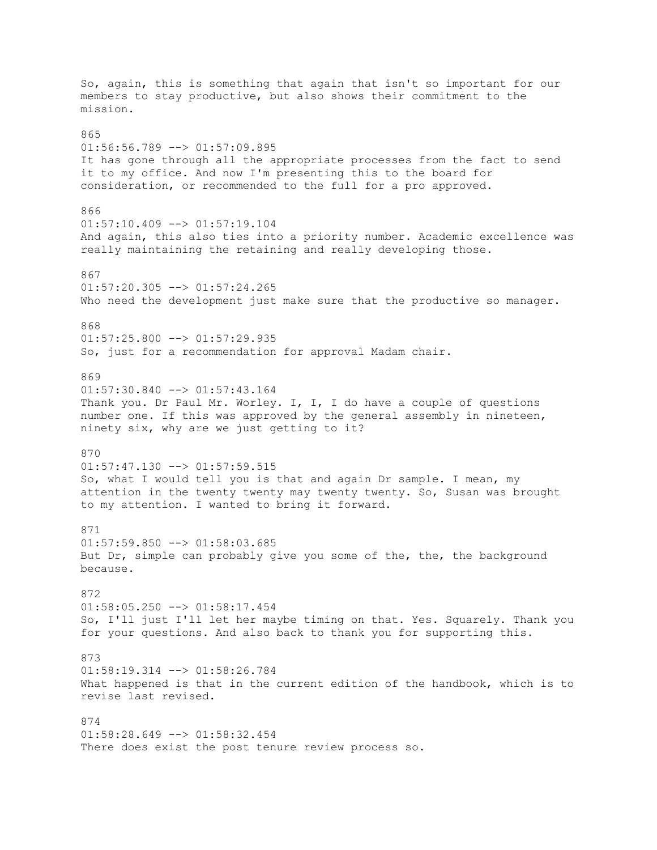So, again, this is something that again that isn't so important for our members to stay productive, but also shows their commitment to the mission. 865  $01:56:56.789$  -->  $01:57:09.895$ It has gone through all the appropriate processes from the fact to send it to my office. And now I'm presenting this to the board for consideration, or recommended to the full for a pro approved. 866  $01:57:10.409$  -->  $01:57:19.104$ And again, this also ties into a priority number. Academic excellence was really maintaining the retaining and really developing those. 867 01:57:20.305 --> 01:57:24.265 Who need the development just make sure that the productive so manager. 868  $01:57:25.800$  -->  $01:57:29.935$ So, just for a recommendation for approval Madam chair. 869 01:57:30.840 --> 01:57:43.164 Thank you. Dr Paul Mr. Worley. I, I, I do have a couple of questions number one. If this was approved by the general assembly in nineteen, ninety six, why are we just getting to it? 870  $01:57:47.130$  -->  $01:57:59.515$ So, what I would tell you is that and again Dr sample. I mean, my attention in the twenty twenty may twenty twenty. So, Susan was brought to my attention. I wanted to bring it forward. 871  $01:57:59.850$  -->  $01:58:03.685$ But Dr, simple can probably give you some of the, the, the background because. 872 01:58:05.250 --> 01:58:17.454 So, I'll just I'll let her maybe timing on that. Yes. Squarely. Thank you for your questions. And also back to thank you for supporting this. 873 01:58:19.314 --> 01:58:26.784 What happened is that in the current edition of the handbook, which is to revise last revised. 874  $01:58:28.649$  -->  $01:58:32.454$ There does exist the post tenure review process so.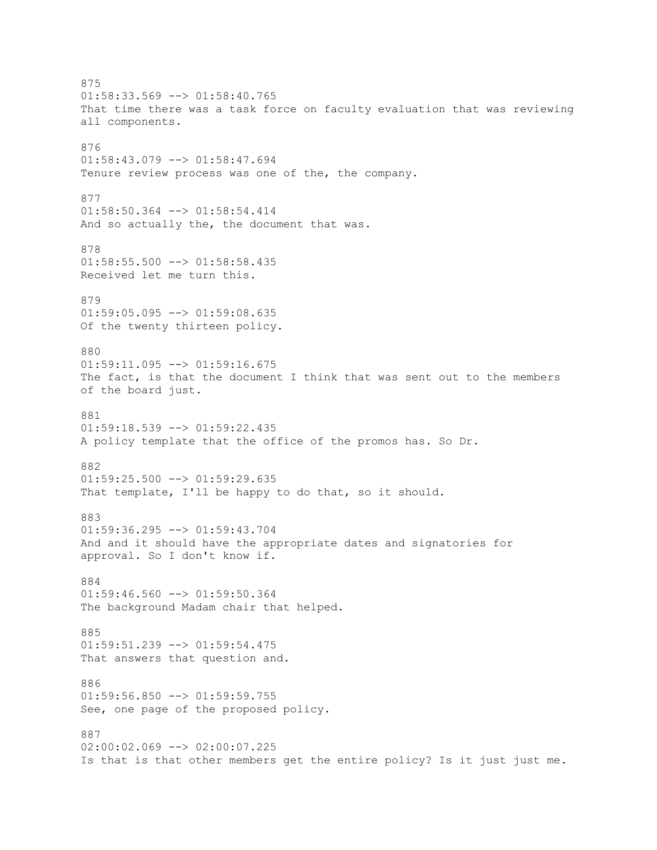875  $01:58:33.569$  -->  $01:58:40.765$ That time there was a task force on faculty evaluation that was reviewing all components. 876 01:58:43.079 --> 01:58:47.694 Tenure review process was one of the, the company. 877 01:58:50.364 --> 01:58:54.414 And so actually the, the document that was. 878 01:58:55.500 --> 01:58:58.435 Received let me turn this. 879 01:59:05.095 --> 01:59:08.635 Of the twenty thirteen policy. 880 01:59:11.095 --> 01:59:16.675 The fact, is that the document I think that was sent out to the members of the board just. 881  $01:59:18.539$  -->  $01:59:22.435$ A policy template that the office of the promos has. So Dr. 882  $01:59:25.500$  -->  $01:59:29.635$ That template, I'll be happy to do that, so it should. 883 01:59:36.295 --> 01:59:43.704 And and it should have the appropriate dates and signatories for approval. So I don't know if. 884  $01:59:46.560$  -->  $01:59:50.364$ The background Madam chair that helped. 885  $01:59:51.239$  -->  $01:59:54.475$ That answers that question and. 886  $01:59:56.850$  -->  $01:59:59.755$ See, one page of the proposed policy. 887 02:00:02.069 --> 02:00:07.225 Is that is that other members get the entire policy? Is it just just me.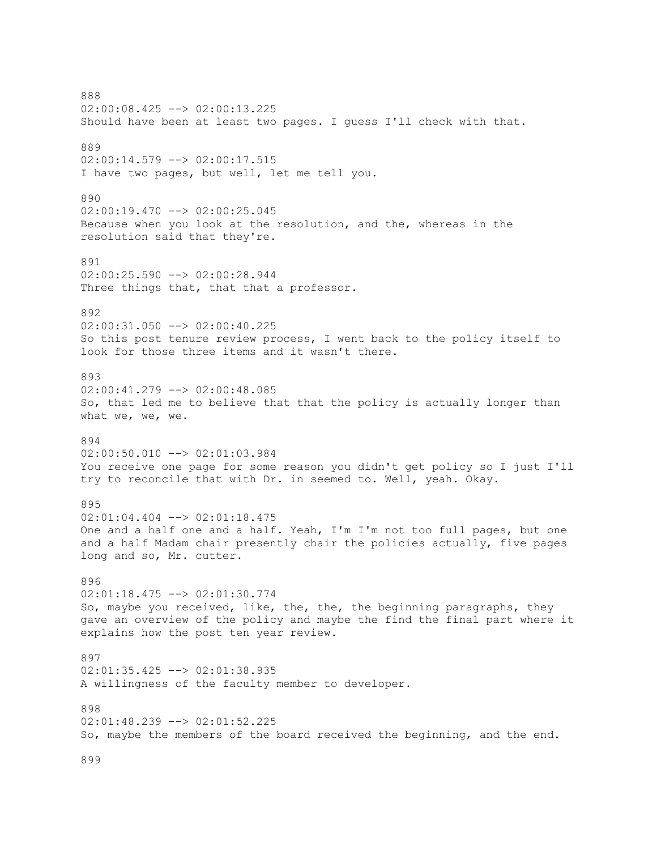888 02:00:08.425 --> 02:00:13.225 Should have been at least two pages. I guess I'll check with that. 889 02:00:14.579 --> 02:00:17.515 I have two pages, but well, let me tell you. 890 02:00:19.470 --> 02:00:25.045 Because when you look at the resolution, and the, whereas in the resolution said that they're. 891 02:00:25.590 --> 02:00:28.944 Three things that, that that a professor. 892 02:00:31.050 --> 02:00:40.225 So this post tenure review process, I went back to the policy itself to look for those three items and it wasn't there. 893 02:00:41.279 --> 02:00:48.085 So, that led me to believe that that the policy is actually longer than what we, we, we. 894 02:00:50.010 --> 02:01:03.984 You receive one page for some reason you didn't get policy so I just I'll try to reconcile that with Dr. in seemed to. Well, yeah. Okay. 895 02:01:04.404 --> 02:01:18.475 One and a half one and a half. Yeah, I'm I'm not too full pages, but one and a half Madam chair presently chair the policies actually, five pages long and so, Mr. cutter. 896 02:01:18.475 --> 02:01:30.774 So, maybe you received, like, the, the, the beginning paragraphs, they gave an overview of the policy and maybe the find the final part where it explains how the post ten year review. 897 02:01:35.425 --> 02:01:38.935 A willingness of the faculty member to developer. 898 02:01:48.239 --> 02:01:52.225 So, maybe the members of the board received the beginning, and the end. 899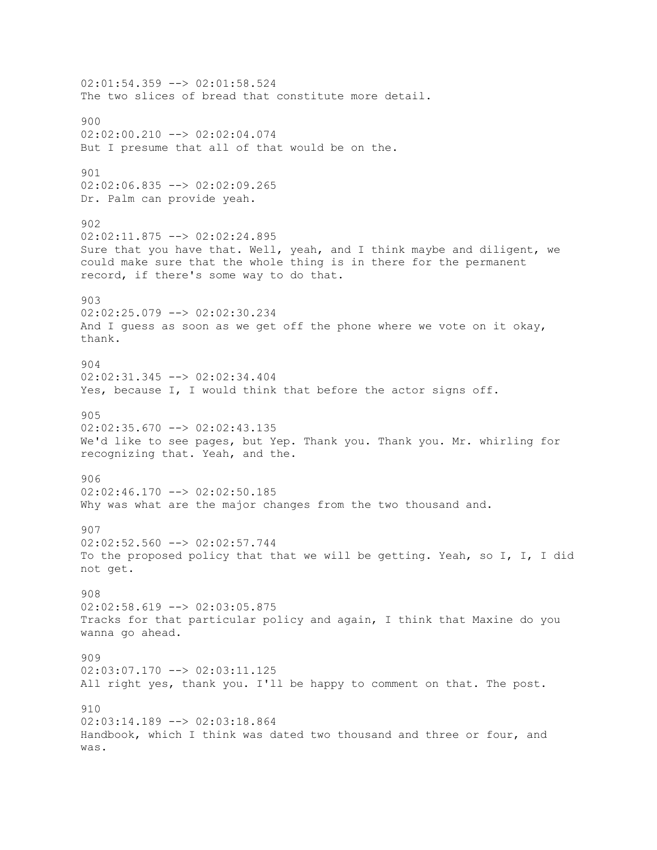$02:01:54.359$  -->  $02:01:58.524$ The two slices of bread that constitute more detail. 900 02:02:00.210 --> 02:02:04.074 But I presume that all of that would be on the. 901 02:02:06.835 --> 02:02:09.265 Dr. Palm can provide yeah. 902 02:02:11.875 --> 02:02:24.895 Sure that you have that. Well, yeah, and I think maybe and diligent, we could make sure that the whole thing is in there for the permanent record, if there's some way to do that. 903 02:02:25.079 --> 02:02:30.234 And I guess as soon as we get off the phone where we vote on it okay, thank. 904 02:02:31.345 --> 02:02:34.404 Yes, because I, I would think that before the actor signs off. 905 02:02:35.670 --> 02:02:43.135 We'd like to see pages, but Yep. Thank you. Thank you. Mr. whirling for recognizing that. Yeah, and the. 906 02:02:46.170 --> 02:02:50.185 Why was what are the major changes from the two thousand and. 907 02:02:52.560 --> 02:02:57.744 To the proposed policy that that we will be getting. Yeah, so I, I, I did not get. 908 02:02:58.619 --> 02:03:05.875 Tracks for that particular policy and again, I think that Maxine do you wanna go ahead. 909 02:03:07.170 --> 02:03:11.125 All right yes, thank you. I'll be happy to comment on that. The post. 910 02:03:14.189 --> 02:03:18.864 Handbook, which I think was dated two thousand and three or four, and was.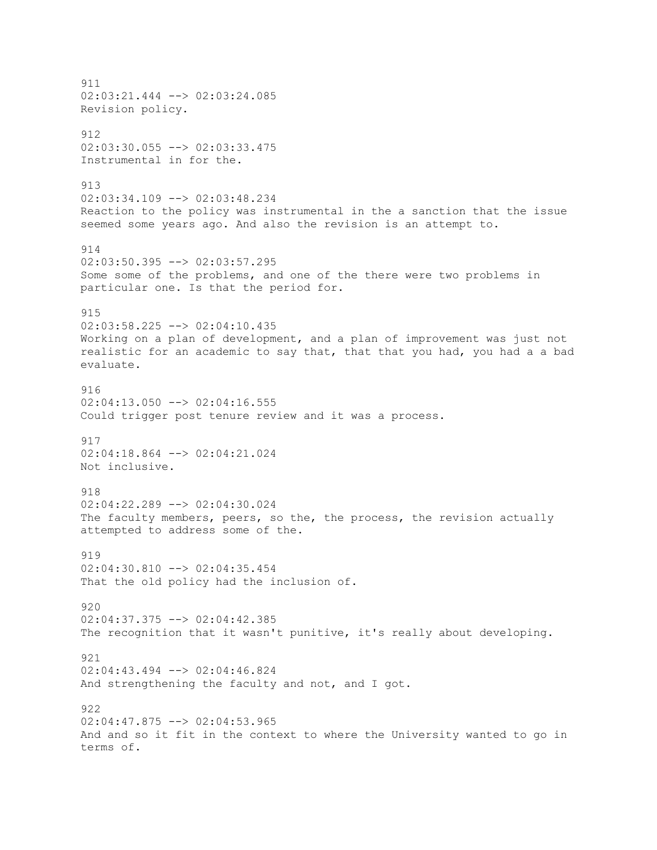911 02:03:21.444 --> 02:03:24.085 Revision policy. 912 02:03:30.055 --> 02:03:33.475 Instrumental in for the. 913 02:03:34.109 --> 02:03:48.234 Reaction to the policy was instrumental in the a sanction that the issue seemed some years ago. And also the revision is an attempt to. 914 02:03:50.395 --> 02:03:57.295 Some some of the problems, and one of the there were two problems in particular one. Is that the period for. 915 02:03:58.225 --> 02:04:10.435 Working on a plan of development, and a plan of improvement was just not realistic for an academic to say that, that that you had, you had a a bad evaluate. 916 02:04:13.050 --> 02:04:16.555 Could trigger post tenure review and it was a process. 917 02:04:18.864 --> 02:04:21.024 Not inclusive. 918  $02:04:22.289$  -->  $02:04:30.024$ The faculty members, peers, so the, the process, the revision actually attempted to address some of the. 919  $02:04:30.810$  -->  $02:04:35.454$ That the old policy had the inclusion of. 920 02:04:37.375 --> 02:04:42.385 The recognition that it wasn't punitive, it's really about developing. 921 02:04:43.494 --> 02:04:46.824 And strengthening the faculty and not, and I got. 922 02:04:47.875 --> 02:04:53.965 And and so it fit in the context to where the University wanted to go in terms of.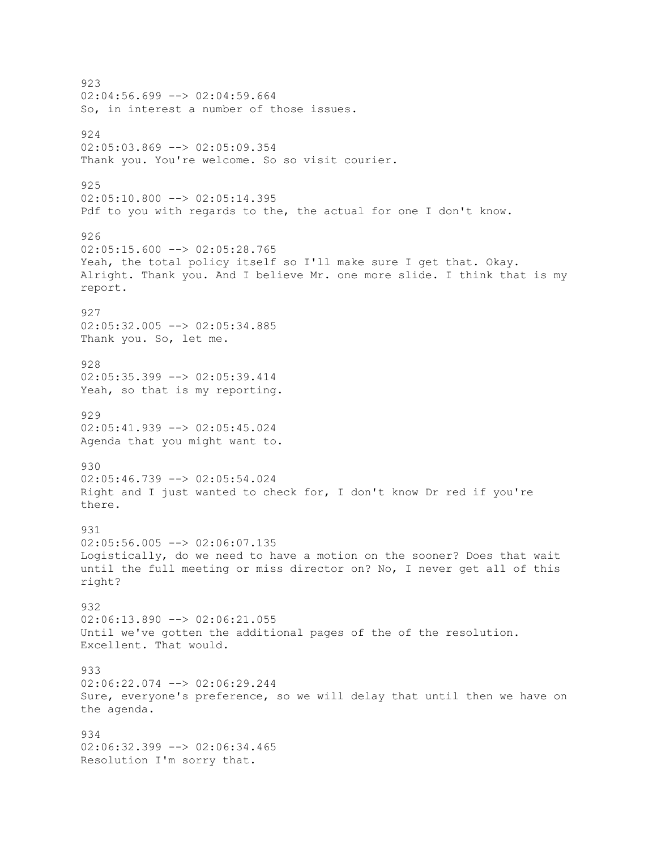923  $02:04:56.699$  -->  $02:04:59.664$ So, in interest a number of those issues. 924  $02:05:03.869$  -->  $02:05:09.354$ Thank you. You're welcome. So so visit courier. 925 02:05:10.800 --> 02:05:14.395 Pdf to you with regards to the, the actual for one I don't know. 926  $02:05:15.600$  -->  $02:05:28.765$ Yeah, the total policy itself so I'll make sure I get that. Okay. Alright. Thank you. And I believe Mr. one more slide. I think that is my report. 927  $02:05:32.005$  -->  $02:05:34.885$ Thank you. So, let me. 928 02:05:35.399 --> 02:05:39.414 Yeah, so that is my reporting. 929 02:05:41.939 --> 02:05:45.024 Agenda that you might want to. 930 02:05:46.739 --> 02:05:54.024 Right and I just wanted to check for, I don't know Dr red if you're there. 931  $02:05:56.005$  -->  $02:06:07.135$ Logistically, do we need to have a motion on the sooner? Does that wait until the full meeting or miss director on? No, I never get all of this right? 932 02:06:13.890 --> 02:06:21.055 Until we've gotten the additional pages of the of the resolution. Excellent. That would. 933 02:06:22.074 --> 02:06:29.244 Sure, everyone's preference, so we will delay that until then we have on the agenda. 934 02:06:32.399 --> 02:06:34.465 Resolution I'm sorry that.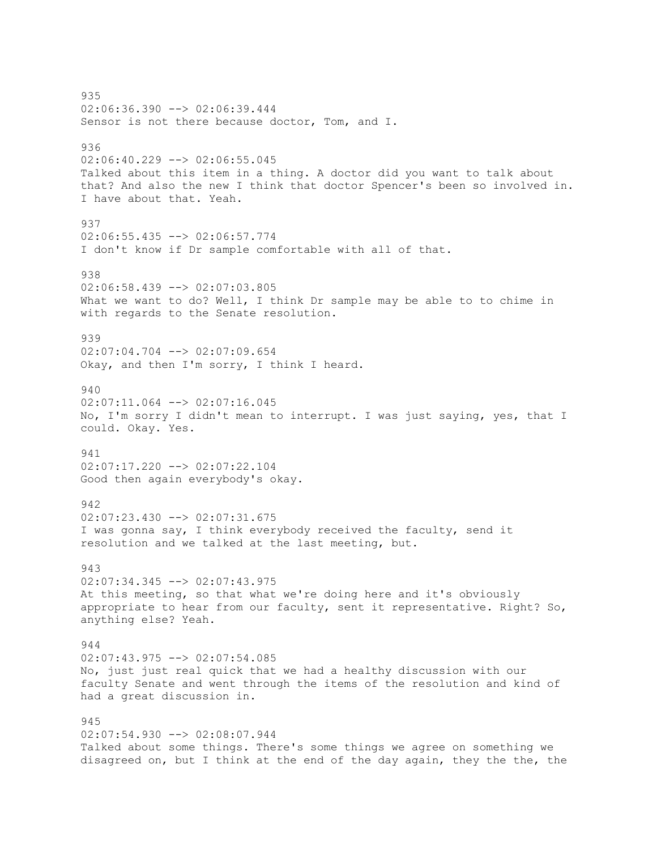935 02:06:36.390 --> 02:06:39.444 Sensor is not there because doctor, Tom, and I. 936 02:06:40.229 --> 02:06:55.045 Talked about this item in a thing. A doctor did you want to talk about that? And also the new I think that doctor Spencer's been so involved in. I have about that. Yeah. 937 02:06:55.435 --> 02:06:57.774 I don't know if Dr sample comfortable with all of that. 938 02:06:58.439 --> 02:07:03.805 What we want to do? Well, I think Dr sample may be able to to chime in with regards to the Senate resolution. 939 02:07:04.704 --> 02:07:09.654 Okay, and then I'm sorry, I think I heard. 940  $02:07:11.064$   $\leftarrow$   $>$  02:07:16.045 No, I'm sorry I didn't mean to interrupt. I was just saying, yes, that I could. Okay. Yes. 941 02:07:17.220 --> 02:07:22.104 Good then again everybody's okay. 942  $02:07:23.430$  -->  $02:07:31.675$ I was gonna say, I think everybody received the faculty, send it resolution and we talked at the last meeting, but. 943 02:07:34.345 --> 02:07:43.975 At this meeting, so that what we're doing here and it's obviously appropriate to hear from our faculty, sent it representative. Right? So, anything else? Yeah. 944 02:07:43.975 --> 02:07:54.085 No, just just real quick that we had a healthy discussion with our faculty Senate and went through the items of the resolution and kind of had a great discussion in. 945 02:07:54.930 --> 02:08:07.944 Talked about some things. There's some things we agree on something we disagreed on, but I think at the end of the day again, they the the, the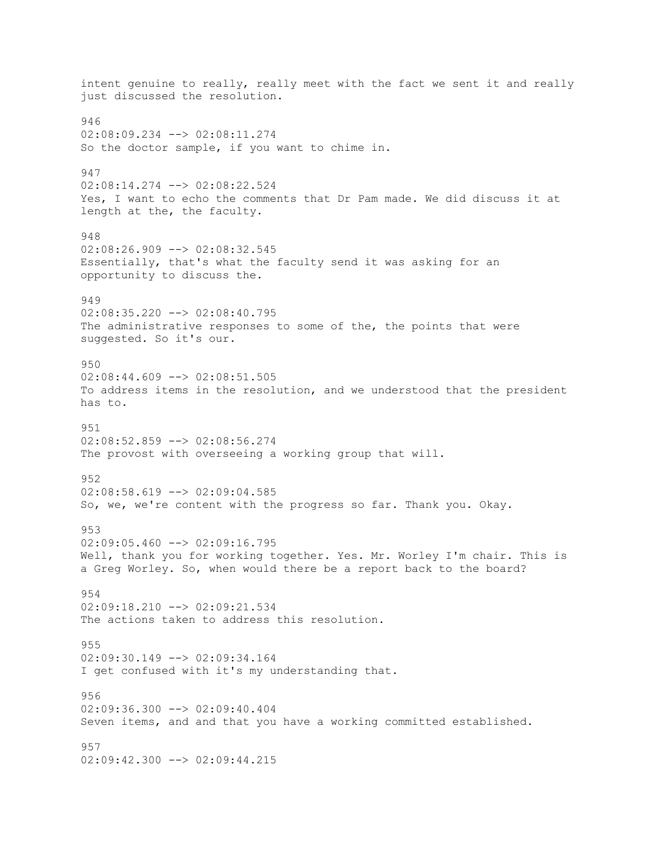intent genuine to really, really meet with the fact we sent it and really just discussed the resolution. 946 02:08:09.234 --> 02:08:11.274 So the doctor sample, if you want to chime in. 947 02:08:14.274 --> 02:08:22.524 Yes, I want to echo the comments that Dr Pam made. We did discuss it at length at the, the faculty. 948  $02:08:26.909$  -->  $02:08:32.545$ Essentially, that's what the faculty send it was asking for an opportunity to discuss the. 949 02:08:35.220 --> 02:08:40.795 The administrative responses to some of the, the points that were suggested. So it's our. 950 02:08:44.609 --> 02:08:51.505 To address items in the resolution, and we understood that the president has to. 951 02:08:52.859 --> 02:08:56.274 The provost with overseeing a working group that will. 952  $02:08:58.619$  -->  $02:09:04.585$ So, we, we're content with the progress so far. Thank you. Okay. 953 02:09:05.460 --> 02:09:16.795 Well, thank you for working together. Yes. Mr. Worley I'm chair. This is a Greg Worley. So, when would there be a report back to the board? 954  $02:09:18.210$   $\rightarrow$   $02:09:21.534$ The actions taken to address this resolution. 955 02:09:30.149 --> 02:09:34.164 I get confused with it's my understanding that. 956 02:09:36.300 --> 02:09:40.404 Seven items, and and that you have a working committed established. 957 02:09:42.300 --> 02:09:44.215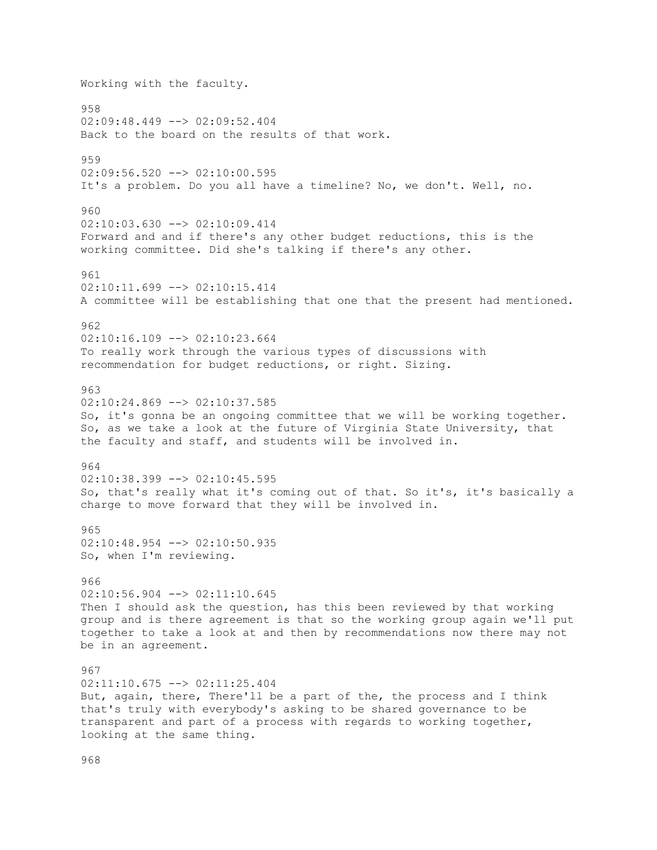Working with the faculty. 958 02:09:48.449 --> 02:09:52.404 Back to the board on the results of that work. 959 02:09:56.520 --> 02:10:00.595 It's a problem. Do you all have a timeline? No, we don't. Well, no. 960  $02:10:03.630$  -->  $02:10:09.414$ Forward and and if there's any other budget reductions, this is the working committee. Did she's talking if there's any other. 961 02:10:11.699 --> 02:10:15.414 A committee will be establishing that one that the present had mentioned. 962 02:10:16.109 --> 02:10:23.664 To really work through the various types of discussions with recommendation for budget reductions, or right. Sizing. 963 02:10:24.869 --> 02:10:37.585 So, it's gonna be an ongoing committee that we will be working together. So, as we take a look at the future of Virginia State University, that the faculty and staff, and students will be involved in. 964  $02:10:38.399$  -->  $02:10:45.595$ So, that's really what it's coming out of that. So it's, it's basically a charge to move forward that they will be involved in. 965 02:10:48.954 --> 02:10:50.935 So, when I'm reviewing. 966  $02:10:56.904$   $\leftarrow$   $>$  02:11:10.645 Then I should ask the question, has this been reviewed by that working group and is there agreement is that so the working group again we'll put together to take a look at and then by recommendations now there may not be in an agreement. 967 02:11:10.675 --> 02:11:25.404 But, again, there, There'll be a part of the, the process and I think that's truly with everybody's asking to be shared governance to be transparent and part of a process with regards to working together, looking at the same thing.

968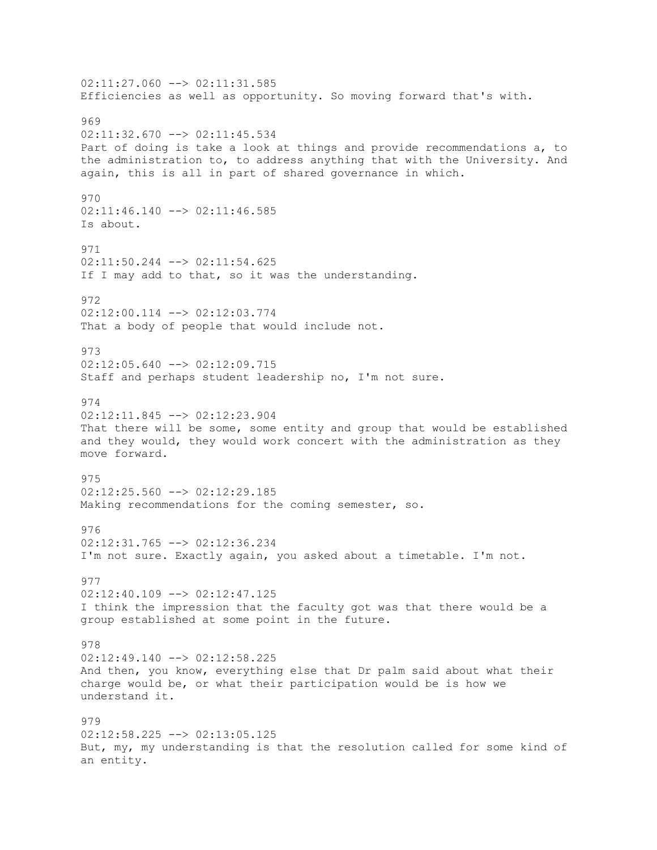$02:11:27.060$  -->  $02:11:31.585$ Efficiencies as well as opportunity. So moving forward that's with. 969 02:11:32.670 --> 02:11:45.534 Part of doing is take a look at things and provide recommendations a, to the administration to, to address anything that with the University. And again, this is all in part of shared governance in which. 970 02:11:46.140 --> 02:11:46.585 Is about. 971  $02:11:50.244$  -->  $02:11:54.625$ If I may add to that, so it was the understanding. 972 02:12:00.114 --> 02:12:03.774 That a body of people that would include not. 973 02:12:05.640 --> 02:12:09.715 Staff and perhaps student leadership no, I'm not sure. 974  $02:12:11.845$  -->  $02:12:23.904$ That there will be some, some entity and group that would be established and they would, they would work concert with the administration as they move forward. 975 02:12:25.560 --> 02:12:29.185 Making recommendations for the coming semester, so. 976 02:12:31.765 --> 02:12:36.234 I'm not sure. Exactly again, you asked about a timetable. I'm not. 977  $02:12:40.109$  -->  $02:12:47.125$ I think the impression that the faculty got was that there would be a group established at some point in the future. 978 02:12:49.140 --> 02:12:58.225 And then, you know, everything else that Dr palm said about what their charge would be, or what their participation would be is how we understand it. 979  $02:12:58.225$   $\longrightarrow$   $02:13:05.125$ But, my, my understanding is that the resolution called for some kind of an entity.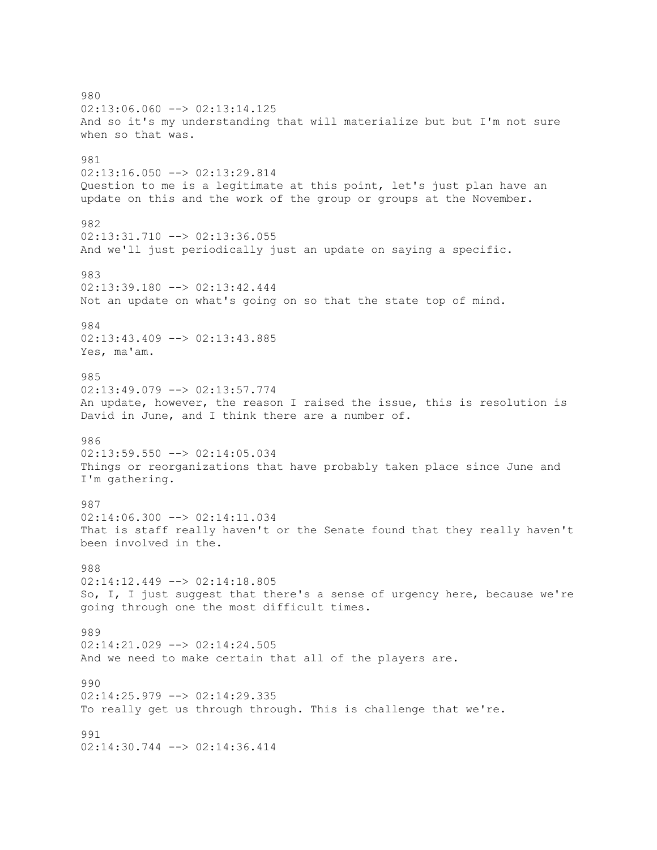980 02:13:06.060 --> 02:13:14.125 And so it's my understanding that will materialize but but I'm not sure when so that was. 981 02:13:16.050 --> 02:13:29.814 Question to me is a legitimate at this point, let's just plan have an update on this and the work of the group or groups at the November. 982  $02:13:31.710$  -->  $02:13:36.055$ And we'll just periodically just an update on saying a specific. 983 02:13:39.180 --> 02:13:42.444 Not an update on what's going on so that the state top of mind. 984 02:13:43.409 --> 02:13:43.885 Yes, ma'am. 985 02:13:49.079 --> 02:13:57.774 An update, however, the reason I raised the issue, this is resolution is David in June, and I think there are a number of. 986 02:13:59.550 --> 02:14:05.034 Things or reorganizations that have probably taken place since June and I'm gathering. 987 02:14:06.300 --> 02:14:11.034 That is staff really haven't or the Senate found that they really haven't been involved in the. 988 02:14:12.449 --> 02:14:18.805 So, I, I just suggest that there's a sense of urgency here, because we're going through one the most difficult times. 989  $02:14:21.029$  -->  $02:14:24.505$ And we need to make certain that all of the players are. 990 02:14:25.979 --> 02:14:29.335 To really get us through through. This is challenge that we're. 991 02:14:30.744 --> 02:14:36.414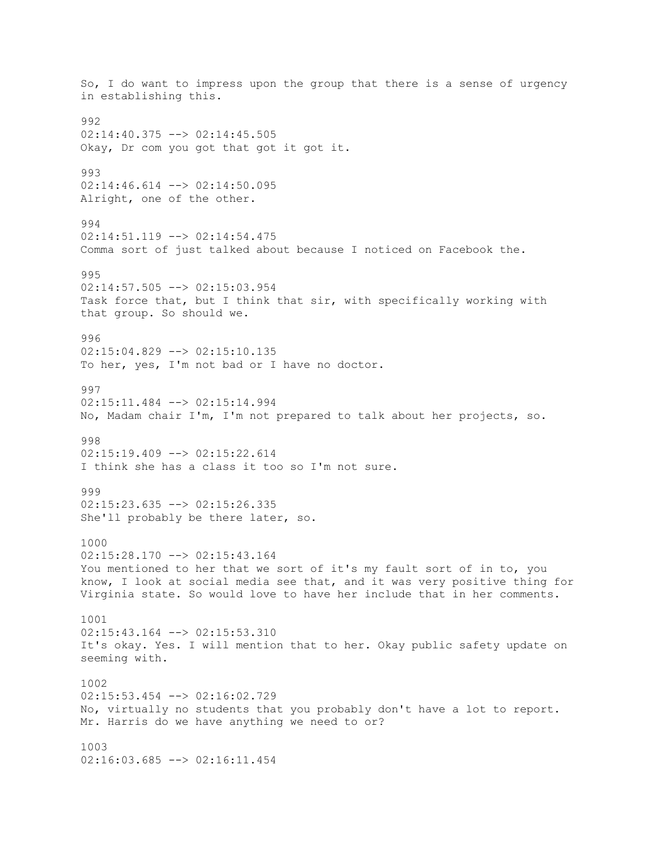So, I do want to impress upon the group that there is a sense of urgency in establishing this. 992 02:14:40.375 --> 02:14:45.505 Okay, Dr com you got that got it got it. 993 02:14:46.614 --> 02:14:50.095 Alright, one of the other. 994 02:14:51.119 --> 02:14:54.475 Comma sort of just talked about because I noticed on Facebook the. 995 02:14:57.505 --> 02:15:03.954 Task force that, but I think that sir, with specifically working with that group. So should we. 996  $02:15:04.829$  -->  $02:15:10.135$ To her, yes, I'm not bad or I have no doctor. 997 02:15:11.484 --> 02:15:14.994 No, Madam chair I'm, I'm not prepared to talk about her projects, so. 998  $02:15:19.409$  -->  $02:15:22.614$ I think she has a class it too so I'm not sure. 999  $02:15:23.635$  -->  $02:15:26.335$ She'll probably be there later, so. 1000 02:15:28.170 --> 02:15:43.164 You mentioned to her that we sort of it's my fault sort of in to, you know, I look at social media see that, and it was very positive thing for Virginia state. So would love to have her include that in her comments. 1001 02:15:43.164 --> 02:15:53.310 It's okay. Yes. I will mention that to her. Okay public safety update on seeming with. 1002 02:15:53.454 --> 02:16:02.729 No, virtually no students that you probably don't have a lot to report. Mr. Harris do we have anything we need to or? 1003 02:16:03.685 --> 02:16:11.454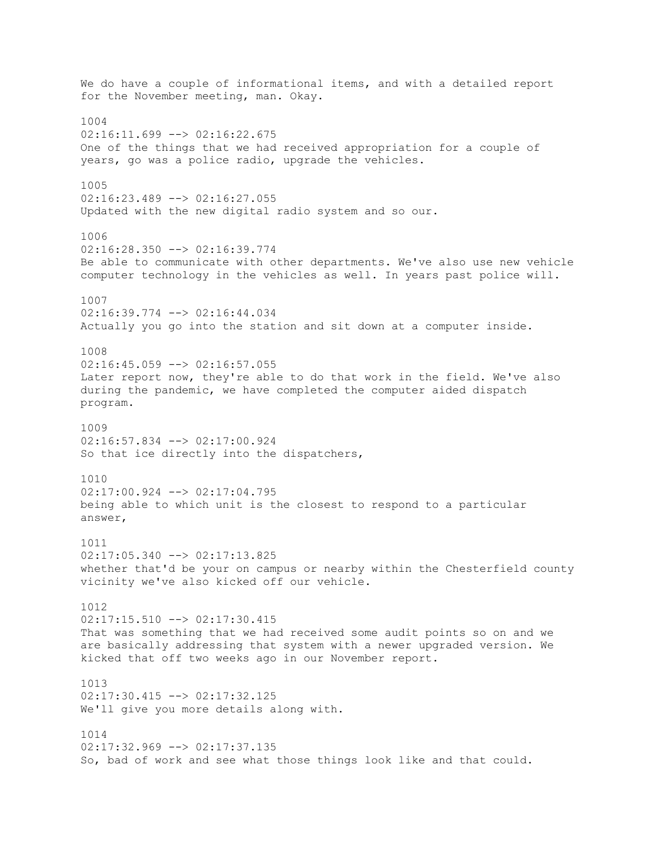We do have a couple of informational items, and with a detailed report for the November meeting, man. Okay. 1004  $02:16:11.699$  -->  $02:16:22.675$ One of the things that we had received appropriation for a couple of years, go was a police radio, upgrade the vehicles. 1005 02:16:23.489 --> 02:16:27.055 Updated with the new digital radio system and so our. 1006 02:16:28.350 --> 02:16:39.774 Be able to communicate with other departments. We've also use new vehicle computer technology in the vehicles as well. In years past police will. 1007 02:16:39.774 --> 02:16:44.034 Actually you go into the station and sit down at a computer inside. 1008 02:16:45.059 --> 02:16:57.055 Later report now, they're able to do that work in the field. We've also during the pandemic, we have completed the computer aided dispatch program. 1009 02:16:57.834 --> 02:17:00.924 So that ice directly into the dispatchers, 1010 02:17:00.924 --> 02:17:04.795 being able to which unit is the closest to respond to a particular answer, 1011 02:17:05.340 --> 02:17:13.825 whether that'd be your on campus or nearby within the Chesterfield county vicinity we've also kicked off our vehicle. 1012 02:17:15.510 --> 02:17:30.415 That was something that we had received some audit points so on and we are basically addressing that system with a newer upgraded version. We kicked that off two weeks ago in our November report. 1013 02:17:30.415 --> 02:17:32.125 We'll give you more details along with. 1014 02:17:32.969 --> 02:17:37.135 So, bad of work and see what those things look like and that could.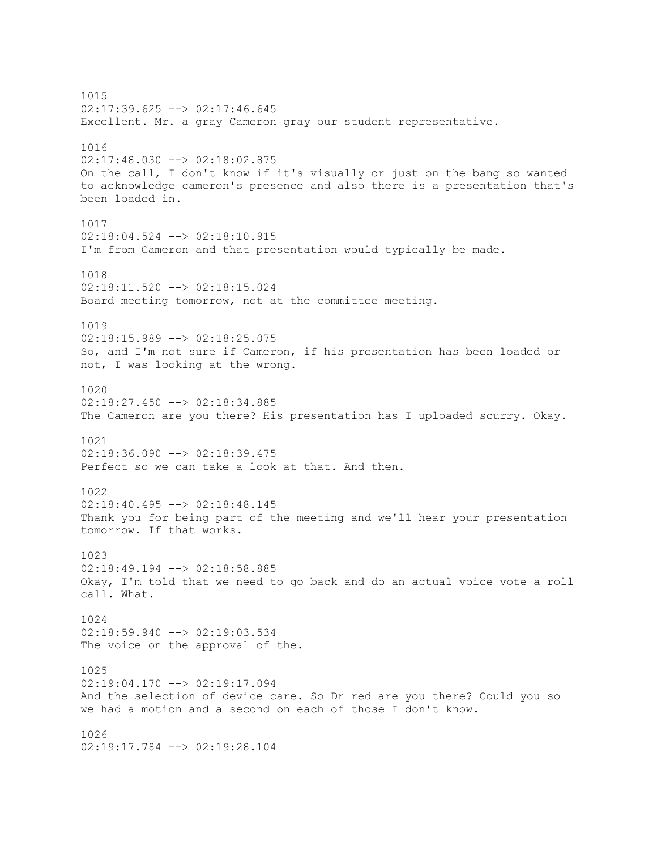1015 02:17:39.625 --> 02:17:46.645 Excellent. Mr. a gray Cameron gray our student representative. 1016 02:17:48.030 --> 02:18:02.875 On the call, I don't know if it's visually or just on the bang so wanted to acknowledge cameron's presence and also there is a presentation that's been loaded in. 1017 02:18:04.524 --> 02:18:10.915 I'm from Cameron and that presentation would typically be made. 1018 02:18:11.520 --> 02:18:15.024 Board meeting tomorrow, not at the committee meeting. 1019 02:18:15.989 --> 02:18:25.075 So, and I'm not sure if Cameron, if his presentation has been loaded or not, I was looking at the wrong. 1020 02:18:27.450 --> 02:18:34.885 The Cameron are you there? His presentation has I uploaded scurry. Okay. 1021 02:18:36.090 --> 02:18:39.475 Perfect so we can take a look at that. And then. 1022  $02:18:40.495$   $\longrightarrow$   $02:18:48.145$ Thank you for being part of the meeting and we'll hear your presentation tomorrow. If that works. 1023 02:18:49.194 --> 02:18:58.885 Okay, I'm told that we need to go back and do an actual voice vote a roll call. What. 1024 02:18:59.940 --> 02:19:03.534 The voice on the approval of the. 1025 02:19:04.170 --> 02:19:17.094 And the selection of device care. So Dr red are you there? Could you so we had a motion and a second on each of those I don't know. 1026 02:19:17.784 --> 02:19:28.104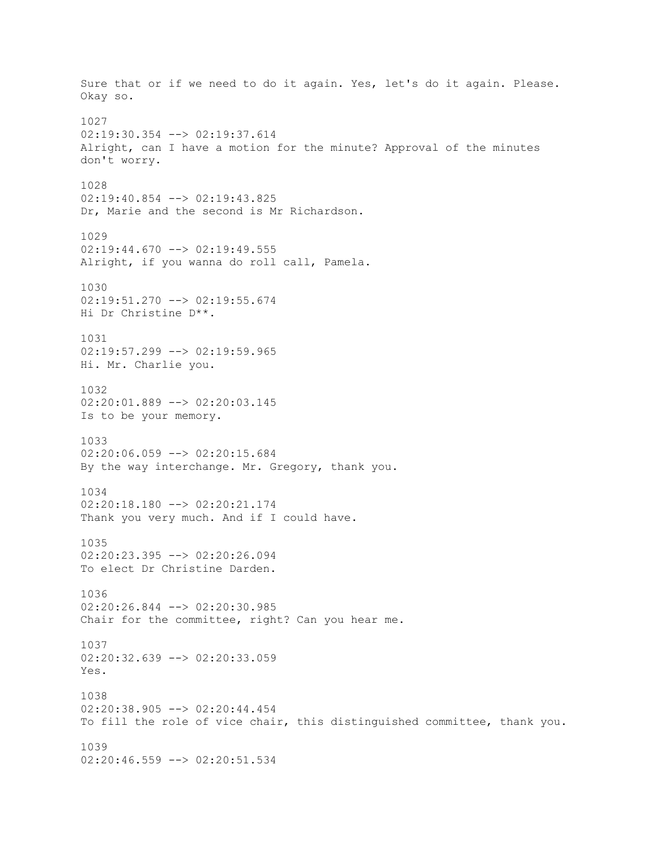Sure that or if we need to do it again. Yes, let's do it again. Please. Okay so. 1027 02:19:30.354 --> 02:19:37.614 Alright, can I have a motion for the minute? Approval of the minutes don't worry. 1028 02:19:40.854 --> 02:19:43.825 Dr, Marie and the second is Mr Richardson. 1029  $02:19:44.670$  -->  $02:19:49.555$ Alright, if you wanna do roll call, Pamela. 1030 02:19:51.270 --> 02:19:55.674 Hi Dr Christine D\*\*. 1031 02:19:57.299 --> 02:19:59.965 Hi. Mr. Charlie you. 1032 02:20:01.889 --> 02:20:03.145 Is to be your memory. 1033 02:20:06.059 --> 02:20:15.684 By the way interchange. Mr. Gregory, thank you. 1034  $02:20:18.180$  -->  $02:20:21.174$ Thank you very much. And if I could have. 1035 02:20:23.395 --> 02:20:26.094 To elect Dr Christine Darden. 1036 02:20:26.844 --> 02:20:30.985 Chair for the committee, right? Can you hear me. 1037 02:20:32.639 --> 02:20:33.059 Yes. 1038 02:20:38.905 --> 02:20:44.454 To fill the role of vice chair, this distinguished committee, thank you. 1039 02:20:46.559 --> 02:20:51.534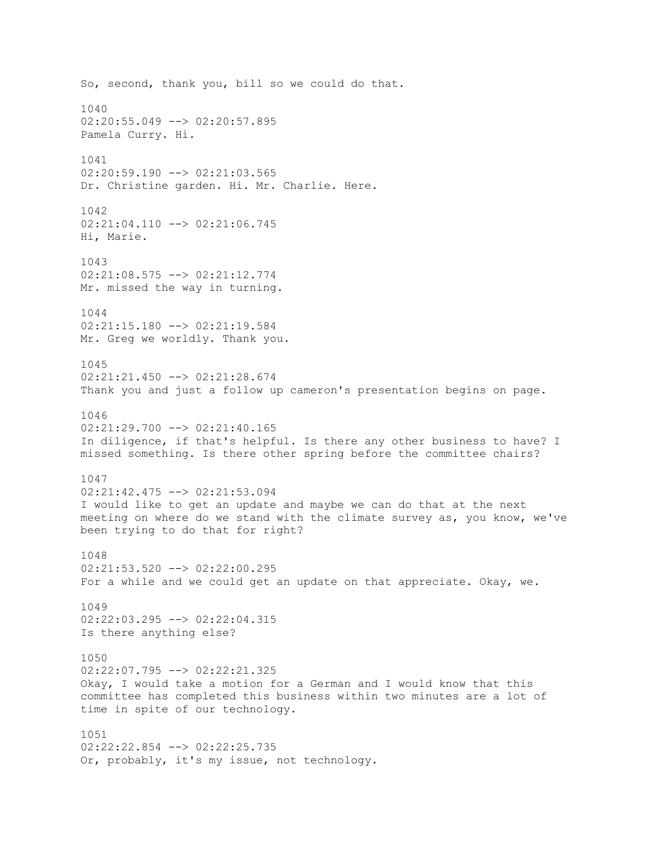So, second, thank you, bill so we could do that. 1040 02:20:55.049 --> 02:20:57.895 Pamela Curry. Hi. 1041 02:20:59.190 --> 02:21:03.565 Dr. Christine garden. Hi. Mr. Charlie. Here. 1042 02:21:04.110 --> 02:21:06.745 Hi, Marie. 1043 02:21:08.575 --> 02:21:12.774 Mr. missed the way in turning. 1044 02:21:15.180 --> 02:21:19.584 Mr. Greg we worldly. Thank you. 1045 02:21:21.450 --> 02:21:28.674 Thank you and just a follow up cameron's presentation begins on page. 1046  $02:21:29.700$  -->  $02:21:40.165$ In diligence, if that's helpful. Is there any other business to have? I missed something. Is there other spring before the committee chairs? 1047 02:21:42.475 --> 02:21:53.094 I would like to get an update and maybe we can do that at the next meeting on where do we stand with the climate survey as, you know, we've been trying to do that for right? 1048  $02:21:53.520$   $\longrightarrow$   $02:22:00.295$ For a while and we could get an update on that appreciate. Okay, we. 1049 02:22:03.295 --> 02:22:04.315 Is there anything else? 1050 02:22:07.795 --> 02:22:21.325 Okay, I would take a motion for a German and I would know that this committee has completed this business within two minutes are a lot of time in spite of our technology. 1051 02:22:22.854 --> 02:22:25.735 Or, probably, it's my issue, not technology.